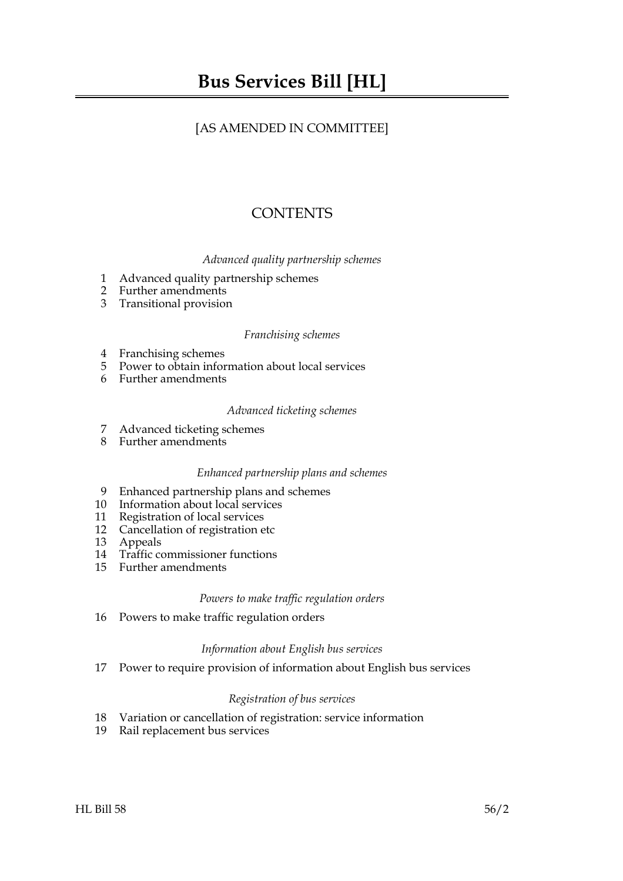## [AS AMENDED IN COMMITTEE]

# **CONTENTS**

### *Advanced quality partnership schemes*

- 1 Advanced quality partnership schemes
- 2 Further amendments
- 3 Transitional provision

#### *Franchising schemes*

- 4 Franchising schemes
- 5 Power to obtain information about local services
- 6 Further amendments

#### *Advanced ticketing schemes*

- 7 Advanced ticketing schemes
- 8 Further amendments

#### *Enhanced partnership plans and schemes*

- 9 Enhanced partnership plans and schemes
- 10 Information about local services
- 11 Registration of local services
- 12 Cancellation of registration etc
- 13 Appeals
- 14 Traffic commissioner functions
- 15 Further amendments

#### *Powers to make traffic regulation orders*

16 Powers to make traffic regulation orders

#### *Information about English bus services*

17 Power to require provision of information about English bus services

#### *Registration of bus services*

- 18 Variation or cancellation of registration: service information
- 19 Rail replacement bus services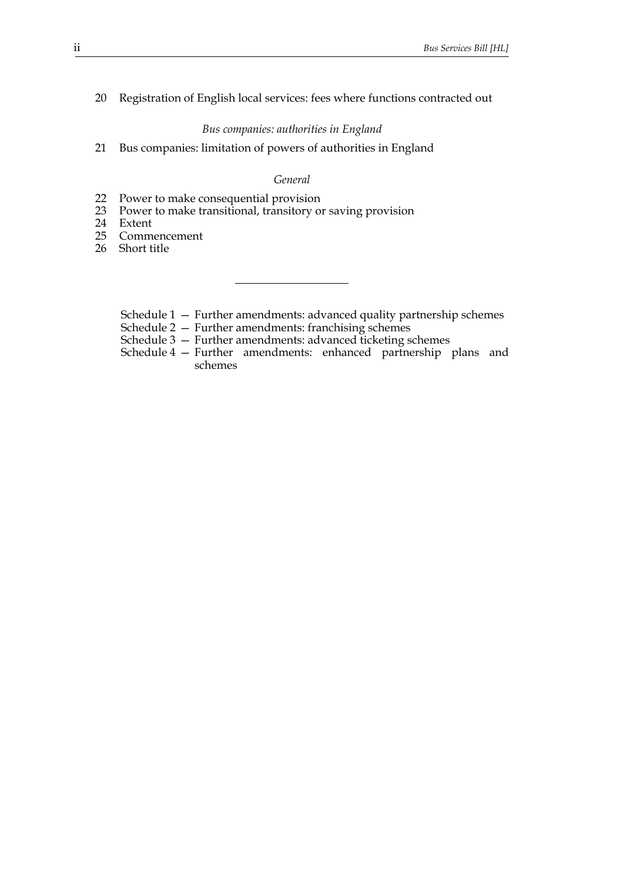### 20 Registration of English local services: fees where functions contracted out

#### *Bus companies: authorities in England*

21 Bus companies: limitation of powers of authorities in England

#### *General*

- 22 Power to make consequential provision
- 23 Power to make transitional, transitory or saving provision
- 24 Extent
- 25 Commencement
- 26 Short title
	- Schedule 1 Further amendments: advanced quality partnership schemes
	- Schedule 2 Further amendments: franchising schemes
	- Schedule 3 Further amendments: advanced ticketing schemes
	- Schedule 4 Further amendments: enhanced partnership plans and schemes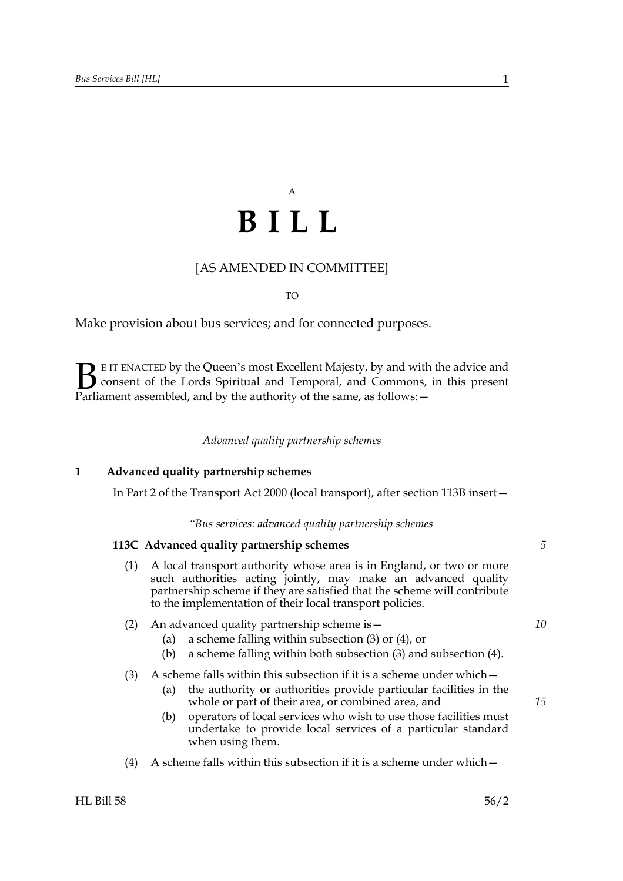# A **BILL**

### [AS AMENDED IN COMMITTEE]

TO

Make provision about bus services; and for connected purposes.

E IT ENACTED by the Queen's most Excellent Majesty, by and with the advice and consent of the Lords Spiritual and Temporal, and Commons, in this present **B** E IT ENACTED by the Queen's most Excellent Majesty, by and with consent of the Lords Spiritual and Temporal, and Commons, Parliament assembled, and by the authority of the same, as follows:  $-$ 

*Advanced quality partnership schemes*

#### **1 Advanced quality partnership schemes**

In Part 2 of the Transport Act 2000 (local transport), after section 113B insert—

*"Bus services: advanced quality partnership schemes*

#### **113C Advanced quality partnership schemes**

- (1) A local transport authority whose area is in England, or two or more such authorities acting jointly, may make an advanced quality partnership scheme if they are satisfied that the scheme will contribute to the implementation of their local transport policies.
- (2) An advanced quality partnership scheme is—
	- (a) a scheme falling within subsection (3) or (4), or
		- (b) a scheme falling within both subsection (3) and subsection (4).
- (3) A scheme falls within this subsection if it is a scheme under which  $-$ 
	- (a) the authority or authorities provide particular facilities in the whole or part of their area, or combined area, and
	- (b) operators of local services who wish to use those facilities must undertake to provide local services of a particular standard when using them.
- (4) A scheme falls within this subsection if it is a scheme under which  $-$

*5*

*10*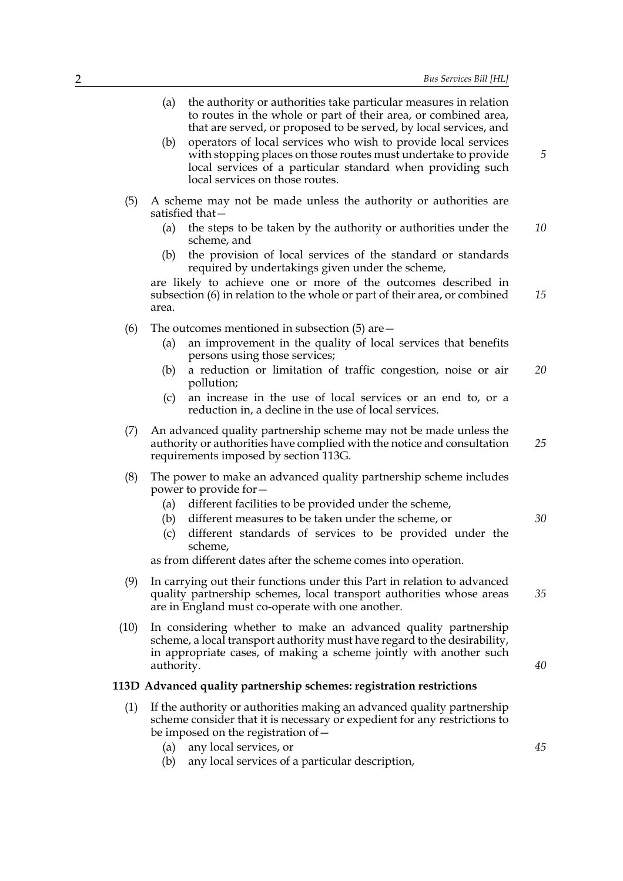|    | Bus Services Bill [HL]                                                                                                                                                                                                                                                                                  |      | 2 |
|----|---------------------------------------------------------------------------------------------------------------------------------------------------------------------------------------------------------------------------------------------------------------------------------------------------------|------|---|
|    | (a)<br>the authority or authorities take particular measures in relation<br>to routes in the whole or part of their area, or combined area,<br>that are served, or proposed to be served, by local services, and                                                                                        |      |   |
| 5  | operators of local services who wish to provide local services<br>(b)<br>with stopping places on those routes must undertake to provide<br>local services of a particular standard when providing such<br>local services on those routes.                                                               |      |   |
|    | A scheme may not be made unless the authority or authorities are<br>satisfied that-                                                                                                                                                                                                                     | (5)  |   |
| 10 | the steps to be taken by the authority or authorities under the<br>(a)<br>scheme, and                                                                                                                                                                                                                   |      |   |
|    | the provision of local services of the standard or standards<br>(b)<br>required by undertakings given under the scheme,                                                                                                                                                                                 |      |   |
| 15 | are likely to achieve one or more of the outcomes described in<br>subsection (6) in relation to the whole or part of their area, or combined<br>area.                                                                                                                                                   |      |   |
|    | The outcomes mentioned in subsection $(5)$ are $-$                                                                                                                                                                                                                                                      | (6)  |   |
|    | an improvement in the quality of local services that benefits<br>(a)<br>persons using those services;                                                                                                                                                                                                   |      |   |
| 20 | a reduction or limitation of traffic congestion, noise or air<br>(b)<br>pollution;                                                                                                                                                                                                                      |      |   |
|    | an increase in the use of local services or an end to, or a<br>(c)<br>reduction in, a decline in the use of local services.                                                                                                                                                                             |      |   |
| 25 | An advanced quality partnership scheme may not be made unless the<br>authority or authorities have complied with the notice and consultation<br>requirements imposed by section 113G.                                                                                                                   | (7)  |   |
| 30 | The power to make an advanced quality partnership scheme includes<br>power to provide for -<br>different facilities to be provided under the scheme,<br>(a)<br>different measures to be taken under the scheme, or<br>(b)<br>different standards of services to be provided under the<br>(c)<br>scheme, | (8)  |   |
|    | as from different dates after the scheme comes into operation.                                                                                                                                                                                                                                          |      |   |
| 35 | In carrying out their functions under this Part in relation to advanced<br>quality partnership schemes, local transport authorities whose areas<br>are in England must co-operate with one another.                                                                                                     | (9)  |   |
| 40 | In considering whether to make an advanced quality partnership<br>scheme, a local transport authority must have regard to the desirability,<br>in appropriate cases, of making a scheme jointly with another such<br>authority.                                                                         | (10) |   |
|    | 113D Advanced quality partnership schemes: registration restrictions                                                                                                                                                                                                                                    |      |   |
|    | If the authority or authorities making an advanced quality partnership<br>scheme consider that it is necessary or expedient for any restrictions to<br>be imposed on the registration of -                                                                                                              | (1)  |   |
| 45 | (a) any local services, or                                                                                                                                                                                                                                                                              |      |   |

- (a) any local services, or
- (b) any local services of a particular description,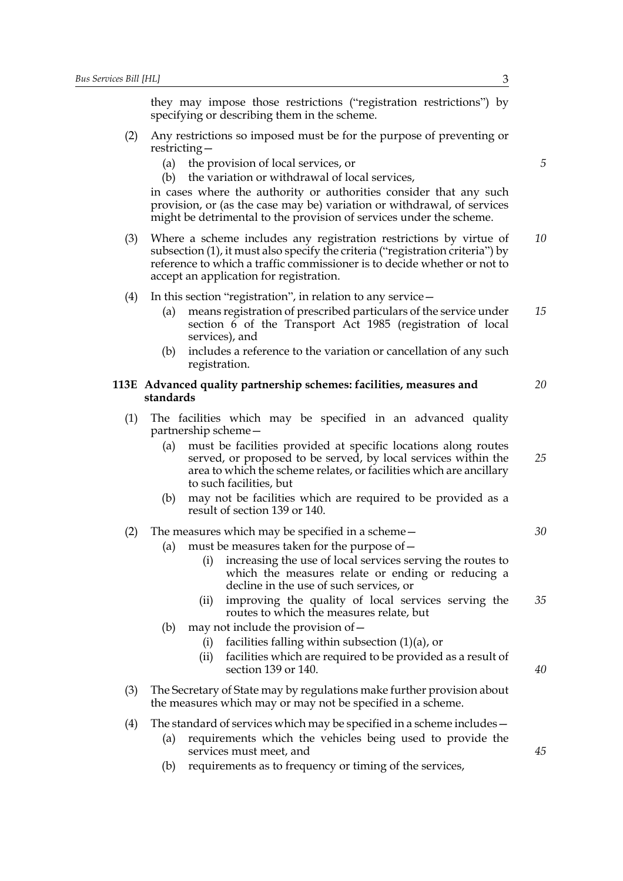they may impose those restrictions ("registration restrictions") by specifying or describing them in the scheme.

- (2) Any restrictions so imposed must be for the purpose of preventing or restricting—
	- (a) the provision of local services, or
	- (b) the variation or withdrawal of local services,

in cases where the authority or authorities consider that any such provision, or (as the case may be) variation or withdrawal, of services might be detrimental to the provision of services under the scheme.

- (3) Where a scheme includes any registration restrictions by virtue of subsection (1), it must also specify the criteria ("registration criteria") by reference to which a traffic commissioner is to decide whether or not to accept an application for registration. *10*
- (4) In this section "registration", in relation to any service—
	- (a) means registration of prescribed particulars of the service under section 6 of the Transport Act 1985 (registration of local services), and
	- (b) includes a reference to the variation or cancellation of any such registration.

#### **113E Advanced quality partnership schemes: facilities, measures and standards**

- (1) The facilities which may be specified in an advanced quality partnership scheme—
	- (a) must be facilities provided at specific locations along routes served, or proposed to be served, by local services within the area to which the scheme relates, or facilities which are ancillary to such facilities, but
	- (b) may not be facilities which are required to be provided as a result of section 139 or 140.
- (2) The measures which may be specified in a scheme—
	- (a) must be measures taken for the purpose of—
		- (i) increasing the use of local services serving the routes to which the measures relate or ending or reducing a decline in the use of such services, or
		- (ii) improving the quality of local services serving the routes to which the measures relate, but *35*
	- (b) may not include the provision of  $-$ 
		- (i) facilities falling within subsection  $(1)(a)$ , or
		- (ii) facilities which are required to be provided as a result of section 139 or 140.
- (3) The Secretary of State may by regulations make further provision about the measures which may or may not be specified in a scheme.
- (4) The standard of services which may be specified in a scheme includes—
	- (a) requirements which the vehicles being used to provide the services must meet, and
	- (b) requirements as to frequency or timing of the services,

*5*

*15*

*20*

*25*

*30*

*40*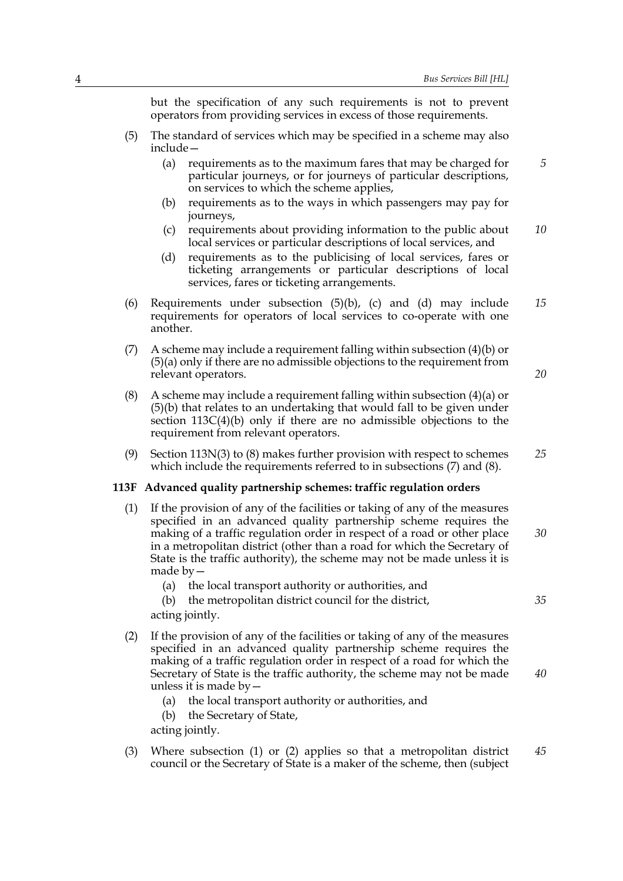but the specification of any such requirements is not to prevent operators from providing services in excess of those requirements.

- (5) The standard of services which may be specified in a scheme may also include—
	- (a) requirements as to the maximum fares that may be charged for particular journeys, or for journeys of particular descriptions, on services to which the scheme applies,
	- (b) requirements as to the ways in which passengers may pay for journeys,
	- (c) requirements about providing information to the public about local services or particular descriptions of local services, and *10*
	- (d) requirements as to the publicising of local services, fares or ticketing arrangements or particular descriptions of local services, fares or ticketing arrangements.
- (6) Requirements under subsection (5)(b), (c) and (d) may include requirements for operators of local services to co-operate with one another. *15*
- (7) A scheme may include a requirement falling within subsection (4)(b) or (5)(a) only if there are no admissible objections to the requirement from relevant operators.
- (8) A scheme may include a requirement falling within subsection  $(4)(a)$  or (5)(b) that relates to an undertaking that would fall to be given under section 113C(4)(b) only if there are no admissible objections to the requirement from relevant operators.
- (9) Section 113N(3) to (8) makes further provision with respect to schemes which include the requirements referred to in subsections (7) and (8). *25*

#### **113F Advanced quality partnership schemes: traffic regulation orders**

- (1) If the provision of any of the facilities or taking of any of the measures specified in an advanced quality partnership scheme requires the making of a traffic regulation order in respect of a road or other place in a metropolitan district (other than a road for which the Secretary of State is the traffic authority), the scheme may not be made unless it is made by— *30*
	- (a) the local transport authority or authorities, and

(b) the metropolitan district council for the district, acting jointly.

- (2) If the provision of any of the facilities or taking of any of the measures specified in an advanced quality partnership scheme requires the making of a traffic regulation order in respect of a road for which the Secretary of State is the traffic authority, the scheme may not be made unless it is made by—
	- (a) the local transport authority or authorities, and
	- (b) the Secretary of State,

acting jointly.

(3) Where subsection (1) or (2) applies so that a metropolitan district council or the Secretary of State is a maker of the scheme, then (subject *45*

*20*

*5*

*35*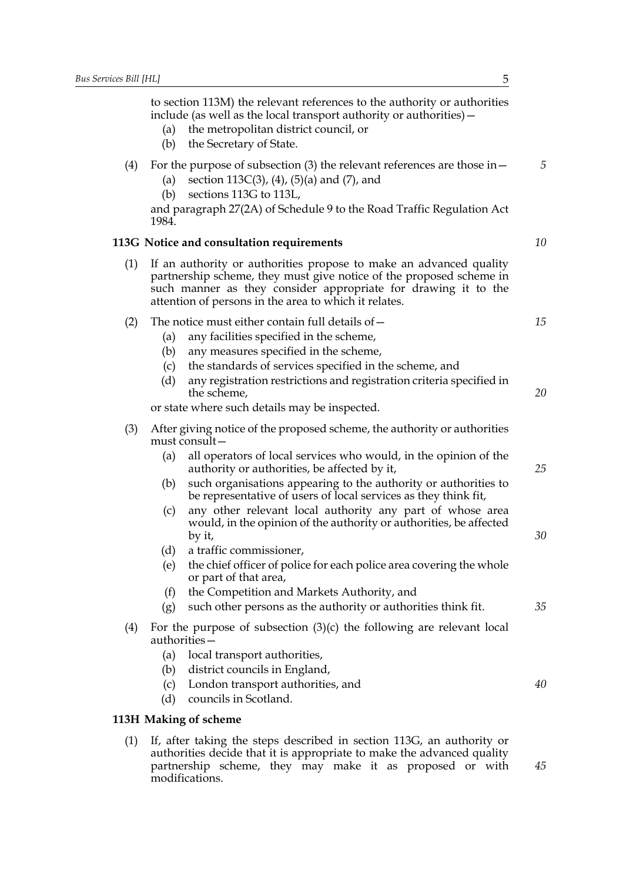to section 113M) the relevant references to the authority or authorities include (as well as the local transport authority or authorities)—

- (a) the metropolitan district council, or
- (b) the Secretary of State.

#### (4) For the purpose of subsection (3) the relevant references are those in—

- (a) section 113C(3), (4), (5)(a) and (7), and
- (b) sections 113G to 113L,

and paragraph 27(2A) of Schedule 9 to the Road Traffic Regulation Act 1984.

#### **113G Notice and consultation requirements**

(1) If an authority or authorities propose to make an advanced quality partnership scheme, they must give notice of the proposed scheme in such manner as they consider appropriate for drawing it to the attention of persons in the area to which it relates.

#### (2) The notice must either contain full details of  $-$

- (a) any facilities specified in the scheme,
- (b) any measures specified in the scheme,
- (c) the standards of services specified in the scheme, and
- (d) any registration restrictions and registration criteria specified in the scheme,

or state where such details may be inspected.

| (3) | After giving notice of the proposed scheme, the authority or authorities |
|-----|--------------------------------------------------------------------------|
|     | must consult –                                                           |

- (a) all operators of local services who would, in the opinion of the authority or authorities, be affected by it,
- (b) such organisations appearing to the authority or authorities to be representative of users of local services as they think fit,
- (c) any other relevant local authority any part of whose area would, in the opinion of the authority or authorities, be affected by it,
- (d) a traffic commissioner,
- (e) the chief officer of police for each police area covering the whole or part of that area,
- (f) the Competition and Markets Authority, and
- (g) such other persons as the authority or authorities think fit.
- (4) For the purpose of subsection (3)(c) the following are relevant local authorities—
	- (a) local transport authorities,
	- (b) district councils in England,
	- (c) London transport authorities, and
	- (d) councils in Scotland.

#### **113H Making of scheme**

(1) If, after taking the steps described in section 113G, an authority or authorities decide that it is appropriate to make the advanced quality partnership scheme, they may make it as proposed or with modifications.

*5*

*10*

*15*

*20*

*25*

*30*

*35*

*40*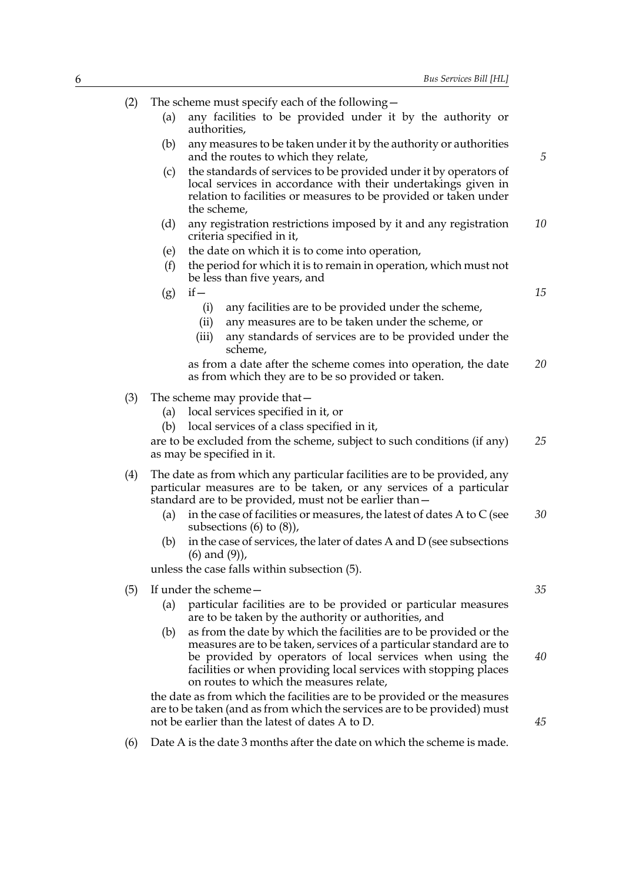| (2) | The scheme must specify each of the following –<br>any facilities to be provided under it by the authority or                                                                                                                                                                                                               |    |
|-----|-----------------------------------------------------------------------------------------------------------------------------------------------------------------------------------------------------------------------------------------------------------------------------------------------------------------------------|----|
|     | (a)<br>authorities,                                                                                                                                                                                                                                                                                                         |    |
|     | (b)<br>any measures to be taken under it by the authority or authorities<br>and the routes to which they relate,                                                                                                                                                                                                            | 5  |
|     | the standards of services to be provided under it by operators of<br>(c)<br>local services in accordance with their undertakings given in<br>relation to facilities or measures to be provided or taken under<br>the scheme,                                                                                                |    |
|     | any registration restrictions imposed by it and any registration<br>(d)<br>criteria specified in it,                                                                                                                                                                                                                        | 10 |
|     | the date on which it is to come into operation,<br>(e)                                                                                                                                                                                                                                                                      |    |
|     | the period for which it is to remain in operation, which must not<br>(f)<br>be less than five years, and                                                                                                                                                                                                                    |    |
|     | $if -$<br>(g)                                                                                                                                                                                                                                                                                                               | 15 |
|     | any facilities are to be provided under the scheme,<br>(i)                                                                                                                                                                                                                                                                  |    |
|     | any measures are to be taken under the scheme, or<br>(ii)                                                                                                                                                                                                                                                                   |    |
|     | (iii)<br>any standards of services are to be provided under the<br>scheme,                                                                                                                                                                                                                                                  |    |
|     | as from a date after the scheme comes into operation, the date<br>as from which they are to be so provided or taken.                                                                                                                                                                                                        | 20 |
| (3) | The scheme may provide that -                                                                                                                                                                                                                                                                                               |    |
|     | local services specified in it, or<br>(a)                                                                                                                                                                                                                                                                                   |    |
|     | local services of a class specified in it,<br>(b)                                                                                                                                                                                                                                                                           |    |
|     | are to be excluded from the scheme, subject to such conditions (if any)<br>as may be specified in it.                                                                                                                                                                                                                       | 25 |
| (4) | The date as from which any particular facilities are to be provided, any<br>particular measures are to be taken, or any services of a particular<br>standard are to be provided, must not be earlier than -                                                                                                                 |    |
|     | in the case of facilities or measures, the latest of dates A to $C$ (see<br>(a)<br>subsections $(6)$ to $(8)$ ),                                                                                                                                                                                                            | 30 |
|     | in the case of services, the later of dates A and D (see subsections<br>(b)<br>$(6)$ and $(9)$ ),                                                                                                                                                                                                                           |    |
|     | unless the case falls within subsection (5).                                                                                                                                                                                                                                                                                |    |
| (5) | If under the scheme-                                                                                                                                                                                                                                                                                                        | 35 |
|     | particular facilities are to be provided or particular measures<br>(a)<br>are to be taken by the authority or authorities, and                                                                                                                                                                                              |    |
|     | as from the date by which the facilities are to be provided or the<br>(b)<br>measures are to be taken, services of a particular standard are to<br>be provided by operators of local services when using the<br>facilities or when providing local services with stopping places<br>on routes to which the measures relate, | 40 |
|     | the date as from which the facilities are to be provided or the measures<br>are to be taken (and as from which the services are to be provided) must<br>not be earlier than the latest of dates A to D.                                                                                                                     | 45 |
|     |                                                                                                                                                                                                                                                                                                                             |    |

(6) Date A is the date 3 months after the date on which the scheme is made.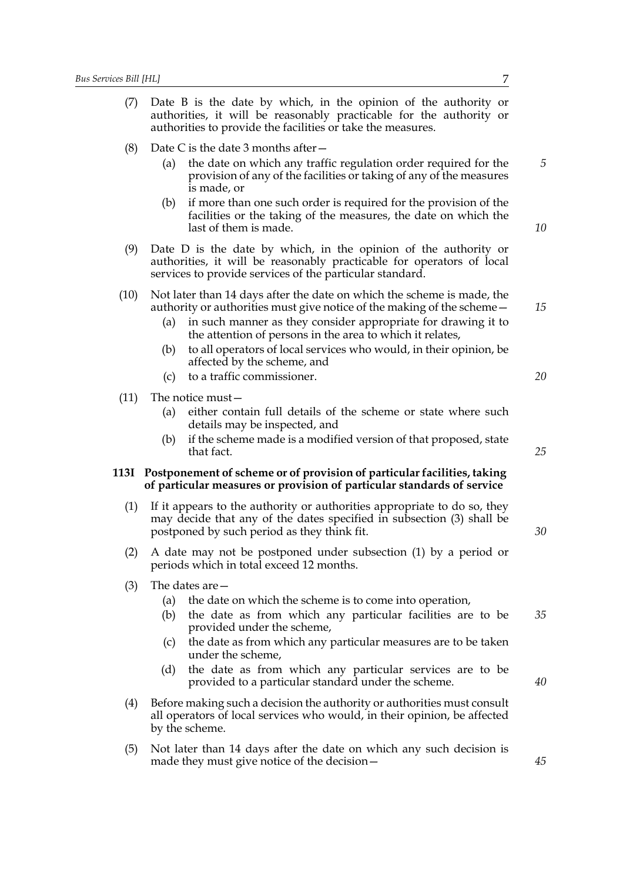| (7)  | Date B is the date by which, in the opinion of the authority or<br>authorities, it will be reasonably practicable for the authority or<br>authorities to provide the facilities or take the measures.                                                                                                                                                                                                          |          |  |
|------|----------------------------------------------------------------------------------------------------------------------------------------------------------------------------------------------------------------------------------------------------------------------------------------------------------------------------------------------------------------------------------------------------------------|----------|--|
| (8)  | Date C is the date 3 months after $-$                                                                                                                                                                                                                                                                                                                                                                          |          |  |
|      | the date on which any traffic regulation order required for the<br>(a)<br>provision of any of the facilities or taking of any of the measures<br>is made, or                                                                                                                                                                                                                                                   | 5        |  |
|      | if more than one such order is required for the provision of the<br>(b)<br>facilities or the taking of the measures, the date on which the<br>last of them is made.                                                                                                                                                                                                                                            | 10       |  |
| (9)  | Date D is the date by which, in the opinion of the authority or<br>authorities, it will be reasonably practicable for operators of local<br>services to provide services of the particular standard.                                                                                                                                                                                                           |          |  |
| (10) | Not later than 14 days after the date on which the scheme is made, the<br>authority or authorities must give notice of the making of the scheme –<br>in such manner as they consider appropriate for drawing it to<br>(a)<br>the attention of persons in the area to which it relates,<br>to all operators of local services who would, in their opinion, be<br>(b)<br>affected by the scheme, and             | 15       |  |
|      | to a traffic commissioner.<br>(c)                                                                                                                                                                                                                                                                                                                                                                              | 20       |  |
| (11) | The notice must –                                                                                                                                                                                                                                                                                                                                                                                              |          |  |
|      | either contain full details of the scheme or state where such<br>(a)<br>details may be inspected, and                                                                                                                                                                                                                                                                                                          |          |  |
|      | if the scheme made is a modified version of that proposed, state<br>(b)<br>that fact.                                                                                                                                                                                                                                                                                                                          | 25       |  |
|      | 113I Postponement of scheme or of provision of particular facilities, taking<br>of particular measures or provision of particular standards of service                                                                                                                                                                                                                                                         |          |  |
| (1)  | If it appears to the authority or authorities appropriate to do so, they<br>may decide that any of the dates specified in subsection (3) shall be<br>postponed by such period as they think fit.                                                                                                                                                                                                               |          |  |
|      | (2) A date may not be postponed under subsection (1) by a period or<br>periods which in total exceed 12 months.                                                                                                                                                                                                                                                                                                |          |  |
| (3)  | The dates are $-$<br>the date on which the scheme is to come into operation,<br>(a)<br>the date as from which any particular facilities are to be<br>(b)<br>provided under the scheme,<br>the date as from which any particular measures are to be taken<br>(c)<br>under the scheme,<br>the date as from which any particular services are to be<br>(d)<br>provided to a particular standard under the scheme. | 35<br>40 |  |
| (4)  | Before making such a decision the authority or authorities must consult<br>all operators of local services who would, in their opinion, be affected<br>by the scheme.                                                                                                                                                                                                                                          |          |  |

(5) Not later than 14 days after the date on which any such decision is made they must give notice of the decision—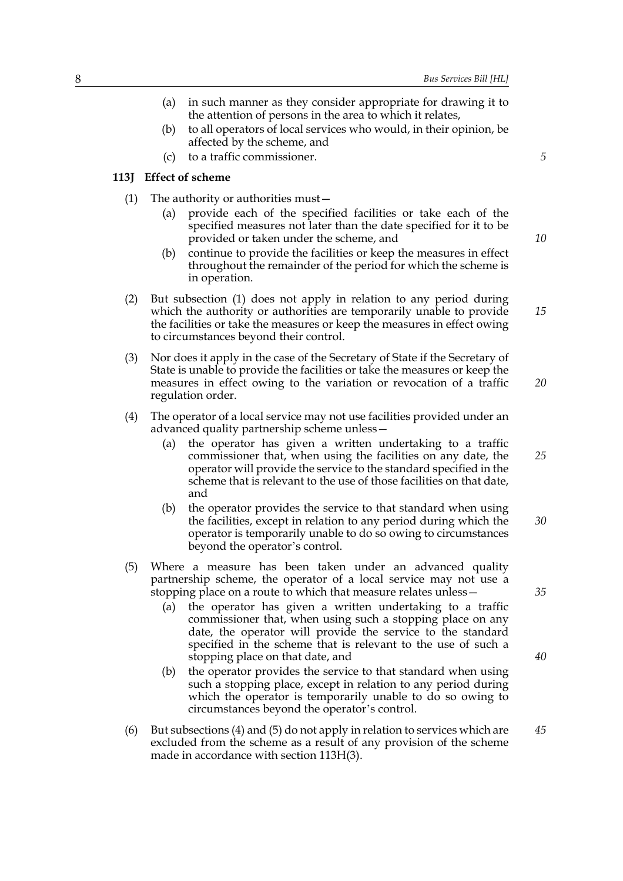- (a) in such manner as they consider appropriate for drawing it to the attention of persons in the area to which it relates,
- (b) to all operators of local services who would, in their opinion, be affected by the scheme, and
- (c) to a traffic commissioner.

#### **113J Effect of scheme**

- (1) The authority or authorities must—
	- (a) provide each of the specified facilities or take each of the specified measures not later than the date specified for it to be provided or taken under the scheme, and
	- (b) continue to provide the facilities or keep the measures in effect throughout the remainder of the period for which the scheme is in operation.
- (2) But subsection (1) does not apply in relation to any period during which the authority or authorities are temporarily unable to provide the facilities or take the measures or keep the measures in effect owing to circumstances beyond their control.
- (3) Nor does it apply in the case of the Secretary of State if the Secretary of State is unable to provide the facilities or take the measures or keep the measures in effect owing to the variation or revocation of a traffic regulation order.
- (4) The operator of a local service may not use facilities provided under an advanced quality partnership scheme unless—
	- (a) the operator has given a written undertaking to a traffic commissioner that, when using the facilities on any date, the operator will provide the service to the standard specified in the scheme that is relevant to the use of those facilities on that date, and *25*
	- (b) the operator provides the service to that standard when using the facilities, except in relation to any period during which the operator is temporarily unable to do so owing to circumstances beyond the operator's control. *30*
- (5) Where a measure has been taken under an advanced quality partnership scheme, the operator of a local service may not use a stopping place on a route to which that measure relates unless—
	- (a) the operator has given a written undertaking to a traffic commissioner that, when using such a stopping place on any date, the operator will provide the service to the standard specified in the scheme that is relevant to the use of such a stopping place on that date, and
	- (b) the operator provides the service to that standard when using such a stopping place, except in relation to any period during which the operator is temporarily unable to do so owing to circumstances beyond the operator's control.
- (6) But subsections (4) and (5) do not apply in relation to services which are excluded from the scheme as a result of any provision of the scheme made in accordance with section 113H(3).

*10*

*5*

*20*

*15*

*40*

*45*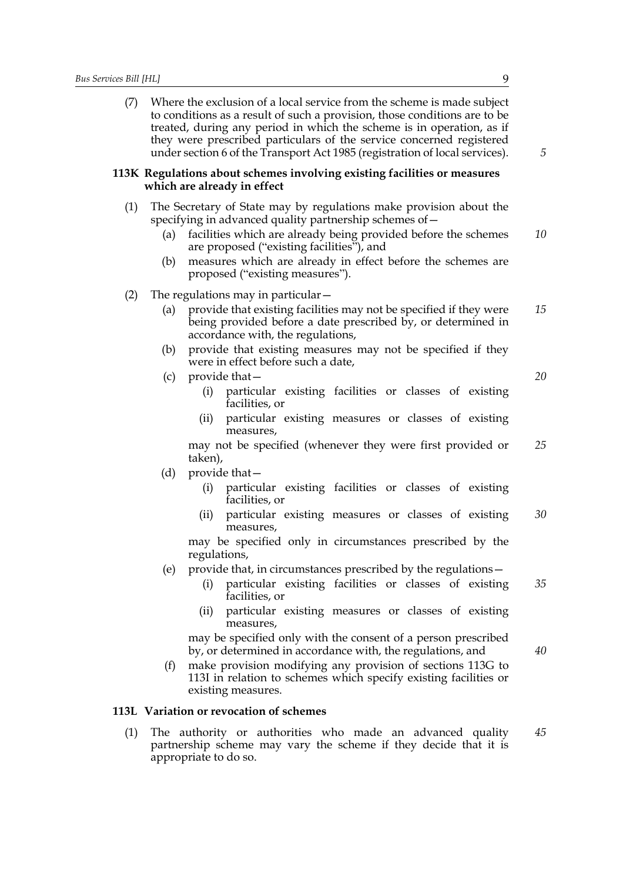(7) Where the exclusion of a local service from the scheme is made subject to conditions as a result of such a provision, those conditions are to be treated, during any period in which the scheme is in operation, as if they were prescribed particulars of the service concerned registered under section 6 of the Transport Act 1985 (registration of local services).

#### **113K Regulations about schemes involving existing facilities or measures which are already in effect**

- (1) The Secretary of State may by regulations make provision about the specifying in advanced quality partnership schemes of—
	- (a) facilities which are already being provided before the schemes are proposed ("existing facilities"), and *10*
	- (b) measures which are already in effect before the schemes are proposed ("existing measures").
- (2) The regulations may in particular—
	- (a) provide that existing facilities may not be specified if they were being provided before a date prescribed by, or determined in accordance with, the regulations, *15*
	- (b) provide that existing measures may not be specified if they were in effect before such a date,
	- (c) provide that—

(i) particular existing facilities or classes of existing facilities, or

(ii) particular existing measures or classes of existing measures,

may not be specified (whenever they were first provided or taken), *25*

- (d) provide that—
	- (i) particular existing facilities or classes of existing facilities, or
	- (ii) particular existing measures or classes of existing measures, *30*

may be specified only in circumstances prescribed by the regulations,

- (e) provide that, in circumstances prescribed by the regulations—
	- (i) particular existing facilities or classes of existing facilities, or *35*
	- (ii) particular existing measures or classes of existing measures,

may be specified only with the consent of a person prescribed by, or determined in accordance with, the regulations, and

(f) make provision modifying any provision of sections 113G to 113I in relation to schemes which specify existing facilities or existing measures.

#### **113L Variation or revocation of schemes**

(1) The authority or authorities who made an advanced quality partnership scheme may vary the scheme if they decide that it is appropriate to do so. *45*

*5*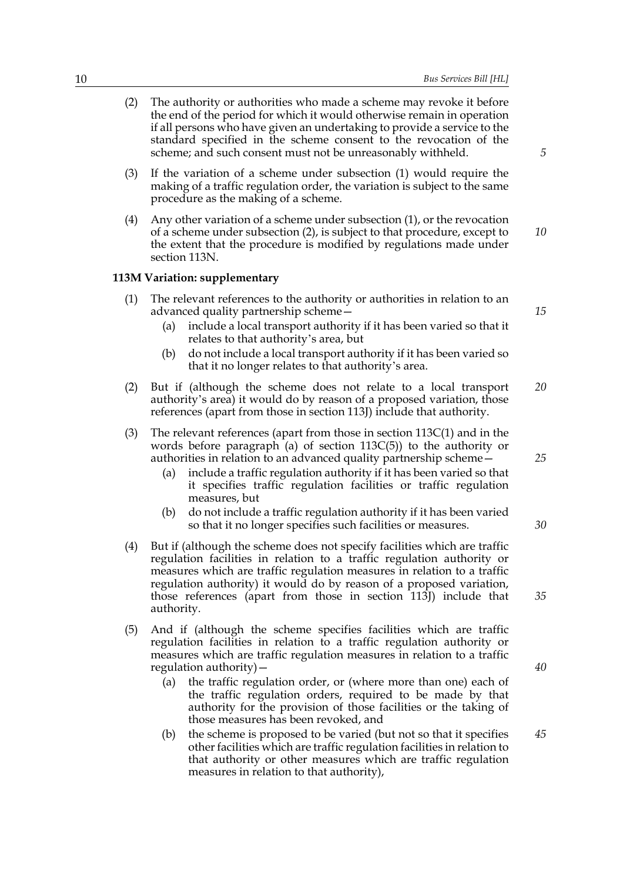- (2) The authority or authorities who made a scheme may revoke it before the end of the period for which it would otherwise remain in operation if all persons who have given an undertaking to provide a service to the standard specified in the scheme consent to the revocation of the scheme; and such consent must not be unreasonably withheld.
- (3) If the variation of a scheme under subsection (1) would require the making of a traffic regulation order, the variation is subject to the same procedure as the making of a scheme.
- (4) Any other variation of a scheme under subsection (1), or the revocation of a scheme under subsection (2), is subject to that procedure, except to the extent that the procedure is modified by regulations made under section 113N. *10*

#### **113M Variation: supplementary**

- (1) The relevant references to the authority or authorities in relation to an advanced quality partnership scheme—
	- (a) include a local transport authority if it has been varied so that it relates to that authority's area, but
	- (b) do not include a local transport authority if it has been varied so that it no longer relates to that authority's area.
- (2) But if (although the scheme does not relate to a local transport authority's area) it would do by reason of a proposed variation, those references (apart from those in section 113J) include that authority. *20*
- (3) The relevant references (apart from those in section 113C(1) and in the words before paragraph (a) of section 113C(5)) to the authority or authorities in relation to an advanced quality partnership scheme—
	- (a) include a traffic regulation authority if it has been varied so that it specifies traffic regulation facilities or traffic regulation measures, but
	- (b) do not include a traffic regulation authority if it has been varied so that it no longer specifies such facilities or measures.
- (4) But if (although the scheme does not specify facilities which are traffic regulation facilities in relation to a traffic regulation authority or measures which are traffic regulation measures in relation to a traffic regulation authority) it would do by reason of a proposed variation, those references (apart from those in section 113J) include that authority.
- (5) And if (although the scheme specifies facilities which are traffic regulation facilities in relation to a traffic regulation authority or measures which are traffic regulation measures in relation to a traffic regulation authority)—
	- (a) the traffic regulation order, or (where more than one) each of the traffic regulation orders, required to be made by that authority for the provision of those facilities or the taking of those measures has been revoked, and
	- (b) the scheme is proposed to be varied (but not so that it specifies other facilities which are traffic regulation facilities in relation to that authority or other measures which are traffic regulation measures in relation to that authority),

*15*

*5*

*25*

*30*

*40*

*45*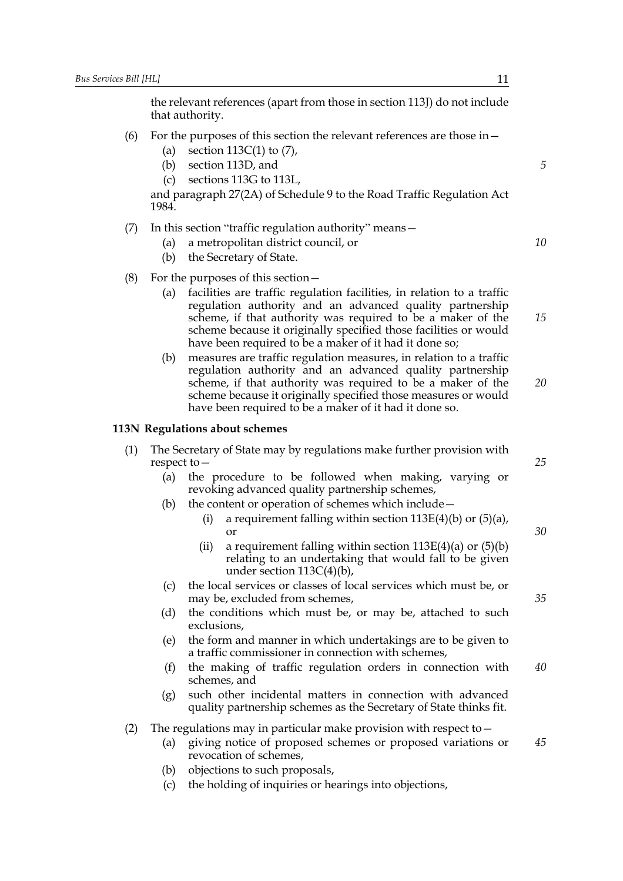the relevant references (apart from those in section 113J) do not include that authority.

- (6) For the purposes of this section the relevant references are those in  $-$ 
	- (a) section 113C(1) to (7),
	- (b) section 113D, and
	- (c) sections 113G to 113L,

and paragraph 27(2A) of Schedule 9 to the Road Traffic Regulation Act 1984.

- (7) In this section "traffic regulation authority" means—
	- (a) a metropolitan district council, or
	- (b) the Secretary of State.
- (8) For the purposes of this section  $-$ 
	- (a) facilities are traffic regulation facilities, in relation to a traffic regulation authority and an advanced quality partnership scheme, if that authority was required to be a maker of the scheme because it originally specified those facilities or would have been required to be a maker of it had it done so;
	- (b) measures are traffic regulation measures, in relation to a traffic regulation authority and an advanced quality partnership scheme, if that authority was required to be a maker of the scheme because it originally specified those measures or would have been required to be a maker of it had it done so.

#### **113N Regulations about schemes**

- (1) The Secretary of State may by regulations make further provision with respect to—
	- (a) the procedure to be followed when making, varying or revoking advanced quality partnership schemes,
	- (b) the content or operation of schemes which include—
		- (i) a requirement falling within section  $113E(4)(b)$  or  $(5)(a)$ , or
		- (ii) a requirement falling within section  $113E(4)(a)$  or  $(5)(b)$ relating to an undertaking that would fall to be given under section  $113C(4)(b)$ ,
	- (c) the local services or classes of local services which must be, or may be, excluded from schemes,
	- (d) the conditions which must be, or may be, attached to such exclusions,
	- (e) the form and manner in which undertakings are to be given to a traffic commissioner in connection with schemes,
	- (f) the making of traffic regulation orders in connection with schemes, and *40*
	- (g) such other incidental matters in connection with advanced quality partnership schemes as the Secretary of State thinks fit.
- (2) The regulations may in particular make provision with respect to  $-$ 
	- (a) giving notice of proposed schemes or proposed variations or revocation of schemes, *45*
	- (b) objections to such proposals,
	- (c) the holding of inquiries or hearings into objections,

*10*

*15*

*5*

*20*

*25*

*30*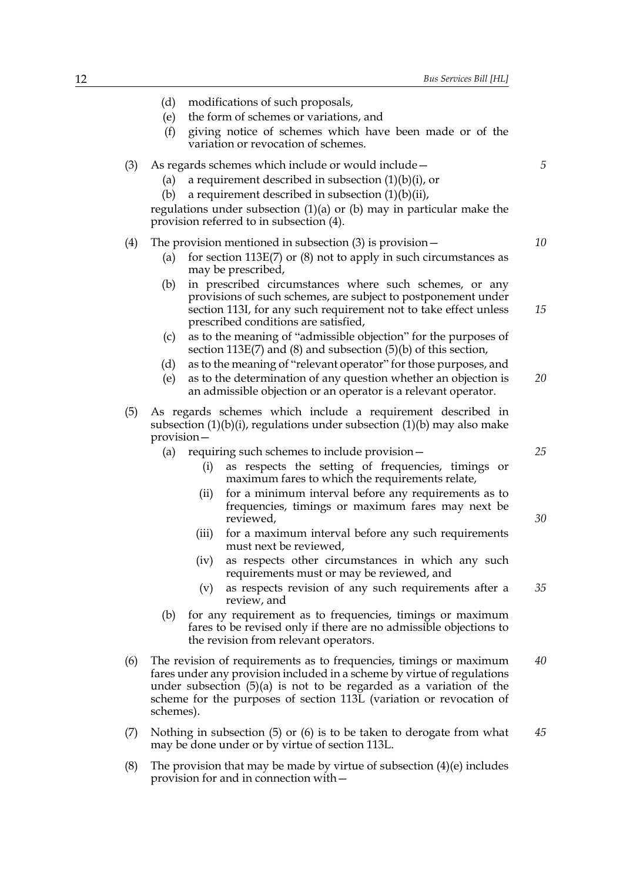- (d) modifications of such proposals,
- (e) the form of schemes or variations, and
- (f) giving notice of schemes which have been made or of the variation or revocation of schemes.
- (3) As regards schemes which include or would include—
	- (a) a requirement described in subsection  $(1)(b)(i)$ , or
	- (b) a requirement described in subsection  $(1)(b)(ii)$ ,

regulations under subsection (1)(a) or (b) may in particular make the provision referred to in subsection (4).

#### (4) The provision mentioned in subsection (3) is provision—

- (a) for section  $113E(7)$  or  $(8)$  not to apply in such circumstances as may be prescribed,
- (b) in prescribed circumstances where such schemes, or any provisions of such schemes, are subject to postponement under section 113I, for any such requirement not to take effect unless prescribed conditions are satisfied, *15*
- (c) as to the meaning of "admissible objection" for the purposes of section 113E(7) and (8) and subsection (5)(b) of this section,
- (d) as to the meaning of "relevant operator" for those purposes, and
- (e) as to the determination of any question whether an objection is an admissible objection or an operator is a relevant operator. *20*
- (5) As regards schemes which include a requirement described in subsection  $(1)(b)(i)$ , regulations under subsection  $(1)(b)$  may also make provision—
	- (a) requiring such schemes to include provision—
		- (i) as respects the setting of frequencies, timings or maximum fares to which the requirements relate,
		- (ii) for a minimum interval before any requirements as to frequencies, timings or maximum fares may next be reviewed,
		- (iii) for a maximum interval before any such requirements must next be reviewed,
		- (iv) as respects other circumstances in which any such requirements must or may be reviewed, and
		- (v) as respects revision of any such requirements after a review, and *35*
	- (b) for any requirement as to frequencies, timings or maximum fares to be revised only if there are no admissible objections to the revision from relevant operators.
- (6) The revision of requirements as to frequencies, timings or maximum fares under any provision included in a scheme by virtue of regulations under subsection (5)(a) is not to be regarded as a variation of the scheme for the purposes of section 113L (variation or revocation of schemes). *40*
- (7) Nothing in subsection (5) or (6) is to be taken to derogate from what may be done under or by virtue of section 113L. *45*
- (8) The provision that may be made by virtue of subsection  $(4)(e)$  includes provision for and in connection with—

*10*

*5*

*25*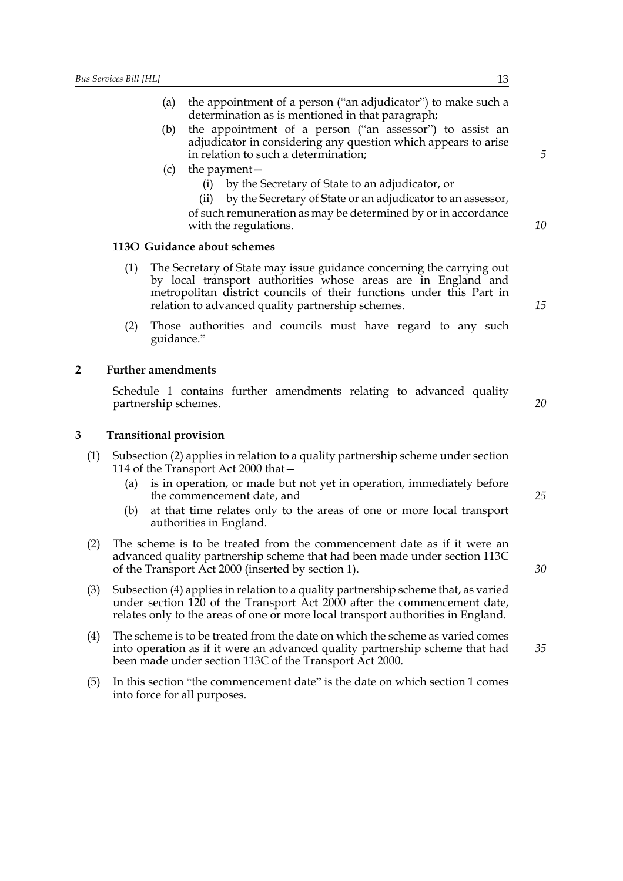- (a) the appointment of a person ("an adjudicator") to make such a determination as is mentioned in that paragraph;
- (b) the appointment of a person ("an assessor") to assist an adjudicator in considering any question which appears to arise in relation to such a determination;
- (c) the payment—
	- (i) by the Secretary of State to an adjudicator, or
	- (ii) by the Secretary of State or an adjudicator to an assessor,
	- of such remuneration as may be determined by or in accordance with the regulations.

#### **113O Guidance about schemes**

- (1) The Secretary of State may issue guidance concerning the carrying out by local transport authorities whose areas are in England and metropolitan district councils of their functions under this Part in relation to advanced quality partnership schemes.
- (2) Those authorities and councils must have regard to any such guidance."

#### **2 Further amendments**

Schedule 1 contains further amendments relating to advanced quality partnership schemes.

#### **3 Transitional provision**

- (1) Subsection (2) applies in relation to a quality partnership scheme under section 114 of the Transport Act 2000 that—
	- (a) is in operation, or made but not yet in operation, immediately before the commencement date, and
	- (b) at that time relates only to the areas of one or more local transport authorities in England.
- (2) The scheme is to be treated from the commencement date as if it were an advanced quality partnership scheme that had been made under section 113C of the Transport Act 2000 (inserted by section 1).
- (3) Subsection (4) applies in relation to a quality partnership scheme that, as varied under section 120 of the Transport Act 2000 after the commencement date, relates only to the areas of one or more local transport authorities in England.
- (4) The scheme is to be treated from the date on which the scheme as varied comes into operation as if it were an advanced quality partnership scheme that had been made under section 113C of the Transport Act 2000.
- (5) In this section "the commencement date" is the date on which section 1 comes into force for all purposes.

*5*

*10*

*20*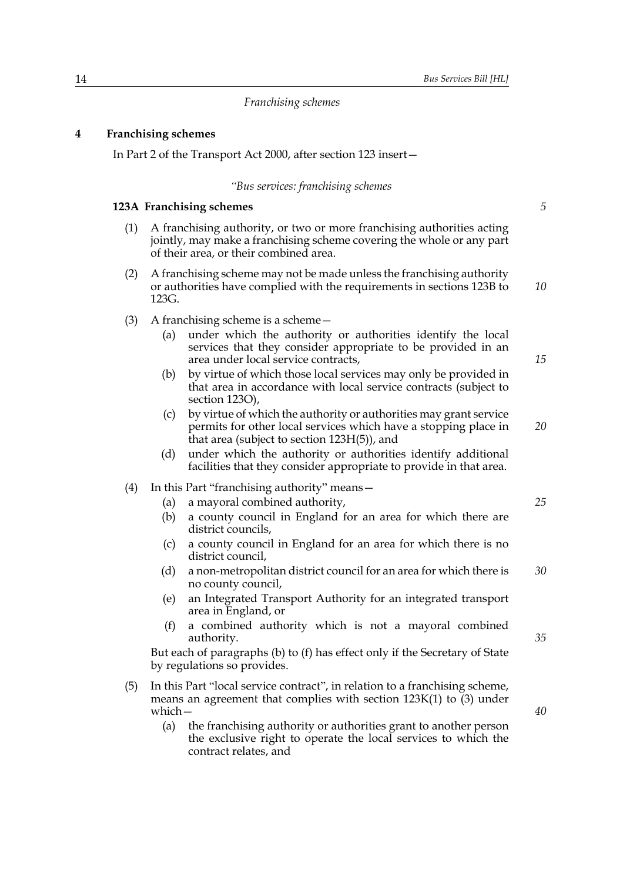#### *Franchising schemes*

#### **4 Franchising schemes**

In Part 2 of the Transport Act 2000, after section 123 insert—

#### *"Bus services: franchising schemes*

#### **123A Franchising schemes**

- (1) A franchising authority, or two or more franchising authorities acting jointly, may make a franchising scheme covering the whole or any part of their area, or their combined area.
- (2) A franchising scheme may not be made unless the franchising authority or authorities have complied with the requirements in sections 123B to 123G. *10*
- (3) A franchising scheme is a scheme—
	- (a) under which the authority or authorities identify the local services that they consider appropriate to be provided in an area under local service contracts,
	- (b) by virtue of which those local services may only be provided in that area in accordance with local service contracts (subject to section 123O),
	- (c) by virtue of which the authority or authorities may grant service permits for other local services which have a stopping place in that area (subject to section 123H(5)), and *20*
	- (d) under which the authority or authorities identify additional facilities that they consider appropriate to provide in that area.

#### (4) In this Part "franchising authority" means—

- (a) a mayoral combined authority,
- (b) a county council in England for an area for which there are district councils,
- (c) a county council in England for an area for which there is no district council,
- (d) a non-metropolitan district council for an area for which there is no county council, *30*
- (e) an Integrated Transport Authority for an integrated transport area in England, or
- (f) a combined authority which is not a mayoral combined authority.

But each of paragraphs (b) to (f) has effect only if the Secretary of State by regulations so provides.

- (5) In this Part "local service contract", in relation to a franchising scheme, means an agreement that complies with section  $123K(1)$  to  $(3)$  under which—
	- (a) the franchising authority or authorities grant to another person the exclusive right to operate the local services to which the contract relates, and

*35*

*25*

*5*

*15*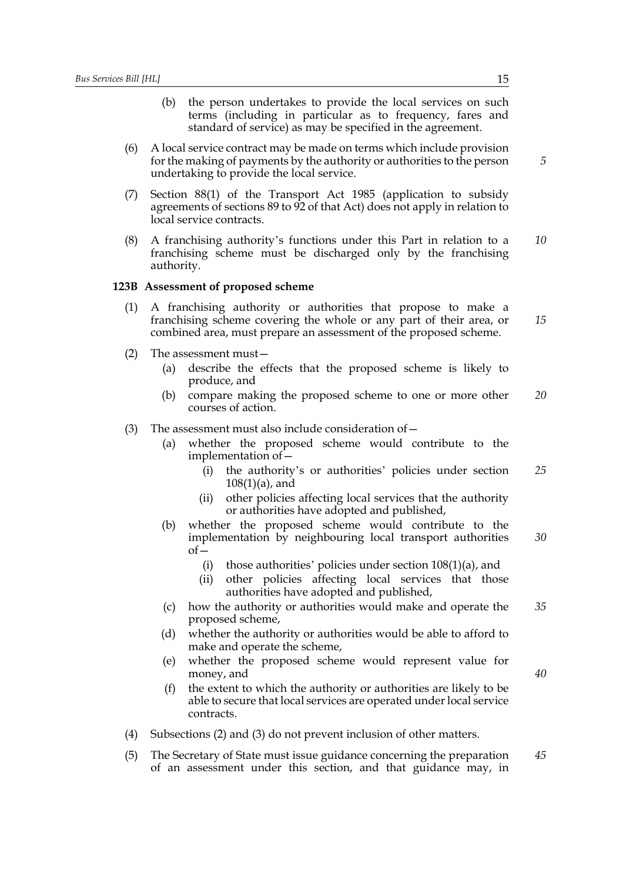- (b) the person undertakes to provide the local services on such terms (including in particular as to frequency, fares and standard of service) as may be specified in the agreement.
- (6) A local service contract may be made on terms which include provision for the making of payments by the authority or authorities to the person undertaking to provide the local service.
- (7) Section 88(1) of the Transport Act 1985 (application to subsidy agreements of sections 89 to 92 of that Act) does not apply in relation to local service contracts.
- (8) A franchising authority's functions under this Part in relation to a franchising scheme must be discharged only by the franchising authority. *10*

#### **123B Assessment of proposed scheme**

- (1) A franchising authority or authorities that propose to make a franchising scheme covering the whole or any part of their area, or combined area, must prepare an assessment of the proposed scheme. *15*
- (2) The assessment must—
	- (a) describe the effects that the proposed scheme is likely to produce, and
	- (b) compare making the proposed scheme to one or more other courses of action. *20*
- (3) The assessment must also include consideration of  $-$ 
	- (a) whether the proposed scheme would contribute to the implementation of—
		- (i) the authority's or authorities' policies under section 108(1)(a), and *25*
		- (ii) other policies affecting local services that the authority or authorities have adopted and published,
	- (b) whether the proposed scheme would contribute to the implementation by neighbouring local transport authorities  $of$ *30*
		- (i) those authorities' policies under section  $108(1)(a)$ , and
		- (ii) other policies affecting local services that those authorities have adopted and published,
	- (c) how the authority or authorities would make and operate the proposed scheme, *35*
	- (d) whether the authority or authorities would be able to afford to make and operate the scheme,
	- (e) whether the proposed scheme would represent value for money, and
	- (f) the extent to which the authority or authorities are likely to be able to secure that local services are operated under local service contracts.
- (4) Subsections (2) and (3) do not prevent inclusion of other matters.
- (5) The Secretary of State must issue guidance concerning the preparation of an assessment under this section, and that guidance may, in *45*

*5*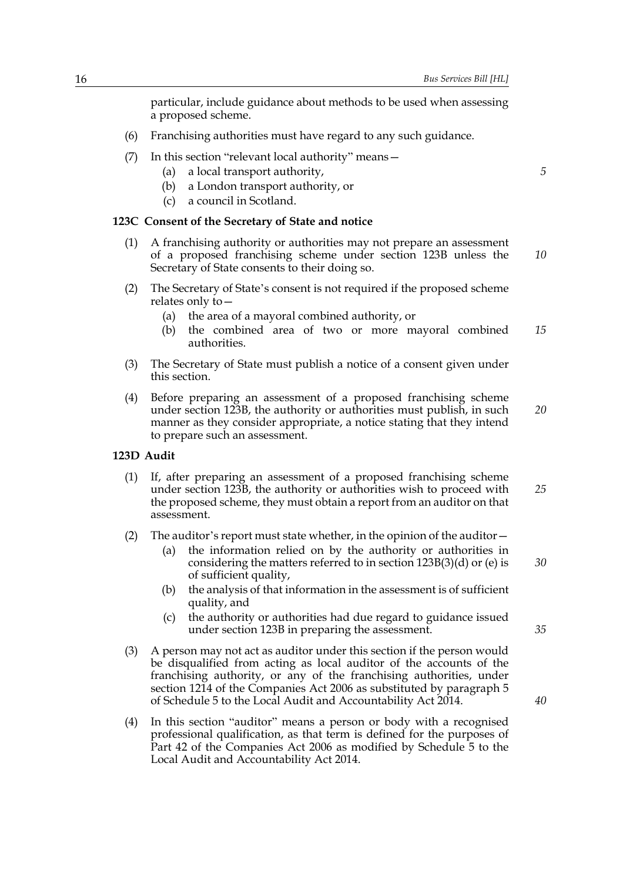particular, include guidance about methods to be used when assessing a proposed scheme.

- (6) Franchising authorities must have regard to any such guidance.
- (7) In this section "relevant local authority" means—
	- (a) a local transport authority,
	- (b) a London transport authority, or
	- (c) a council in Scotland.

#### **123C Consent of the Secretary of State and notice**

- (1) A franchising authority or authorities may not prepare an assessment of a proposed franchising scheme under section 123B unless the Secretary of State consents to their doing so. *10*
- (2) The Secretary of State's consent is not required if the proposed scheme relates only to—
	- (a) the area of a mayoral combined authority, or
	- (b) the combined area of two or more mayoral combined authorities. *15*
- (3) The Secretary of State must publish a notice of a consent given under this section.
- (4) Before preparing an assessment of a proposed franchising scheme under section 123B, the authority or authorities must publish, in such manner as they consider appropriate, a notice stating that they intend to prepare such an assessment. *20*

#### **123D Audit**

- (1) If, after preparing an assessment of a proposed franchising scheme under section 123B, the authority or authorities wish to proceed with the proposed scheme, they must obtain a report from an auditor on that assessment. *25*
- (2) The auditor's report must state whether, in the opinion of the auditor  $-$ 
	- (a) the information relied on by the authority or authorities in considering the matters referred to in section 123B(3)(d) or (e) is of sufficient quality,
	- (b) the analysis of that information in the assessment is of sufficient quality, and
	- (c) the authority or authorities had due regard to guidance issued under section 123B in preparing the assessment.
- (3) A person may not act as auditor under this section if the person would be disqualified from acting as local auditor of the accounts of the franchising authority, or any of the franchising authorities, under section 1214 of the Companies Act 2006 as substituted by paragraph 5 of Schedule 5 to the Local Audit and Accountability Act 2014.
- (4) In this section "auditor" means a person or body with a recognised professional qualification, as that term is defined for the purposes of Part 42 of the Companies Act 2006 as modified by Schedule 5 to the Local Audit and Accountability Act 2014.

*5*

*40*

*35*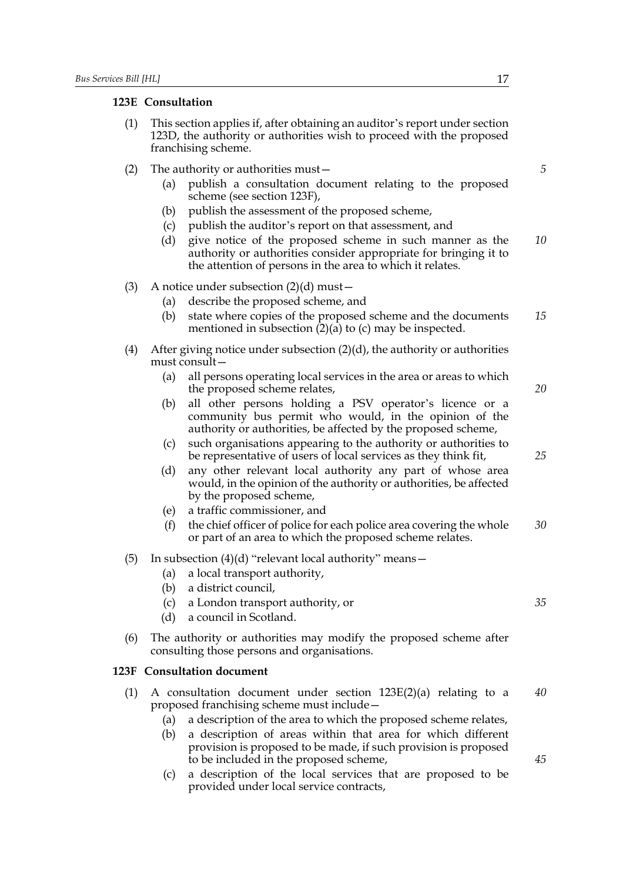#### **123E Consultation**

- (1) This section applies if, after obtaining an auditor's report under section 123D, the authority or authorities wish to proceed with the proposed franchising scheme.
- (2) The authority or authorities must—
	- (a) publish a consultation document relating to the proposed scheme (see section 123F),
	- (b) publish the assessment of the proposed scheme,
	- (c) publish the auditor's report on that assessment, and
	- (d) give notice of the proposed scheme in such manner as the authority or authorities consider appropriate for bringing it to the attention of persons in the area to which it relates. *10*
- (3) A notice under subsection  $(2)(d)$  must
	- (a) describe the proposed scheme, and
	- (b) state where copies of the proposed scheme and the documents mentioned in subsection  $(2)(a)$  to (c) may be inspected. *15*
- (4) After giving notice under subsection  $(2)(d)$ , the authority or authorities must consult—
	- (a) all persons operating local services in the area or areas to which the proposed scheme relates,
	- (b) all other persons holding a PSV operator's licence or a community bus permit who would, in the opinion of the authority or authorities, be affected by the proposed scheme,
	- (c) such organisations appearing to the authority or authorities to be representative of users of local services as they think fit,
	- (d) any other relevant local authority any part of whose area would, in the opinion of the authority or authorities, be affected by the proposed scheme,
	- (e) a traffic commissioner, and
	- (f) the chief officer of police for each police area covering the whole or part of an area to which the proposed scheme relates. *30*
- (5) In subsection  $(4)(d)$  "relevant local authority" means  $-$ 
	- (a) a local transport authority,
	- (b) a district council,
	- (c) a London transport authority, or
	- (d) a council in Scotland.
- (6) The authority or authorities may modify the proposed scheme after consulting those persons and organisations.

#### **123F Consultation document**

- (1) A consultation document under section 123E(2)(a) relating to a proposed franchising scheme must include— *40*
	- (a) a description of the area to which the proposed scheme relates,
	- (b) a description of areas within that area for which different provision is proposed to be made, if such provision is proposed to be included in the proposed scheme,
	- (c) a description of the local services that are proposed to be provided under local service contracts,

*5*

*20*

*25*

*35*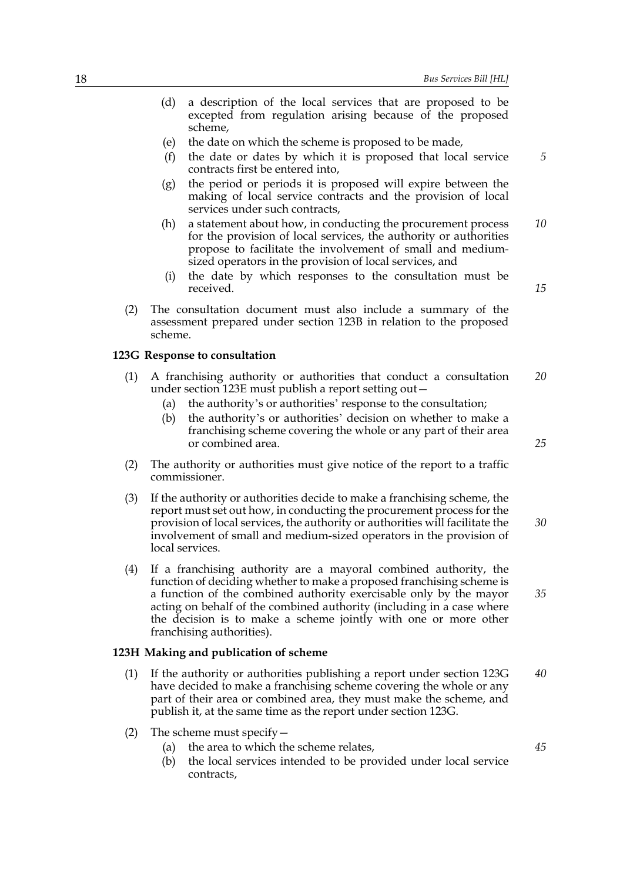- (d) a description of the local services that are proposed to be excepted from regulation arising because of the proposed scheme,
- (e) the date on which the scheme is proposed to be made,
- (f) the date or dates by which it is proposed that local service contracts first be entered into,
- (g) the period or periods it is proposed will expire between the making of local service contracts and the provision of local services under such contracts,
- (h) a statement about how, in conducting the procurement process for the provision of local services, the authority or authorities propose to facilitate the involvement of small and mediumsized operators in the provision of local services, and *10*
- (i) the date by which responses to the consultation must be received.
- (2) The consultation document must also include a summary of the assessment prepared under section 123B in relation to the proposed scheme.

#### **123G Response to consultation**

- (1) A franchising authority or authorities that conduct a consultation under section 123E must publish a report setting out— *20*
	- (a) the authority's or authorities' response to the consultation;
	- (b) the authority's or authorities' decision on whether to make a franchising scheme covering the whole or any part of their area or combined area.
- (2) The authority or authorities must give notice of the report to a traffic commissioner.
- (3) If the authority or authorities decide to make a franchising scheme, the report must set out how, in conducting the procurement process for the provision of local services, the authority or authorities will facilitate the involvement of small and medium-sized operators in the provision of local services. *30*
- (4) If a franchising authority are a mayoral combined authority, the function of deciding whether to make a proposed franchising scheme is a function of the combined authority exercisable only by the mayor acting on behalf of the combined authority (including in a case where the decision is to make a scheme jointly with one or more other franchising authorities).

#### **123H Making and publication of scheme**

- (1) If the authority or authorities publishing a report under section 123G have decided to make a franchising scheme covering the whole or any part of their area or combined area, they must make the scheme, and publish it, at the same time as the report under section 123G. *40*
- (2) The scheme must specify—
	- (a) the area to which the scheme relates,
	- (b) the local services intended to be provided under local service contracts,

*15*

*25*

*35*

*45*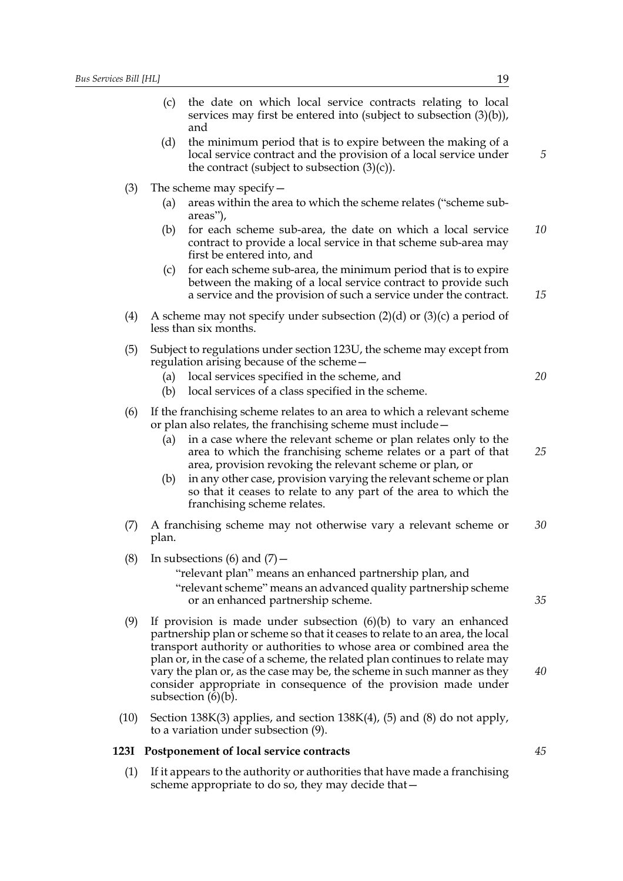- (c) the date on which local service contracts relating to local services may first be entered into (subject to subsection  $(3)(b)$ ), and
- (d) the minimum period that is to expire between the making of a local service contract and the provision of a local service under the contract (subject to subsection  $(3)(c)$ ).
- (3) The scheme may specify—
	- (a) areas within the area to which the scheme relates ("scheme subareas"),
	- (b) for each scheme sub-area, the date on which a local service contract to provide a local service in that scheme sub-area may first be entered into, and *10*
	- (c) for each scheme sub-area, the minimum period that is to expire between the making of a local service contract to provide such a service and the provision of such a service under the contract.
- (4) A scheme may not specify under subsection  $(2)(d)$  or  $(3)(c)$  a period of less than six months.
- (5) Subject to regulations under section 123U, the scheme may except from regulation arising because of the scheme—
	- (a) local services specified in the scheme, and *20*
	- (b) local services of a class specified in the scheme.
- (6) If the franchising scheme relates to an area to which a relevant scheme or plan also relates, the franchising scheme must include—
	- (a) in a case where the relevant scheme or plan relates only to the area to which the franchising scheme relates or a part of that area, provision revoking the relevant scheme or plan, or *25*
	- (b) in any other case, provision varying the relevant scheme or plan so that it ceases to relate to any part of the area to which the franchising scheme relates.
- (7) A franchising scheme may not otherwise vary a relevant scheme or plan. *30*
- (8) In subsections (6) and  $(7)$  -

"relevant plan" means an enhanced partnership plan, and "relevant scheme" means an advanced quality partnership scheme or an enhanced partnership scheme.

- (9) If provision is made under subsection (6)(b) to vary an enhanced partnership plan or scheme so that it ceases to relate to an area, the local transport authority or authorities to whose area or combined area the plan or, in the case of a scheme, the related plan continues to relate may vary the plan or, as the case may be, the scheme in such manner as they consider appropriate in consequence of the provision made under subsection  $(6)(b)$ .
- (10) Section 138K(3) applies, and section  $138K(4)$ , (5) and (8) do not apply, to a variation under subsection (9).

#### **123I Postponement of local service contracts**

(1) If it appears to the authority or authorities that have made a franchising scheme appropriate to do so, they may decide that*5*

*15*

*45*

*40*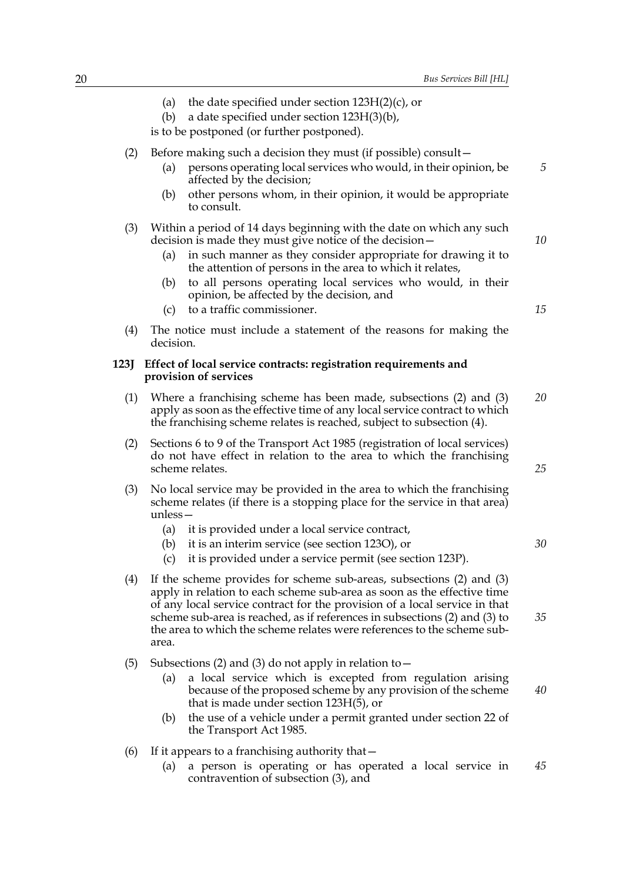|      | the date specified under section $123H(2)(c)$ , or<br>(a)<br>a date specified under section 123H(3)(b),<br>(b)<br>is to be postponed (or further postponed).                                                                                                                                                                                                                                    |    |  |
|------|-------------------------------------------------------------------------------------------------------------------------------------------------------------------------------------------------------------------------------------------------------------------------------------------------------------------------------------------------------------------------------------------------|----|--|
| (2)  | Before making such a decision they must (if possible) consult –<br>persons operating local services who would, in their opinion, be<br>(a)<br>affected by the decision;<br>other persons whom, in their opinion, it would be appropriate<br>(b)                                                                                                                                                 | 5  |  |
| (3)  | to consult.<br>Within a period of 14 days beginning with the date on which any such<br>decision is made they must give notice of the decision -<br>in such manner as they consider appropriate for drawing it to<br>(a)<br>the attention of persons in the area to which it relates,                                                                                                            | 10 |  |
|      | to all persons operating local services who would, in their<br>(b)<br>opinion, be affected by the decision, and<br>to a traffic commissioner.<br>(c)                                                                                                                                                                                                                                            | 15 |  |
| (4)  | The notice must include a statement of the reasons for making the<br>decision.                                                                                                                                                                                                                                                                                                                  |    |  |
| 123J | Effect of local service contracts: registration requirements and<br>provision of services                                                                                                                                                                                                                                                                                                       |    |  |
| (1)  | Where a franchising scheme has been made, subsections (2) and (3)<br>apply as soon as the effective time of any local service contract to which<br>the franchising scheme relates is reached, subject to subsection (4).                                                                                                                                                                        | 20 |  |
| (2)  | Sections 6 to 9 of the Transport Act 1985 (registration of local services)<br>do not have effect in relation to the area to which the franchising<br>25<br>scheme relates.                                                                                                                                                                                                                      |    |  |
| (3)  | No local service may be provided in the area to which the franchising<br>scheme relates (if there is a stopping place for the service in that area)<br>$unless -$<br>it is provided under a local service contract,<br>(a)<br>it is an interim service (see section 123O), or<br>(b)<br>it is provided under a service permit (see section 123P).<br>(c)                                        | 30 |  |
| (4)  | If the scheme provides for scheme sub-areas, subsections (2) and (3)<br>apply in relation to each scheme sub-area as soon as the effective time<br>of any local service contract for the provision of a local service in that<br>scheme sub-area is reached, as if references in subsections (2) and (3) to<br>the area to which the scheme relates were references to the scheme sub-<br>area. | 35 |  |
| (5)  | Subsections (2) and (3) do not apply in relation to $-$<br>a local service which is excepted from regulation arising<br>(a)<br>because of the proposed scheme by any provision of the scheme<br>that is made under section $123H(5)$ , or                                                                                                                                                       | 40 |  |
|      | the use of a vehicle under a permit granted under section 22 of<br>(b)<br>the Transport Act 1985.                                                                                                                                                                                                                                                                                               |    |  |

- (6) If it appears to a franchising authority that  $-$ 
	- (a) a person is operating or has operated a local service in contravention of subsection (3), and *45*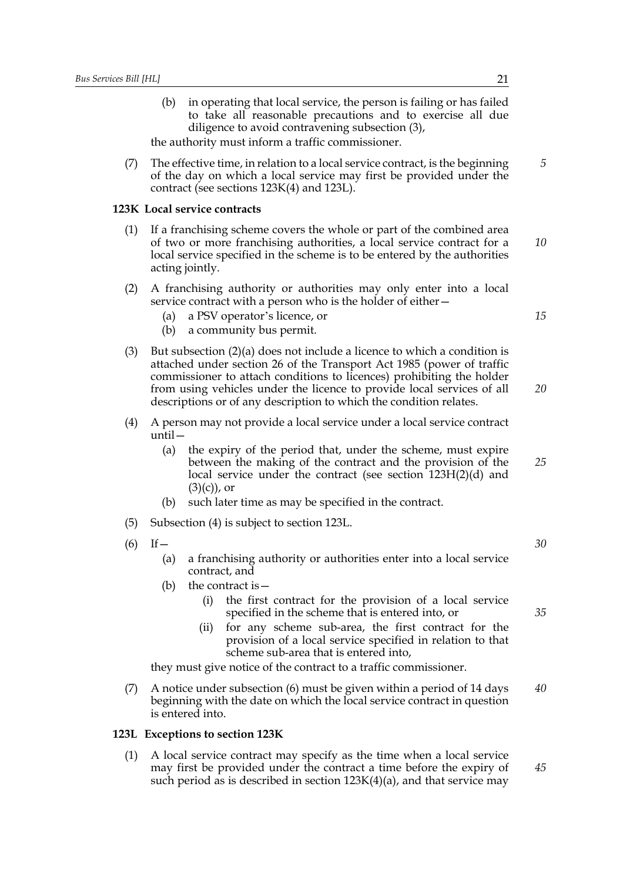(b) in operating that local service, the person is failing or has failed to take all reasonable precautions and to exercise all due diligence to avoid contravening subsection (3),

the authority must inform a traffic commissioner.

(7) The effective time, in relation to a local service contract, is the beginning of the day on which a local service may first be provided under the contract (see sections 123K(4) and 123L).

#### **123K Local service contracts**

- (1) If a franchising scheme covers the whole or part of the combined area of two or more franchising authorities, a local service contract for a local service specified in the scheme is to be entered by the authorities acting jointly. *10*
- (2) A franchising authority or authorities may only enter into a local service contract with a person who is the holder of either—
	- (a) a PSV operator's licence, or
	- (b) a community bus permit.
- (3) But subsection (2)(a) does not include a licence to which a condition is attached under section 26 of the Transport Act 1985 (power of traffic commissioner to attach conditions to licences) prohibiting the holder from using vehicles under the licence to provide local services of all descriptions or of any description to which the condition relates. *20*
- (4) A person may not provide a local service under a local service contract until—
	- (a) the expiry of the period that, under the scheme, must expire between the making of the contract and the provision of the local service under the contract (see section 123H(2)(d) and  $(3)(c)$ , or *25*
	- (b) such later time as may be specified in the contract.
- (5) Subsection (4) is subject to section 123L.
- $(6)$  If
	- (a) a franchising authority or authorities enter into a local service contract, and
	- (b) the contract is  $-$ 
		- (i) the first contract for the provision of a local service specified in the scheme that is entered into, or
		- (ii) for any scheme sub-area, the first contract for the provision of a local service specified in relation to that scheme sub-area that is entered into,

they must give notice of the contract to a traffic commissioner.

(7) A notice under subsection (6) must be given within a period of 14 days beginning with the date on which the local service contract in question is entered into. *40*

#### **123L Exceptions to section 123K**

(1) A local service contract may specify as the time when a local service may first be provided under the contract a time before the expiry of such period as is described in section 123K(4)(a), and that service may *5*

*15*

*30*

*35*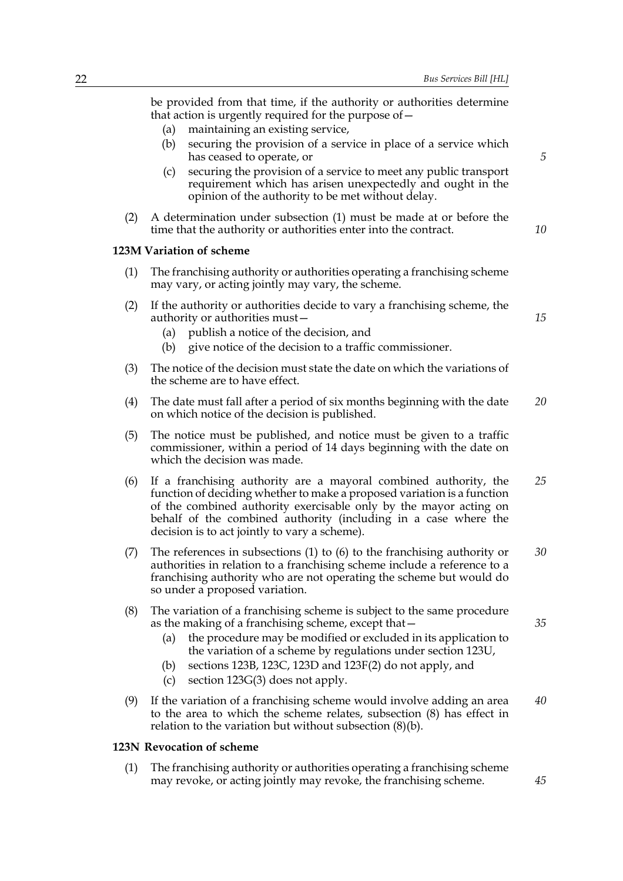be provided from that time, if the authority or authorities determine that action is urgently required for the purpose of—

- (a) maintaining an existing service,
- (b) securing the provision of a service in place of a service which has ceased to operate, or
- (c) securing the provision of a service to meet any public transport requirement which has arisen unexpectedly and ought in the opinion of the authority to be met without delay.
- (2) A determination under subsection (1) must be made at or before the time that the authority or authorities enter into the contract.

#### **123M Variation of scheme**

- (1) The franchising authority or authorities operating a franchising scheme may vary, or acting jointly may vary, the scheme.
- (2) If the authority or authorities decide to vary a franchising scheme, the authority or authorities must—
	- (a) publish a notice of the decision, and
	- (b) give notice of the decision to a traffic commissioner.
- (3) The notice of the decision must state the date on which the variations of the scheme are to have effect.
- (4) The date must fall after a period of six months beginning with the date on which notice of the decision is published. *20*
- (5) The notice must be published, and notice must be given to a traffic commissioner, within a period of 14 days beginning with the date on which the decision was made.
- (6) If a franchising authority are a mayoral combined authority, the function of deciding whether to make a proposed variation is a function of the combined authority exercisable only by the mayor acting on behalf of the combined authority (including in a case where the decision is to act jointly to vary a scheme). *25*
- (7) The references in subsections (1) to (6) to the franchising authority or authorities in relation to a franchising scheme include a reference to a franchising authority who are not operating the scheme but would do so under a proposed variation. *30*
- (8) The variation of a franchising scheme is subject to the same procedure as the making of a franchising scheme, except that—
	- (a) the procedure may be modified or excluded in its application to the variation of a scheme by regulations under section 123U,
	- (b) sections 123B, 123C, 123D and 123F(2) do not apply, and
	- (c) section 123G(3) does not apply.
- (9) If the variation of a franchising scheme would involve adding an area to the area to which the scheme relates, subsection (8) has effect in relation to the variation but without subsection (8)(b). *40*

#### **123N Revocation of scheme**

(1) The franchising authority or authorities operating a franchising scheme may revoke, or acting jointly may revoke, the franchising scheme.

*35*

*10*

*15*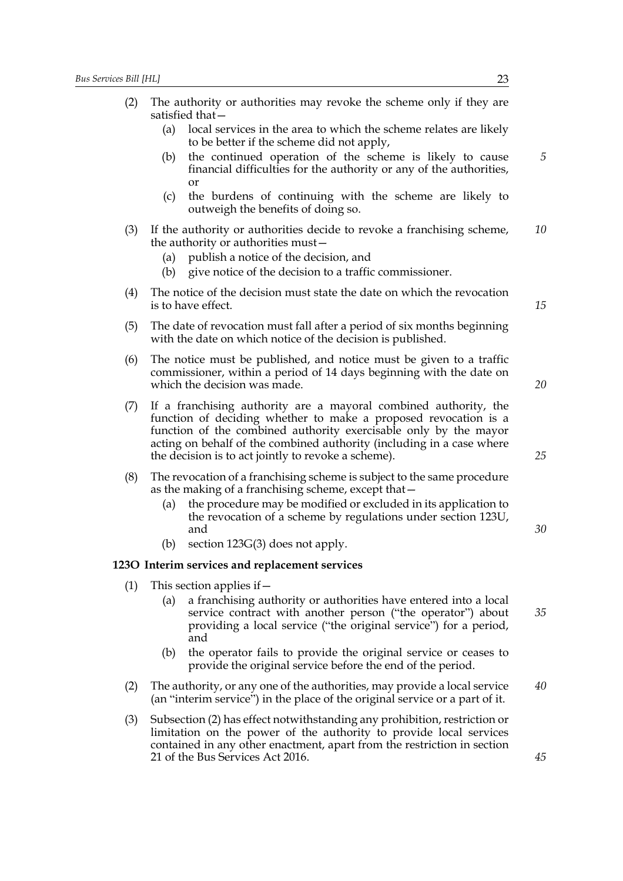| (2) |                                                                                                                                        | The authority or authorities may revoke the scheme only if they are<br>satisfied that-                                                                                                                                                                                                                                                  |    |
|-----|----------------------------------------------------------------------------------------------------------------------------------------|-----------------------------------------------------------------------------------------------------------------------------------------------------------------------------------------------------------------------------------------------------------------------------------------------------------------------------------------|----|
|     | (a)                                                                                                                                    | local services in the area to which the scheme relates are likely<br>to be better if the scheme did not apply,                                                                                                                                                                                                                          |    |
|     | (b)                                                                                                                                    | the continued operation of the scheme is likely to cause<br>financial difficulties for the authority or any of the authorities,<br><b>or</b>                                                                                                                                                                                            | 5  |
|     | (c)                                                                                                                                    | the burdens of continuing with the scheme are likely to<br>outweigh the benefits of doing so.                                                                                                                                                                                                                                           |    |
| (3) | (a)<br>(b)                                                                                                                             | If the authority or authorities decide to revoke a franchising scheme,<br>the authority or authorities must-<br>publish a notice of the decision, and<br>give notice of the decision to a traffic commissioner.                                                                                                                         | 10 |
| (4) |                                                                                                                                        | The notice of the decision must state the date on which the revocation<br>is to have effect.                                                                                                                                                                                                                                            | 15 |
| (5) | The date of revocation must fall after a period of six months beginning<br>with the date on which notice of the decision is published. |                                                                                                                                                                                                                                                                                                                                         |    |
| (6) |                                                                                                                                        | The notice must be published, and notice must be given to a traffic<br>commissioner, within a period of 14 days beginning with the date on<br>which the decision was made.                                                                                                                                                              | 20 |
| (7) |                                                                                                                                        | If a franchising authority are a mayoral combined authority, the<br>function of deciding whether to make a proposed revocation is a<br>function of the combined authority exercisable only by the mayor<br>acting on behalf of the combined authority (including in a case where<br>the decision is to act jointly to revoke a scheme). | 25 |
| (8) |                                                                                                                                        | The revocation of a franchising scheme is subject to the same procedure                                                                                                                                                                                                                                                                 |    |

- as the making of a franchising scheme, except that—
	- (a) the procedure may be modified or excluded in its application to the revocation of a scheme by regulations under section 123U, and
	- (b) section 123G(3) does not apply.

#### **123O Interim services and replacement services**

(1) This section applies if  $-$ 

- (a) a franchising authority or authorities have entered into a local service contract with another person ("the operator") about providing a local service ("the original service") for a period, and *35*
- (b) the operator fails to provide the original service or ceases to provide the original service before the end of the period.
- (2) The authority, or any one of the authorities, may provide a local service (an "interim service") in the place of the original service or a part of it. *40*
- (3) Subsection (2) has effect notwithstanding any prohibition, restriction or limitation on the power of the authority to provide local services contained in any other enactment, apart from the restriction in section 21 of the Bus Services Act 2016.

*30*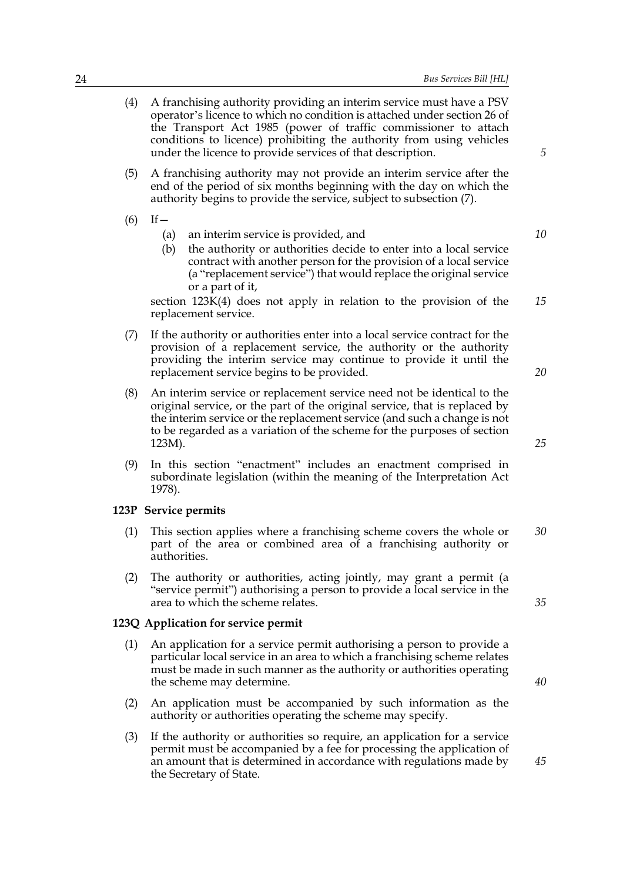| 24 | Bus Services Bill [HL]                                                                                                                                                                                                                                                                                                                                                                              |          |
|----|-----------------------------------------------------------------------------------------------------------------------------------------------------------------------------------------------------------------------------------------------------------------------------------------------------------------------------------------------------------------------------------------------------|----------|
|    | (4)<br>A franchising authority providing an interim service must have a PSV<br>operator's licence to which no condition is attached under section 26 of<br>the Transport Act 1985 (power of traffic commissioner to attach<br>conditions to licence) prohibiting the authority from using vehicles<br>under the licence to provide services of that description.                                    | 5        |
|    | A franchising authority may not provide an interim service after the<br>(5)<br>end of the period of six months beginning with the day on which the<br>authority begins to provide the service, subject to subsection (7).                                                                                                                                                                           |          |
|    | $If -$<br>(6)<br>an interim service is provided, and<br>(a)<br>the authority or authorities decide to enter into a local service<br>(b)<br>contract with another person for the provision of a local service<br>(a "replacement service") that would replace the original service<br>or a part of it,<br>section 123K(4) does not apply in relation to the provision of the<br>replacement service. | 10<br>15 |
|    | If the authority or authorities enter into a local service contract for the<br>(7)<br>provision of a replacement service, the authority or the authority<br>providing the interim service may continue to provide it until the<br>replacement service begins to be provided.                                                                                                                        | 20       |
|    | (8)<br>An interim service or replacement service need not be identical to the<br>original service, or the part of the original service, that is replaced by<br>the interim service or the replacement service (and such a change is not<br>to be regarded as a variation of the scheme for the purposes of section<br>123M).                                                                        | 25       |
|    | (9)<br>In this section "enactment" includes an enactment comprised in<br>subordinate legislation (within the meaning of the Interpretation Act<br>1978).                                                                                                                                                                                                                                            |          |
|    | 123P Service permits                                                                                                                                                                                                                                                                                                                                                                                |          |
|    | This section applies where a franchising scheme covers the whole or<br>(1)<br>part of the area or combined area of a franchising authority or<br>authorities.                                                                                                                                                                                                                                       | 30       |
|    | The authority or authorities, acting jointly, may grant a permit (a<br>(2)<br>"service permit") authorising a person to provide a local service in the<br>area to which the scheme relates.                                                                                                                                                                                                         | 35       |
|    | 123Q Application for service permit                                                                                                                                                                                                                                                                                                                                                                 |          |
|    | $(1)$ An emplication for a convice normit outhorizing a newson to provide a                                                                                                                                                                                                                                                                                                                         |          |

- (1) An application for a service permit authorising a person to provide a particular local service in an area to which a franchising scheme relates must be made in such manner as the authority or authorities operating the scheme may determine.
- (2) An application must be accompanied by such information as the authority or authorities operating the scheme may specify.
- (3) If the authority or authorities so require, an application for a service permit must be accompanied by a fee for processing the application of an amount that is determined in accordance with regulations made by the Secretary of State.

*40*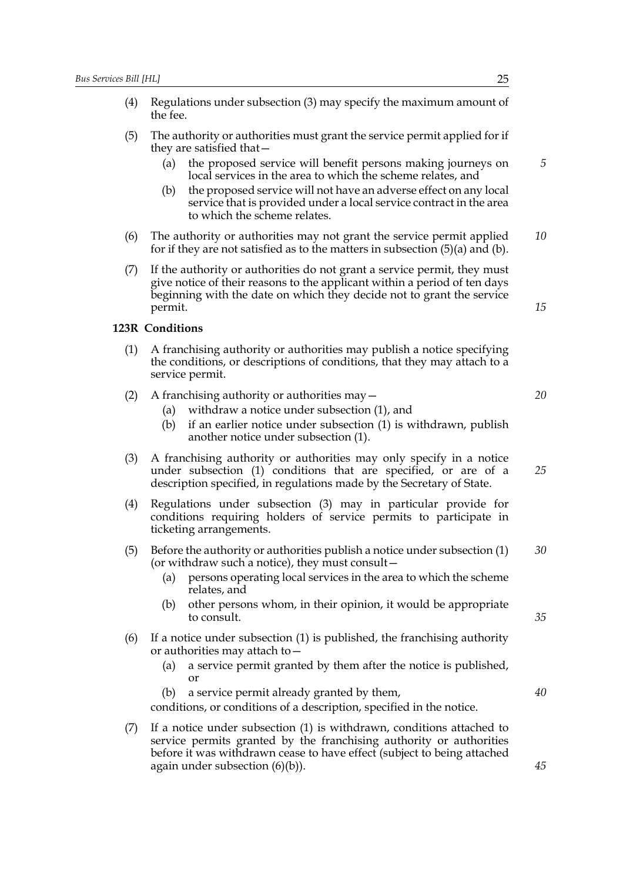- (4) Regulations under subsection (3) may specify the maximum amount of the fee. (5) The authority or authorities must grant the service permit applied for if they are satisfied that— (a) the proposed service will benefit persons making journeys on local services in the area to which the scheme relates, and (b) the proposed service will not have an adverse effect on any local service that is provided under a local service contract in the area to which the scheme relates. (6) The authority or authorities may not grant the service permit applied for if they are not satisfied as to the matters in subsection  $(5)(a)$  and  $(b)$ . (7) If the authority or authorities do not grant a service permit, they must give notice of their reasons to the applicant within a period of ten days beginning with the date on which they decide not to grant the service permit. **123R Conditions** (1) A franchising authority or authorities may publish a notice specifying the conditions, or descriptions of conditions, that they may attach to a service permit. (2) A franchising authority or authorities may— (a) withdraw a notice under subsection (1), and (b) if an earlier notice under subsection (1) is withdrawn, publish another notice under subsection (1). (3) A franchising authority or authorities may only specify in a notice under subsection (1) conditions that are specified, or are of a description specified, in regulations made by the Secretary of State. (4) Regulations under subsection (3) may in particular provide for conditions requiring holders of service permits to participate in *5 10 15 20 25*
	- (5) Before the authority or authorities publish a notice under subsection (1) (or withdraw such a notice), they must consult— *30*

ticketing arrangements.

- (a) persons operating local services in the area to which the scheme relates, and
- (b) other persons whom, in their opinion, it would be appropriate to consult.
- (6) If a notice under subsection (1) is published, the franchising authority or authorities may attach to—
	- (a) a service permit granted by them after the notice is published, or
	- (b) a service permit already granted by them,

conditions, or conditions of a description, specified in the notice.

(7) If a notice under subsection (1) is withdrawn, conditions attached to service permits granted by the franchising authority or authorities before it was withdrawn cease to have effect (subject to being attached again under subsection (6)(b)).

*35*

*40*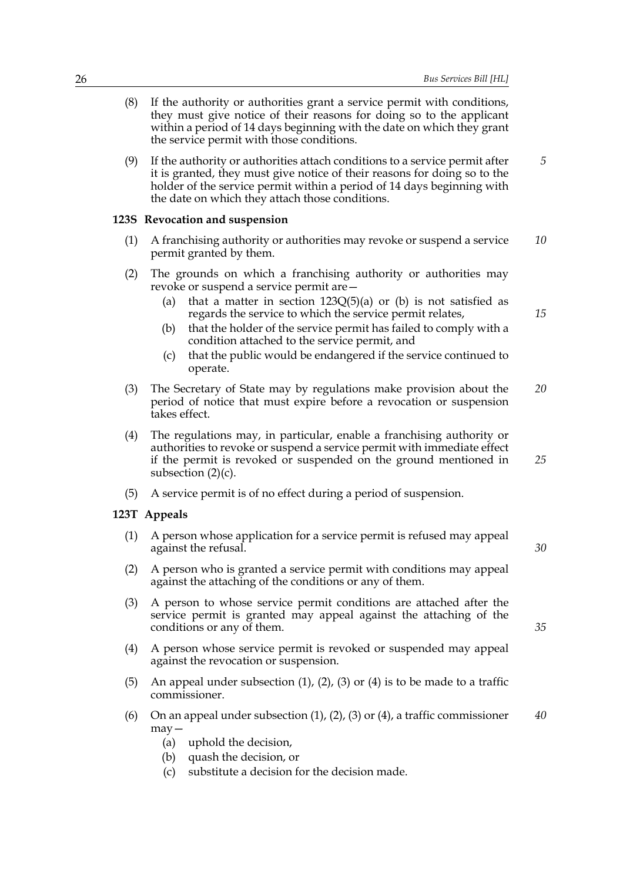- (8) If the authority or authorities grant a service permit with conditions, they must give notice of their reasons for doing so to the applicant within a period of 14 days beginning with the date on which they grant the service permit with those conditions.
- (9) If the authority or authorities attach conditions to a service permit after it is granted, they must give notice of their reasons for doing so to the holder of the service permit within a period of 14 days beginning with the date on which they attach those conditions. *5*

#### **123S Revocation and suspension**

- (1) A franchising authority or authorities may revoke or suspend a service permit granted by them. *10*
- (2) The grounds on which a franchising authority or authorities may revoke or suspend a service permit are—
	- (a) that a matter in section  $123Q(5)(a)$  or (b) is not satisfied as regards the service to which the service permit relates,
	- (b) that the holder of the service permit has failed to comply with a condition attached to the service permit, and
	- (c) that the public would be endangered if the service continued to operate.
- (3) The Secretary of State may by regulations make provision about the period of notice that must expire before a revocation or suspension takes effect. *20*
- (4) The regulations may, in particular, enable a franchising authority or authorities to revoke or suspend a service permit with immediate effect if the permit is revoked or suspended on the ground mentioned in subsection  $(2)(c)$ . *25*
- (5) A service permit is of no effect during a period of suspension.

#### **123T Appeals**

- (1) A person whose application for a service permit is refused may appeal against the refusal.
- (2) A person who is granted a service permit with conditions may appeal against the attaching of the conditions or any of them.
- (3) A person to whose service permit conditions are attached after the service permit is granted may appeal against the attaching of the conditions or any of them.
- (4) A person whose service permit is revoked or suspended may appeal against the revocation or suspension.
- (5) An appeal under subsection  $(1)$ ,  $(2)$ ,  $(3)$  or  $(4)$  is to be made to a traffic commissioner.
- (6) On an appeal under subsection  $(1)$ ,  $(2)$ ,  $(3)$  or  $(4)$ , a traffic commissioner may— *40*
	- (a) uphold the decision,
	- (b) quash the decision, or
	- (c) substitute a decision for the decision made.

*30*

*35*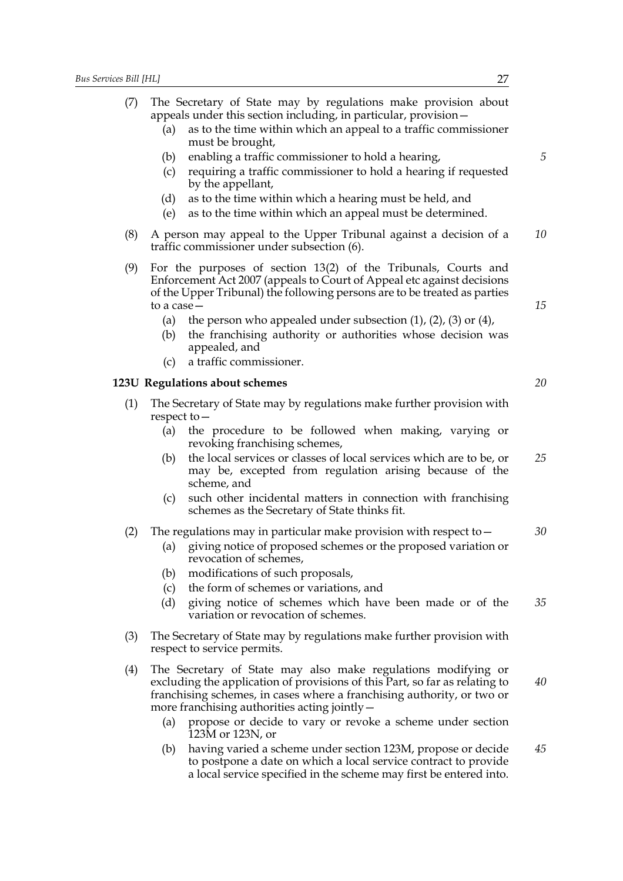| (7)                                                                                          | The Secretary of State may by regulations make provision about<br>appeals under this section including, in particular, provision -<br>as to the time within which an appeal to a traffic commissioner<br>(a)<br>must be brought,<br>enabling a traffic commissioner to hold a hearing,<br>(b) | 5  |  |  |
|----------------------------------------------------------------------------------------------|-----------------------------------------------------------------------------------------------------------------------------------------------------------------------------------------------------------------------------------------------------------------------------------------------|----|--|--|
|                                                                                              | requiring a traffic commissioner to hold a hearing if requested<br>(c)<br>by the appellant,<br>as to the time within which a hearing must be held, and<br>(d)<br>(e)<br>as to the time within which an appeal must be determined.                                                             |    |  |  |
| (8)                                                                                          | A person may appeal to the Upper Tribunal against a decision of a<br>traffic commissioner under subsection (6).                                                                                                                                                                               | 10 |  |  |
| (9)                                                                                          | For the purposes of section 13(2) of the Tribunals, Courts and<br>Enforcement Act 2007 (appeals to Court of Appeal etc against decisions<br>of the Upper Tribunal) the following persons are to be treated as parties<br>to a case-                                                           |    |  |  |
|                                                                                              | the person who appealed under subsection $(1)$ , $(2)$ , $(3)$ or $(4)$ ,<br>(a)<br>the franchising authority or authorities whose decision was<br>(b)<br>appealed, and                                                                                                                       |    |  |  |
|                                                                                              | a traffic commissioner.<br>(c)                                                                                                                                                                                                                                                                |    |  |  |
|                                                                                              | 123U Regulations about schemes                                                                                                                                                                                                                                                                | 20 |  |  |
| (1)<br>The Secretary of State may by regulations make further provision with<br>respect to - |                                                                                                                                                                                                                                                                                               |    |  |  |
|                                                                                              | the procedure to be followed when making, varying or<br>(a)<br>revoking franchising schemes,                                                                                                                                                                                                  |    |  |  |
|                                                                                              | the local services or classes of local services which are to be, or<br>(b)<br>may be, excepted from regulation arising because of the<br>scheme, and                                                                                                                                          | 25 |  |  |
|                                                                                              | such other incidental matters in connection with franchising<br>(c)<br>schemes as the Secretary of State thinks fit.                                                                                                                                                                          |    |  |  |
| (2)                                                                                          | The regulations may in particular make provision with respect to $-$<br>giving notice of proposed schemes or the proposed variation or<br>(a)<br>revocation of schemes,                                                                                                                       | 30 |  |  |
|                                                                                              | modifications of such proposals,<br>(b)                                                                                                                                                                                                                                                       |    |  |  |
|                                                                                              | the form of schemes or variations, and<br>(c)<br>(d)<br>giving notice of schemes which have been made or of the<br>variation or revocation of schemes.                                                                                                                                        | 35 |  |  |
| (3)                                                                                          | The Secretary of State may by regulations make further provision with<br>respect to service permits.                                                                                                                                                                                          |    |  |  |
| (4)                                                                                          | The Secretary of State may also make regulations modifying or<br>excluding the application of provisions of this Part, so far as relating to<br>franchising schemes, in cases where a franchising authority, or two or<br>more franchising authorities acting jointly -                       | 40 |  |  |
|                                                                                              | (a)<br>propose or decide to vary or revoke a scheme under section<br>$123M$ or 123N, or                                                                                                                                                                                                       |    |  |  |
|                                                                                              | having varied a scheme under section 123M, propose or decide<br>(b)<br>to postpone a date on which a local service contract to provide                                                                                                                                                        | 45 |  |  |

a local service specified in the scheme may first be entered into.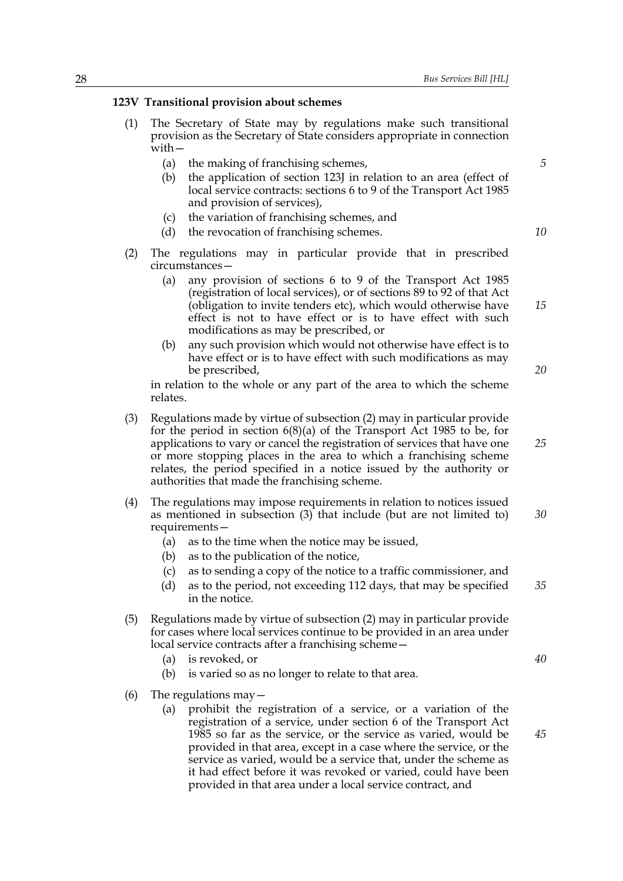#### **123V Transitional provision about schemes**

- (1) The Secretary of State may by regulations make such transitional provision as the Secretary of State considers appropriate in connection with—
	- (a) the making of franchising schemes,
	- (b) the application of section 123J in relation to an area (effect of local service contracts: sections 6 to 9 of the Transport Act 1985 and provision of services),
	- (c) the variation of franchising schemes, and
	- (d) the revocation of franchising schemes.
- (2) The regulations may in particular provide that in prescribed circumstances—
	- (a) any provision of sections 6 to 9 of the Transport Act 1985 (registration of local services), or of sections 89 to 92 of that Act (obligation to invite tenders etc), which would otherwise have effect is not to have effect or is to have effect with such modifications as may be prescribed, or
	- (b) any such provision which would not otherwise have effect is to have effect or is to have effect with such modifications as may be prescribed,

in relation to the whole or any part of the area to which the scheme relates.

- (3) Regulations made by virtue of subsection (2) may in particular provide for the period in section 6(8)(a) of the Transport Act 1985 to be, for applications to vary or cancel the registration of services that have one or more stopping places in the area to which a franchising scheme relates, the period specified in a notice issued by the authority or authorities that made the franchising scheme.
- (4) The regulations may impose requirements in relation to notices issued as mentioned in subsection (3) that include (but are not limited to) requirements— *30*
	- (a) as to the time when the notice may be issued,
	- (b) as to the publication of the notice,
	- (c) as to sending a copy of the notice to a traffic commissioner, and
	- (d) as to the period, not exceeding 112 days, that may be specified in the notice. *35*
- (5) Regulations made by virtue of subsection (2) may in particular provide for cases where local services continue to be provided in an area under local service contracts after a franchising scheme—
	- (a) is revoked, or
	- (b) is varied so as no longer to relate to that area.
- (6) The regulations may  $-$ 
	- (a) prohibit the registration of a service, or a variation of the registration of a service, under section 6 of the Transport Act 1985 so far as the service, or the service as varied, would be provided in that area, except in a case where the service, or the service as varied, would be a service that, under the scheme as it had effect before it was revoked or varied, could have been provided in that area under a local service contract, and

*5*

*10*

*20*

*25*

*15*

*40*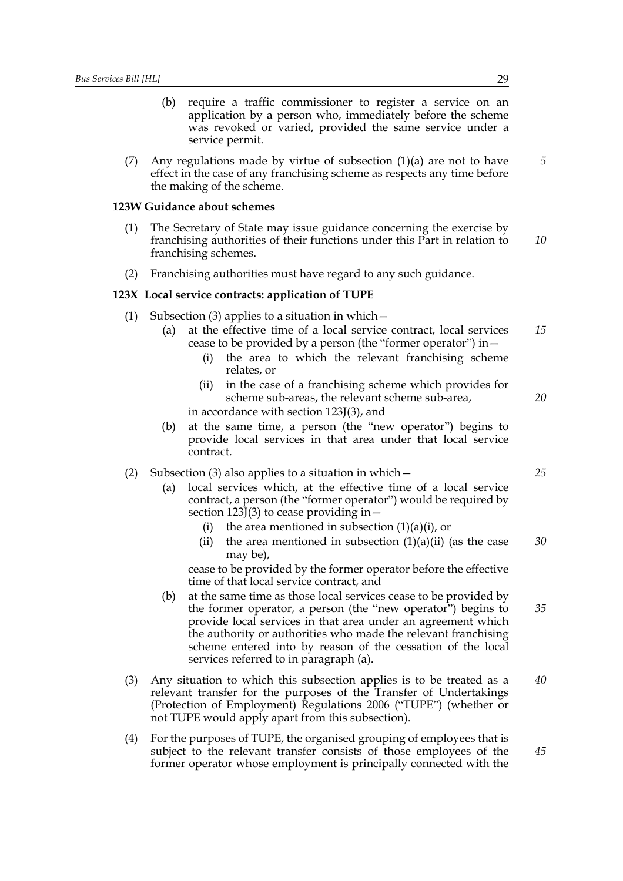- (b) require a traffic commissioner to register a service on an application by a person who, immediately before the scheme was revoked or varied, provided the same service under a service permit.
- (7) Any regulations made by virtue of subsection  $(1)(a)$  are not to have effect in the case of any franchising scheme as respects any time before the making of the scheme.

#### **123W Guidance about schemes**

- (1) The Secretary of State may issue guidance concerning the exercise by franchising authorities of their functions under this Part in relation to franchising schemes. *10*
- (2) Franchising authorities must have regard to any such guidance.

#### **123X Local service contracts: application of TUPE**

- (1) Subsection (3) applies to a situation in which  $-$ 
	- (a) at the effective time of a local service contract, local services cease to be provided by a person (the "former operator") in— *15*
		- (i) the area to which the relevant franchising scheme relates, or
		- (ii) in the case of a franchising scheme which provides for scheme sub-areas, the relevant scheme sub-area, in accordance with section 123J(3), and
	- (b) at the same time, a person (the "new operator") begins to provide local services in that area under that local service contract.

(2) Subsection (3) also applies to a situation in which  $-$ 

- (a) local services which, at the effective time of a local service contract, a person (the "former operator") would be required by section  $123J(3)$  to cease providing in  $-$ 
	- (i) the area mentioned in subsection  $(1)(a)(i)$ , or
	- (ii) the area mentioned in subsection  $(1)(a)(ii)$  (as the case may be), *30*

cease to be provided by the former operator before the effective time of that local service contract, and

- (b) at the same time as those local services cease to be provided by the former operator, a person (the "new operator") begins to provide local services in that area under an agreement which the authority or authorities who made the relevant franchising scheme entered into by reason of the cessation of the local services referred to in paragraph (a). *35*
- (3) Any situation to which this subsection applies is to be treated as a relevant transfer for the purposes of the Transfer of Undertakings (Protection of Employment) Regulations 2006 ("TUPE") (whether or not TUPE would apply apart from this subsection). *40*
- (4) For the purposes of TUPE, the organised grouping of employees that is subject to the relevant transfer consists of those employees of the former operator whose employment is principally connected with the *45*

*5*

*25*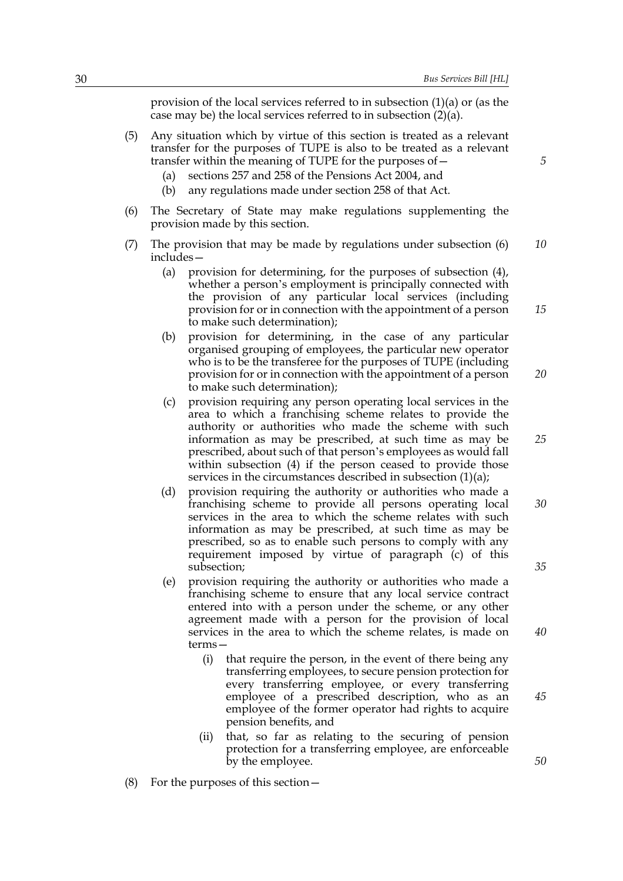provision of the local services referred to in subsection (1)(a) or (as the case may be) the local services referred to in subsection (2)(a).

- (5) Any situation which by virtue of this section is treated as a relevant transfer for the purposes of TUPE is also to be treated as a relevant transfer within the meaning of TUPE for the purposes of—
	- (a) sections 257 and 258 of the Pensions Act 2004, and
	- (b) any regulations made under section 258 of that Act.
- (6) The Secretary of State may make regulations supplementing the provision made by this section.
- (7) The provision that may be made by regulations under subsection (6) includes— *10*
	- (a) provision for determining, for the purposes of subsection (4), whether a person's employment is principally connected with the provision of any particular local services (including provision for or in connection with the appointment of a person to make such determination);
	- (b) provision for determining, in the case of any particular organised grouping of employees, the particular new operator who is to be the transferee for the purposes of TUPE (including provision for or in connection with the appointment of a person to make such determination); *20*
	- (c) provision requiring any person operating local services in the area to which a franchising scheme relates to provide the authority or authorities who made the scheme with such information as may be prescribed, at such time as may be prescribed, about such of that person's employees as would fall within subsection (4) if the person ceased to provide those services in the circumstances described in subsection  $(1)(a)$ ;
	- (d) provision requiring the authority or authorities who made a franchising scheme to provide all persons operating local services in the area to which the scheme relates with such information as may be prescribed, at such time as may be prescribed, so as to enable such persons to comply with any requirement imposed by virtue of paragraph (c) of this subsection;
	- (e) provision requiring the authority or authorities who made a franchising scheme to ensure that any local service contract entered into with a person under the scheme, or any other agreement made with a person for the provision of local services in the area to which the scheme relates, is made on terms—
		- (i) that require the person, in the event of there being any transferring employees, to secure pension protection for every transferring employee, or every transferring employee of a prescribed description, who as an employee of the former operator had rights to acquire pension benefits, and
		- (ii) that, so far as relating to the securing of pension protection for a transferring employee, are enforceable by the employee.
- (8) For the purposes of this section—

*5*

*25*

*15*

*30*

*35*

*40*

*45*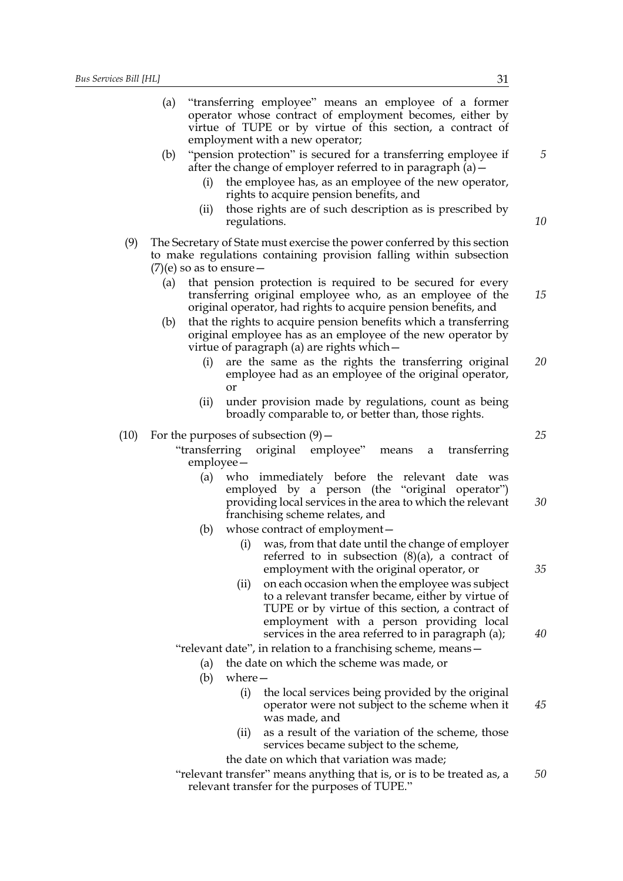$(10)$ 

|     | (a) |                                        | "transferring employee" means an employee of a former<br>operator whose contract of employment becomes, either by<br>virtue of TUPE or by virtue of this section, a contract of<br>employment with a new operator;                  |    |
|-----|-----|----------------------------------------|-------------------------------------------------------------------------------------------------------------------------------------------------------------------------------------------------------------------------------------|----|
|     | (b) | (i)                                    | "pension protection" is secured for a transferring employee if<br>after the change of employer referred to in paragraph $(a)$ –<br>the employee has, as an employee of the new operator,<br>rights to acquire pension benefits, and | 5  |
|     |     | (ii)<br>regulations.                   | those rights are of such description as is prescribed by                                                                                                                                                                            | 10 |
| (9) |     | $(7)$ (e) so as to ensure –            | The Secretary of State must exercise the power conferred by this section<br>to make regulations containing provision falling within subsection                                                                                      |    |
|     | (a) |                                        | that pension protection is required to be secured for every<br>transferring original employee who, as an employee of the<br>original operator, had rights to acquire pension benefits, and                                          | 15 |
|     | (b) |                                        | that the rights to acquire pension benefits which a transferring<br>original employee has as an employee of the new operator by<br>virtue of paragraph (a) are rights which –                                                       |    |
|     |     | (i)<br>or                              | are the same as the rights the transferring original<br>employee had as an employee of the original operator,                                                                                                                       | 20 |
|     |     | (ii)                                   | under provision made by regulations, count as being<br>broadly comparable to, or better than, those rights.                                                                                                                         |    |
| 10) |     | For the purposes of subsection $(9)$ – |                                                                                                                                                                                                                                     | 25 |
|     |     | "transferring<br>employee –            | original employee"<br>transferring<br>means<br>a                                                                                                                                                                                    |    |
|     |     | (a)                                    | who immediately before the relevant date was                                                                                                                                                                                        |    |
|     |     |                                        | employed by a person (the "original operator")<br>providing local services in the area to which the relevant                                                                                                                        | 30 |
|     |     |                                        | franchising scheme relates, and                                                                                                                                                                                                     |    |
|     |     | (b)                                    | whose contract of employment-                                                                                                                                                                                                       |    |
|     |     | (i)                                    | was, from that date until the change of employer<br>referred to in subsection $(8)(a)$ , a contract of<br>employment with the original operator, or                                                                                 | 35 |
|     |     | (ii)                                   | on each occasion when the employee was subject<br>to a relevant transfer became, either by virtue of<br>TUPE or by virtue of this section, a contract of                                                                            |    |
|     |     |                                        | employment with a person providing local<br>services in the area referred to in paragraph (a);                                                                                                                                      | 40 |
|     |     |                                        | "relevant date", in relation to a franchising scheme, means-                                                                                                                                                                        |    |
|     |     | (a)                                    | the date on which the scheme was made, or                                                                                                                                                                                           |    |
|     |     | where $-$<br>(b)                       |                                                                                                                                                                                                                                     |    |
|     |     | (i)                                    | the local services being provided by the original<br>operator were not subject to the scheme when it<br>was made, and                                                                                                               | 45 |
|     |     | (ii)                                   | as a result of the variation of the scheme, those<br>services became subject to the scheme,                                                                                                                                         |    |
|     |     |                                        | the date on which that variation was made;                                                                                                                                                                                          |    |
|     |     |                                        | "relevant transfer" means anything that is, or is to be treated as, a                                                                                                                                                               | 50 |

relevant transfer for the purposes of TUPE."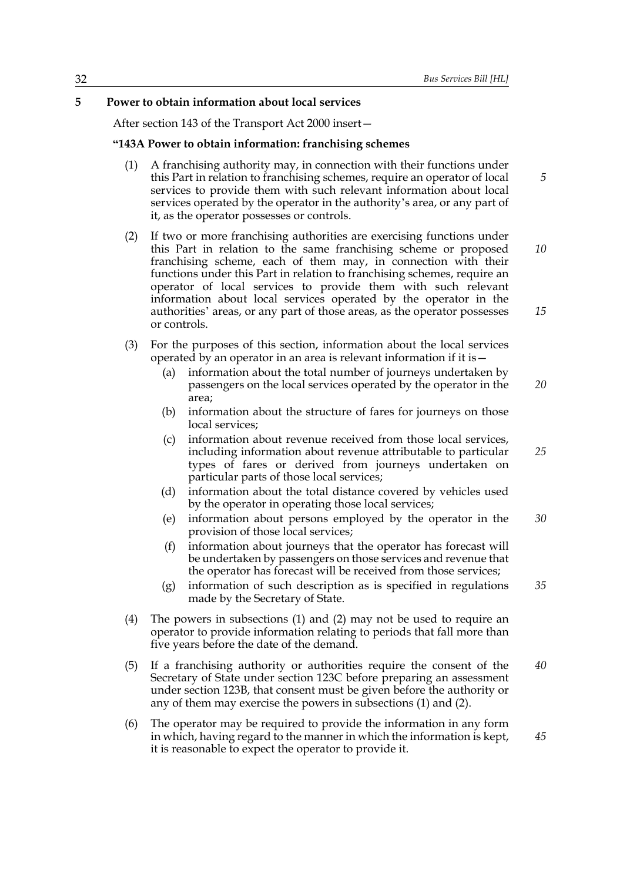#### **5 Power to obtain information about local services**

After section 143 of the Transport Act 2000 insert—

#### **"143A Power to obtain information: franchising schemes**

- (1) A franchising authority may, in connection with their functions under this Part in relation to franchising schemes, require an operator of local services to provide them with such relevant information about local services operated by the operator in the authority's area, or any part of it, as the operator possesses or controls.
- (2) If two or more franchising authorities are exercising functions under this Part in relation to the same franchising scheme or proposed franchising scheme, each of them may, in connection with their functions under this Part in relation to franchising schemes, require an operator of local services to provide them with such relevant information about local services operated by the operator in the authorities' areas, or any part of those areas, as the operator possesses or controls. *10 15*
- (3) For the purposes of this section, information about the local services operated by an operator in an area is relevant information if it is—
	- (a) information about the total number of journeys undertaken by passengers on the local services operated by the operator in the area; *20*
	- (b) information about the structure of fares for journeys on those local services;
	- (c) information about revenue received from those local services, including information about revenue attributable to particular types of fares or derived from journeys undertaken on particular parts of those local services;
	- (d) information about the total distance covered by vehicles used by the operator in operating those local services;
	- (e) information about persons employed by the operator in the provision of those local services; *30*
	- (f) information about journeys that the operator has forecast will be undertaken by passengers on those services and revenue that the operator has forecast will be received from those services;
	- (g) information of such description as is specified in regulations made by the Secretary of State. *35*
- (4) The powers in subsections (1) and (2) may not be used to require an operator to provide information relating to periods that fall more than five years before the date of the demand.
- (5) If a franchising authority or authorities require the consent of the Secretary of State under section 123C before preparing an assessment under section 123B, that consent must be given before the authority or any of them may exercise the powers in subsections (1) and (2). *40*
- (6) The operator may be required to provide the information in any form in which, having regard to the manner in which the information is kept, it is reasonable to expect the operator to provide it. *45*

*25*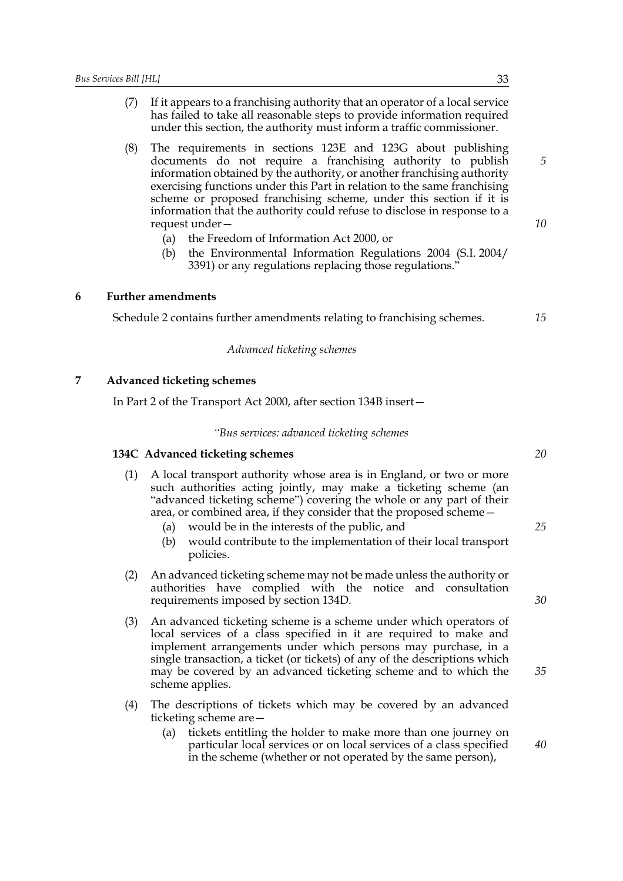- (7) If it appears to a franchising authority that an operator of a local service has failed to take all reasonable steps to provide information required under this section, the authority must inform a traffic commissioner.
- (8) The requirements in sections 123E and 123G about publishing documents do not require a franchising authority to publish information obtained by the authority, or another franchising authority exercising functions under this Part in relation to the same franchising scheme or proposed franchising scheme, under this section if it is information that the authority could refuse to disclose in response to a request under—
	- (a) the Freedom of Information Act 2000, or
	- (b) the Environmental Information Regulations 2004 (S.I. 2004/ 3391) or any regulations replacing those regulations."

#### **6 Further amendments**

Schedule 2 contains further amendments relating to franchising schemes.

#### *Advanced ticketing schemes*

#### **7 Advanced ticketing schemes**

In Part 2 of the Transport Act 2000, after section 134B insert—

#### *"Bus services: advanced ticketing schemes*

#### **134C Advanced ticketing schemes**

- (1) A local transport authority whose area is in England, or two or more such authorities acting jointly, may make a ticketing scheme (an "advanced ticketing scheme") covering the whole or any part of their area, or combined area, if they consider that the proposed scheme—
	- (a) would be in the interests of the public, and
	- (b) would contribute to the implementation of their local transport policies.
- (2) An advanced ticketing scheme may not be made unless the authority or authorities have complied with the notice and consultation requirements imposed by section 134D.
- (3) An advanced ticketing scheme is a scheme under which operators of local services of a class specified in it are required to make and implement arrangements under which persons may purchase, in a single transaction, a ticket (or tickets) of any of the descriptions which may be covered by an advanced ticketing scheme and to which the scheme applies.
- (4) The descriptions of tickets which may be covered by an advanced ticketing scheme are—
	- (a) tickets entitling the holder to make more than one journey on particular local services or on local services of a class specified in the scheme (whether or not operated by the same person),

*5*

*10*

*15*

*20*

*25*

*35*

*40*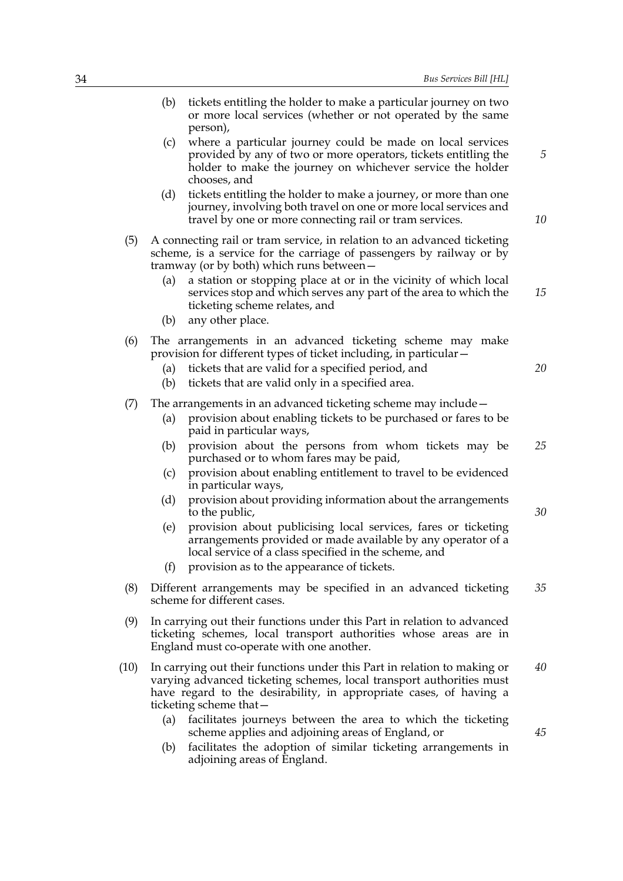| 34 |      | Bus Services Bill [HL]                                                                                                                                                                                                                                  |    |
|----|------|---------------------------------------------------------------------------------------------------------------------------------------------------------------------------------------------------------------------------------------------------------|----|
|    |      | (b)<br>tickets entitling the holder to make a particular journey on two<br>or more local services (whether or not operated by the same<br>person),                                                                                                      |    |
|    |      | where a particular journey could be made on local services<br>(c)<br>provided by any of two or more operators, tickets entitling the<br>holder to make the journey on whichever service the holder<br>chooses, and                                      | 5  |
|    |      | tickets entitling the holder to make a journey, or more than one<br>(d)<br>journey, involving both travel on one or more local services and<br>travel by one or more connecting rail or tram services.                                                  | 10 |
|    | (5)  | A connecting rail or tram service, in relation to an advanced ticketing<br>scheme, is a service for the carriage of passengers by railway or by<br>tramway (or by both) which runs between-                                                             |    |
|    |      | a station or stopping place at or in the vicinity of which local<br>(a)<br>services stop and which serves any part of the area to which the<br>ticketing scheme relates, and<br>any other place.<br>(b)                                                 | 15 |
|    | (6)  | The arrangements in an advanced ticketing scheme may make<br>provision for different types of ticket including, in particular –<br>tickets that are valid for a specified period, and<br>(a)<br>tickets that are valid only in a specified area.<br>(b) | 20 |
|    | (7)  | The arrangements in an advanced ticketing scheme may include –<br>provision about enabling tickets to be purchased or fares to be<br>(a)<br>paid in particular ways,                                                                                    |    |
|    |      | provision about the persons from whom tickets may be<br>(b)<br>purchased or to whom fares may be paid,<br>provision about enabling entitlement to travel to be evidenced<br>(c)<br>in particular ways,                                                  | 25 |
|    |      | (d)<br>provision about providing information about the arrangements<br>to the public,                                                                                                                                                                   | 30 |
|    |      | provision about publicising local services, fares or ticketing<br>(e)<br>arrangements provided or made available by any operator of a<br>local service of a class specified in the scheme, and<br>provision as to the appearance of tickets.<br>(f)     |    |
|    | (8)  | Different arrangements may be specified in an advanced ticketing<br>scheme for different cases.                                                                                                                                                         | 35 |
|    | (9)  | In carrying out their functions under this Part in relation to advanced<br>ticketing schemes, local transport authorities whose areas are in<br>England must co-operate with one another.                                                               |    |
|    | (10) | In carrying out their functions under this Part in relation to making or<br>varying advanced ticketing schemes, local transport authorities must<br>have regard to the desirability, in appropriate cases, of having a<br>ticketing scheme that -       | 40 |
|    |      | facilitates journeys between the area to which the ticketing<br>(a)<br>scheme applies and adjoining areas of England, or<br>facilitates the adoption of similar ticketing arrangements in<br>(b)<br>adjoining areas of England.                         | 45 |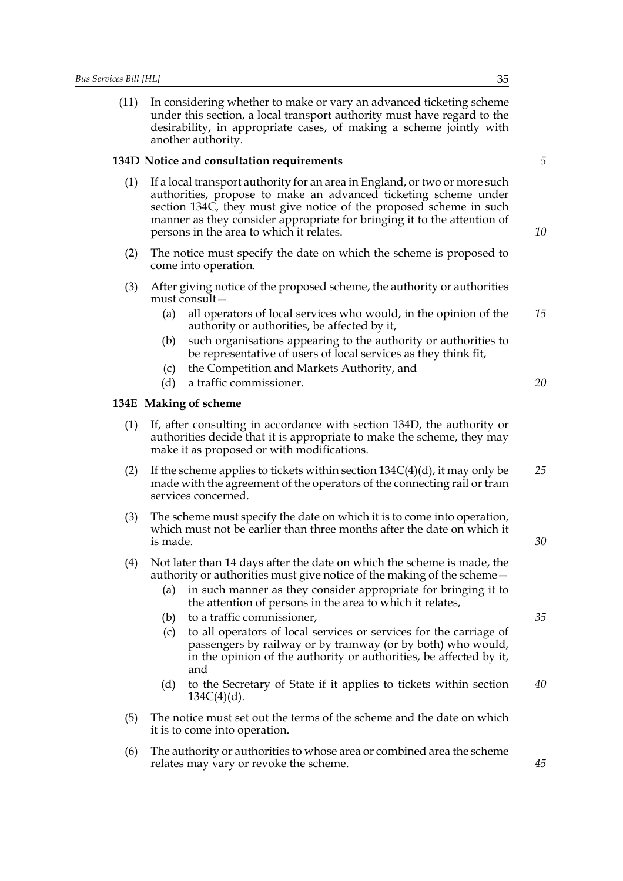(11) In considering whether to make or vary an advanced ticketing scheme under this section, a local transport authority must have regard to the desirability, in appropriate cases, of making a scheme jointly with another authority.

#### **134D Notice and consultation requirements**

- (1) If a local transport authority for an area in England, or two or more such authorities, propose to make an advanced ticketing scheme under section 134C, they must give notice of the proposed scheme in such manner as they consider appropriate for bringing it to the attention of persons in the area to which it relates.
- (2) The notice must specify the date on which the scheme is proposed to come into operation.
- (3) After giving notice of the proposed scheme, the authority or authorities must consult—
	- (a) all operators of local services who would, in the opinion of the authority or authorities, be affected by it, *15*
	- (b) such organisations appearing to the authority or authorities to be representative of users of local services as they think fit,
	- (c) the Competition and Markets Authority, and
	- (d) a traffic commissioner.

# **134E Making of scheme**

- (1) If, after consulting in accordance with section 134D, the authority or authorities decide that it is appropriate to make the scheme, they may make it as proposed or with modifications.
- (2) If the scheme applies to tickets within section  $134C(4)(d)$ , it may only be made with the agreement of the operators of the connecting rail or tram services concerned. *25*
- (3) The scheme must specify the date on which it is to come into operation, which must not be earlier than three months after the date on which it is made.
- (4) Not later than 14 days after the date on which the scheme is made, the authority or authorities must give notice of the making of the scheme—
	- (a) in such manner as they consider appropriate for bringing it to the attention of persons in the area to which it relates,
	- (b) to a traffic commissioner,
	- (c) to all operators of local services or services for the carriage of passengers by railway or by tramway (or by both) who would, in the opinion of the authority or authorities, be affected by it, and
	- (d) to the Secretary of State if it applies to tickets within section  $134C(4)(d)$ . *40*
- (5) The notice must set out the terms of the scheme and the date on which it is to come into operation.
- (6) The authority or authorities to whose area or combined area the scheme relates may vary or revoke the scheme.

*5*

*10*

*20*

*30*

*35*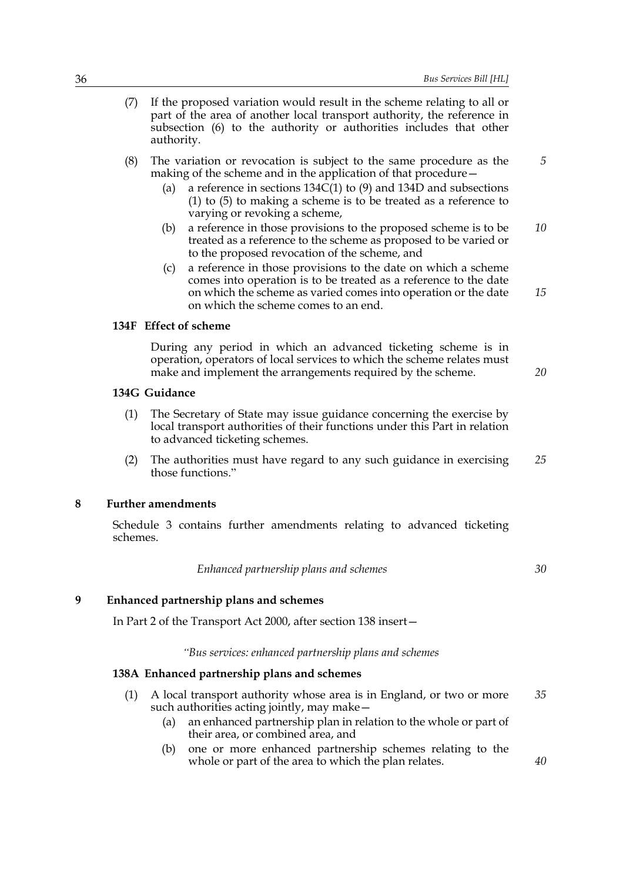- (7) If the proposed variation would result in the scheme relating to all or part of the area of another local transport authority, the reference in subsection (6) to the authority or authorities includes that other authority.
- (8) The variation or revocation is subject to the same procedure as the making of the scheme and in the application of that procedure— *5*
	- (a) a reference in sections 134C(1) to (9) and 134D and subsections (1) to (5) to making a scheme is to be treated as a reference to varying or revoking a scheme,
	- (b) a reference in those provisions to the proposed scheme is to be treated as a reference to the scheme as proposed to be varied or to the proposed revocation of the scheme, and *10*
	- (c) a reference in those provisions to the date on which a scheme comes into operation is to be treated as a reference to the date on which the scheme as varied comes into operation or the date on which the scheme comes to an end.

# **134F Effect of scheme**

During any period in which an advanced ticketing scheme is in operation, operators of local services to which the scheme relates must make and implement the arrangements required by the scheme.

## **134G Guidance**

- (1) The Secretary of State may issue guidance concerning the exercise by local transport authorities of their functions under this Part in relation to advanced ticketing schemes.
- (2) The authorities must have regard to any such guidance in exercising those functions." *25*

# **8 Further amendments**

Schedule 3 contains further amendments relating to advanced ticketing schemes.

*Enhanced partnership plans and schemes*

*30*

*40*

*15*

*20*

# **9 Enhanced partnership plans and schemes**

In Part 2 of the Transport Act 2000, after section 138 insert—

#### *"Bus services: enhanced partnership plans and schemes*

### **138A Enhanced partnership plans and schemes**

- (1) A local transport authority whose area is in England, or two or more such authorities acting jointly, may make— *35*
	- (a) an enhanced partnership plan in relation to the whole or part of their area, or combined area, and
	- (b) one or more enhanced partnership schemes relating to the whole or part of the area to which the plan relates.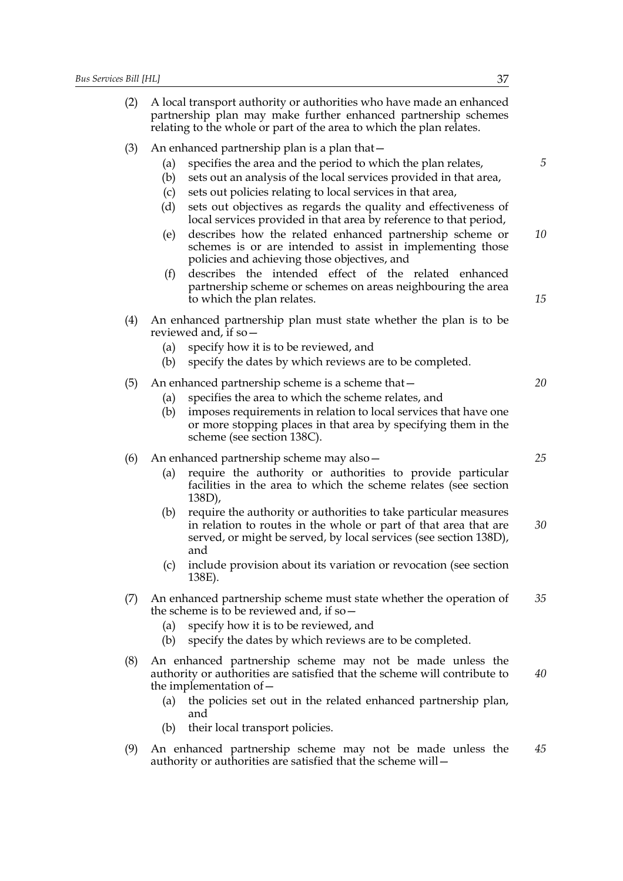(2) A local transport authority or authorities who have made an enhanced partnership plan may make further enhanced partnership schemes relating to the whole or part of the area to which the plan relates. (3) An enhanced partnership plan is a plan that— (a) specifies the area and the period to which the plan relates, (b) sets out an analysis of the local services provided in that area, (c) sets out policies relating to local services in that area, (d) sets out objectives as regards the quality and effectiveness of local services provided in that area by reference to that period, (e) describes how the related enhanced partnership scheme or schemes is or are intended to assist in implementing those policies and achieving those objectives, and (f) describes the intended effect of the related enhanced partnership scheme or schemes on areas neighbouring the area to which the plan relates. (4) An enhanced partnership plan must state whether the plan is to be reviewed and, if so— (a) specify how it is to be reviewed, and (b) specify the dates by which reviews are to be completed. (5) An enhanced partnership scheme is a scheme that— (a) specifies the area to which the scheme relates, and (b) imposes requirements in relation to local services that have one or more stopping places in that area by specifying them in the scheme (see section 138C). (6) An enhanced partnership scheme may also— (a) require the authority or authorities to provide particular facilities in the area to which the scheme relates (see section 138D), (b) require the authority or authorities to take particular measures in relation to routes in the whole or part of that area that are served, or might be served, by local services (see section 138D), and (c) include provision about its variation or revocation (see section 138E). (7) An enhanced partnership scheme must state whether the operation of the scheme is to be reviewed and, if so— (a) specify how it is to be reviewed, and (b) specify the dates by which reviews are to be completed. (8) An enhanced partnership scheme may not be made unless the authority or authorities are satisfied that the scheme will contribute to the implementation of— (a) the policies set out in the related enhanced partnership plan, and (b) their local transport policies. (9) An enhanced partnership scheme may not be made unless the authority or authorities are satisfied that the scheme will— *5 10 15 20 25 30 35 40 45*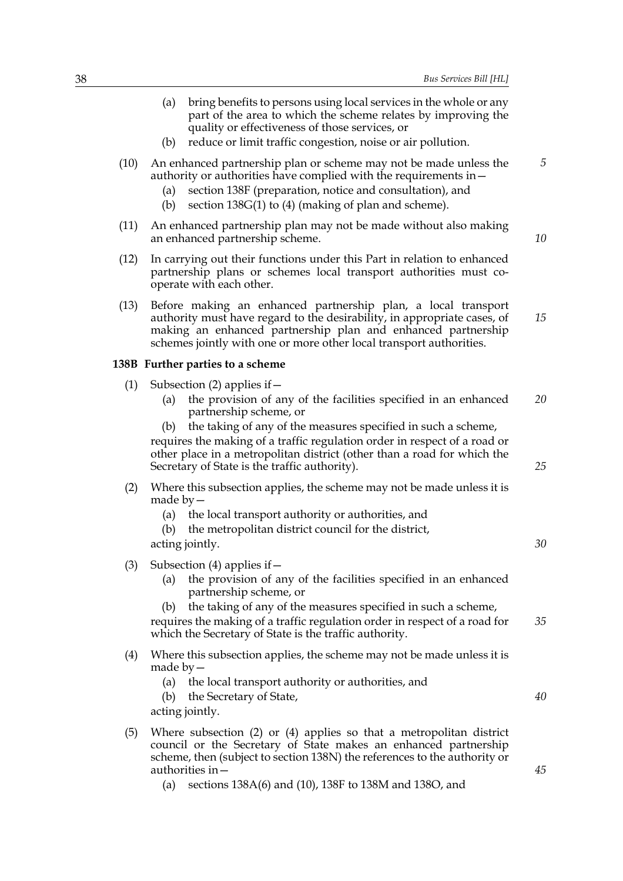- (a) bring benefits to persons using local services in the whole or any part of the area to which the scheme relates by improving the quality or effectiveness of those services, or
- (b) reduce or limit traffic congestion, noise or air pollution.
- (10) An enhanced partnership plan or scheme may not be made unless the authority or authorities have complied with the requirements in—
	- (a) section 138F (preparation, notice and consultation), and
	- (b) section 138G(1) to (4) (making of plan and scheme).
- (11) An enhanced partnership plan may not be made without also making an enhanced partnership scheme.
- (12) In carrying out their functions under this Part in relation to enhanced partnership plans or schemes local transport authorities must cooperate with each other.
- (13) Before making an enhanced partnership plan, a local transport authority must have regard to the desirability, in appropriate cases, of making an enhanced partnership plan and enhanced partnership schemes jointly with one or more other local transport authorities. *15*

#### **138B Further parties to a scheme**

- (1) Subsection (2) applies if  $-$ 
	- (a) the provision of any of the facilities specified in an enhanced partnership scheme, or *20*
	- (b) the taking of any of the measures specified in such a scheme,

requires the making of a traffic regulation order in respect of a road or other place in a metropolitan district (other than a road for which the Secretary of State is the traffic authority).

- (2) Where this subsection applies, the scheme may not be made unless it is made by—
	- (a) the local transport authority or authorities, and
	- (b) the metropolitan district council for the district,

acting jointly.

- (3) Subsection (4) applies if  $-$ 
	- (a) the provision of any of the facilities specified in an enhanced partnership scheme, or
	- the taking of any of the measures specified in such a scheme,

requires the making of a traffic regulation order in respect of a road for which the Secretary of State is the traffic authority. *35*

- (4) Where this subsection applies, the scheme may not be made unless it is made by—
	- (a) the local transport authority or authorities, and
	- (b) the Secretary of State,

acting jointly.

- (5) Where subsection (2) or (4) applies so that a metropolitan district council or the Secretary of State makes an enhanced partnership scheme, then (subject to section 138N) the references to the authority or authorities in—
	- (a) sections 138A(6) and (10), 138F to 138M and 138O, and

*25*

*5*

*10*

*30*

*40*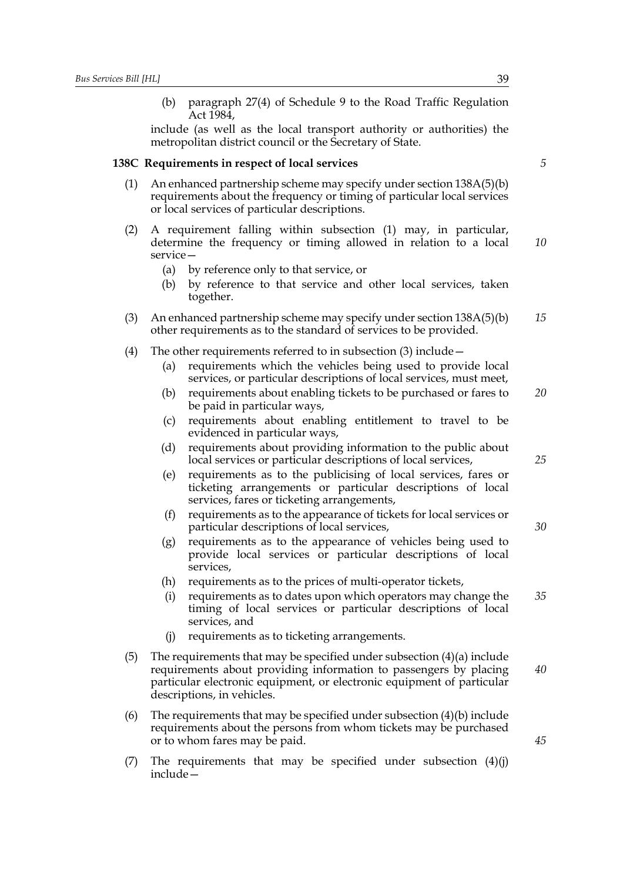(b) paragraph 27(4) of Schedule 9 to the Road Traffic Regulation Act 1984,

include (as well as the local transport authority or authorities) the metropolitan district council or the Secretary of State.

#### **138C Requirements in respect of local services**

- (1) An enhanced partnership scheme may specify under section  $138A(5)(b)$ requirements about the frequency or timing of particular local services or local services of particular descriptions.
- (2) A requirement falling within subsection (1) may, in particular, determine the frequency or timing allowed in relation to a local service— *10*
	- (a) by reference only to that service, or
	- (b) by reference to that service and other local services, taken together.
- (3) An enhanced partnership scheme may specify under section 138A(5)(b) other requirements as to the standard of services to be provided. *15*
- (4) The other requirements referred to in subsection (3) include—
	- (a) requirements which the vehicles being used to provide local services, or particular descriptions of local services, must meet,
	- (b) requirements about enabling tickets to be purchased or fares to be paid in particular ways, *20*
	- (c) requirements about enabling entitlement to travel to be evidenced in particular ways,
	- (d) requirements about providing information to the public about local services or particular descriptions of local services,
	- (e) requirements as to the publicising of local services, fares or ticketing arrangements or particular descriptions of local services, fares or ticketing arrangements,
	- (f) requirements as to the appearance of tickets for local services or particular descriptions of local services,
	- (g) requirements as to the appearance of vehicles being used to provide local services or particular descriptions of local services,
	- (h) requirements as to the prices of multi-operator tickets,
	- (i) requirements as to dates upon which operators may change the timing of local services or particular descriptions of local services, and *35*
	- (j) requirements as to ticketing arrangements.
- (5) The requirements that may be specified under subsection (4)(a) include requirements about providing information to passengers by placing particular electronic equipment, or electronic equipment of particular descriptions, in vehicles. *40*
- (6) The requirements that may be specified under subsection  $(4)(b)$  include requirements about the persons from whom tickets may be purchased or to whom fares may be paid.
- (7) The requirements that may be specified under subsection  $(4)(i)$ include—

*5*

*25*

*30*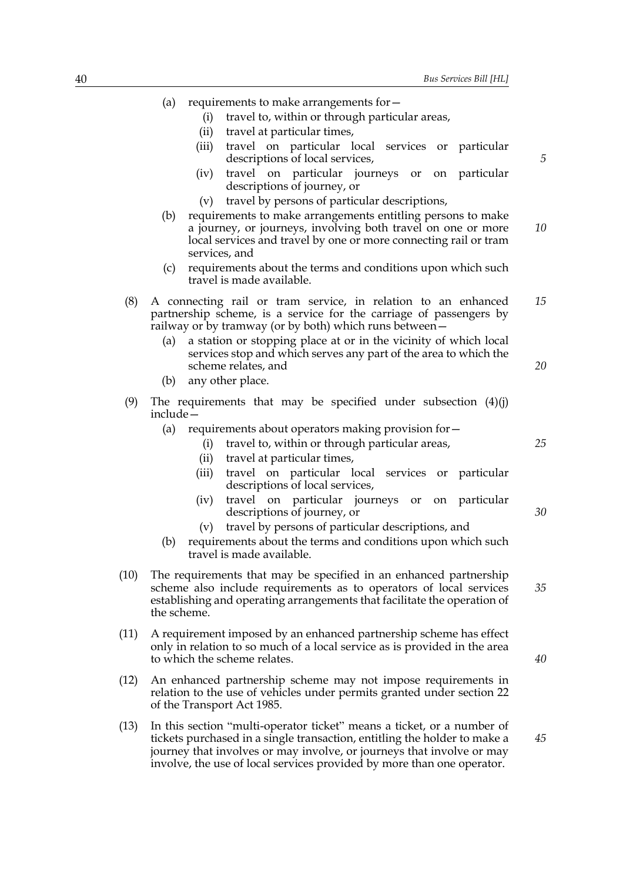*5*

(i) travel to, within or through particular areas, (ii) travel at particular times, (iii) travel on particular local services or particular descriptions of local services, (iv) travel on particular journeys or on particular descriptions of journey, or (v) travel by persons of particular descriptions, (b) requirements to make arrangements entitling persons to make a journey, or journeys, involving both travel on one or more local services and travel by one or more connecting rail or tram services, and (c) requirements about the terms and conditions upon which such travel is made available. (8) A connecting rail or tram service, in relation to an enhanced partnership scheme, is a service for the carriage of passengers by railway or by tramway (or by both) which runs between— (a) a station or stopping place at or in the vicinity of which local services stop and which serves any part of the area to which the scheme relates, and (b) any other place. (9) The requirements that may be specified under subsection (4)(j) include— (a) requirements about operators making provision for— (i) travel to, within or through particular areas, (ii) travel at particular times, (iii) travel on particular local services or particular descriptions of local services, (iv) travel on particular journeys or on particular descriptions of journey, or (v) travel by persons of particular descriptions, and (b) requirements about the terms and conditions upon which such travel is made available. (10) The requirements that may be specified in an enhanced partnership scheme also include requirements as to operators of local services establishing and operating arrangements that facilitate the operation of the scheme. (11) A requirement imposed by an enhanced partnership scheme has effect only in relation to so much of a local service as is provided in the area to which the scheme relates. (12) An enhanced partnership scheme may not impose requirements in relation to the use of vehicles under permits granted under section 22 of the Transport Act 1985. *10 15 20 25 30 35 40*

(a) requirements to make arrangements for—

(13) In this section "multi-operator ticket" means a ticket, or a number of tickets purchased in a single transaction, entitling the holder to make a journey that involves or may involve, or journeys that involve or may involve, the use of local services provided by more than one operator. *45*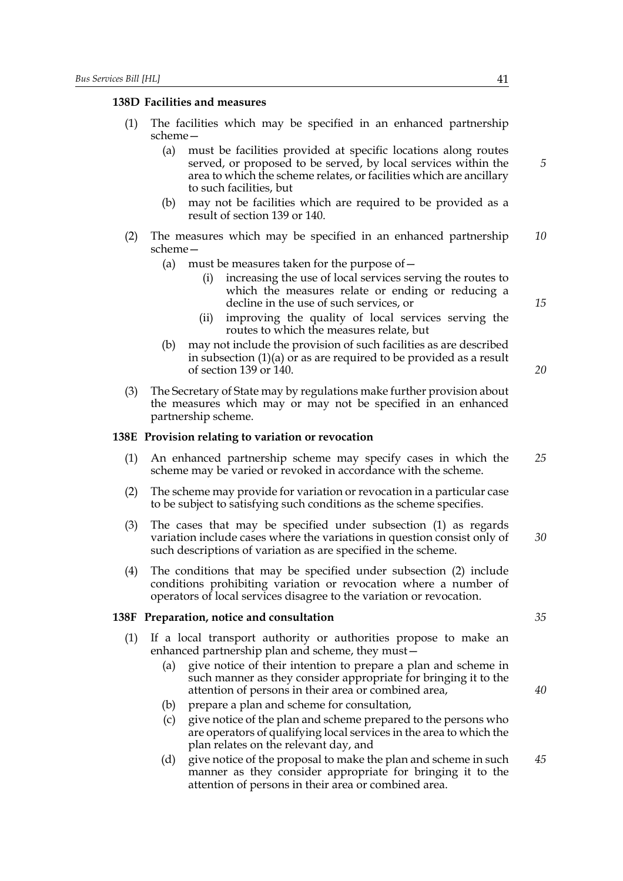#### **138D Facilities and measures**

- (1) The facilities which may be specified in an enhanced partnership scheme—
	- (a) must be facilities provided at specific locations along routes served, or proposed to be served, by local services within the area to which the scheme relates, or facilities which are ancillary to such facilities, but
	- (b) may not be facilities which are required to be provided as a result of section 139 or 140.
- (2) The measures which may be specified in an enhanced partnership scheme— *10*
	- (a) must be measures taken for the purpose of  $$ 
		- increasing the use of local services serving the routes to which the measures relate or ending or reducing a decline in the use of such services, or
		- (ii) improving the quality of local services serving the routes to which the measures relate, but
	- (b) may not include the provision of such facilities as are described in subsection (1)(a) or as are required to be provided as a result of section 139 or 140.
- (3) The Secretary of State may by regulations make further provision about the measures which may or may not be specified in an enhanced partnership scheme.

#### **138E Provision relating to variation or revocation**

- (1) An enhanced partnership scheme may specify cases in which the scheme may be varied or revoked in accordance with the scheme. *25*
- (2) The scheme may provide for variation or revocation in a particular case to be subject to satisfying such conditions as the scheme specifies.
- (3) The cases that may be specified under subsection (1) as regards variation include cases where the variations in question consist only of such descriptions of variation as are specified in the scheme. *30*
- (4) The conditions that may be specified under subsection (2) include conditions prohibiting variation or revocation where a number of operators of local services disagree to the variation or revocation.

#### **138F Preparation, notice and consultation**

- (1) If a local transport authority or authorities propose to make an enhanced partnership plan and scheme, they must—
	- (a) give notice of their intention to prepare a plan and scheme in such manner as they consider appropriate for bringing it to the attention of persons in their area or combined area,
	- (b) prepare a plan and scheme for consultation,
	- (c) give notice of the plan and scheme prepared to the persons who are operators of qualifying local services in the area to which the plan relates on the relevant day, and
	- (d) give notice of the proposal to make the plan and scheme in such manner as they consider appropriate for bringing it to the attention of persons in their area or combined area. *45*

*5*

*15*

*20*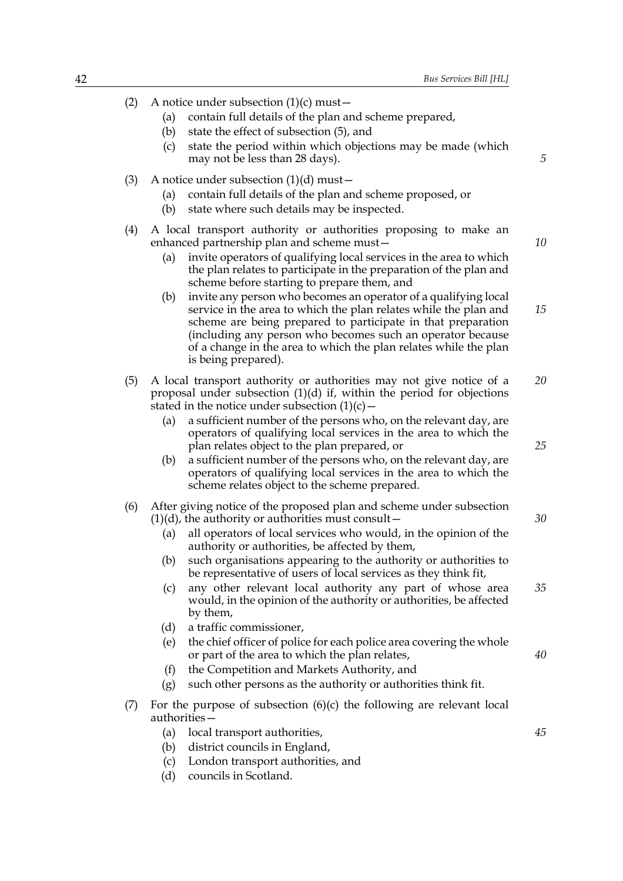- (2) A notice under subsection  $(1)(c)$  must
	- (a) contain full details of the plan and scheme prepared,
	- (b) state the effect of subsection (5), and
	- (c) state the period within which objections may be made (which may not be less than 28 days).
- (3) A notice under subsection  $(1)(d)$  must
	- (a) contain full details of the plan and scheme proposed, or
	- (b) state where such details may be inspected.
- (4) A local transport authority or authorities proposing to make an enhanced partnership plan and scheme must—
	- (a) invite operators of qualifying local services in the area to which the plan relates to participate in the preparation of the plan and scheme before starting to prepare them, and
	- (b) invite any person who becomes an operator of a qualifying local service in the area to which the plan relates while the plan and scheme are being prepared to participate in that preparation (including any person who becomes such an operator because of a change in the area to which the plan relates while the plan is being prepared). *15*
- (5) A local transport authority or authorities may not give notice of a proposal under subsection (1)(d) if, within the period for objections stated in the notice under subsection  $(1)(c)$  – *20*
	- (a) a sufficient number of the persons who, on the relevant day, are operators of qualifying local services in the area to which the plan relates object to the plan prepared, or
	- (b) a sufficient number of the persons who, on the relevant day, are operators of qualifying local services in the area to which the scheme relates object to the scheme prepared.

# (6) After giving notice of the proposed plan and scheme under subsection  $(1)(d)$ , the authority or authorities must consult –

- (a) all operators of local services who would, in the opinion of the authority or authorities, be affected by them,
- (b) such organisations appearing to the authority or authorities to be representative of users of local services as they think fit,
- (c) any other relevant local authority any part of whose area would, in the opinion of the authority or authorities, be affected by them, *35*
- (d) a traffic commissioner,
- (e) the chief officer of police for each police area covering the whole or part of the area to which the plan relates,
- (f) the Competition and Markets Authority, and
- (g) such other persons as the authority or authorities think fit.
- (7) For the purpose of subsection (6)(c) the following are relevant local authorities—
	- (a) local transport authorities, (b) district councils in England,
		- (c) London transport authorities, and
		- (d) councils in Scotland.

*10*

*25*

*30*

*40*

*45*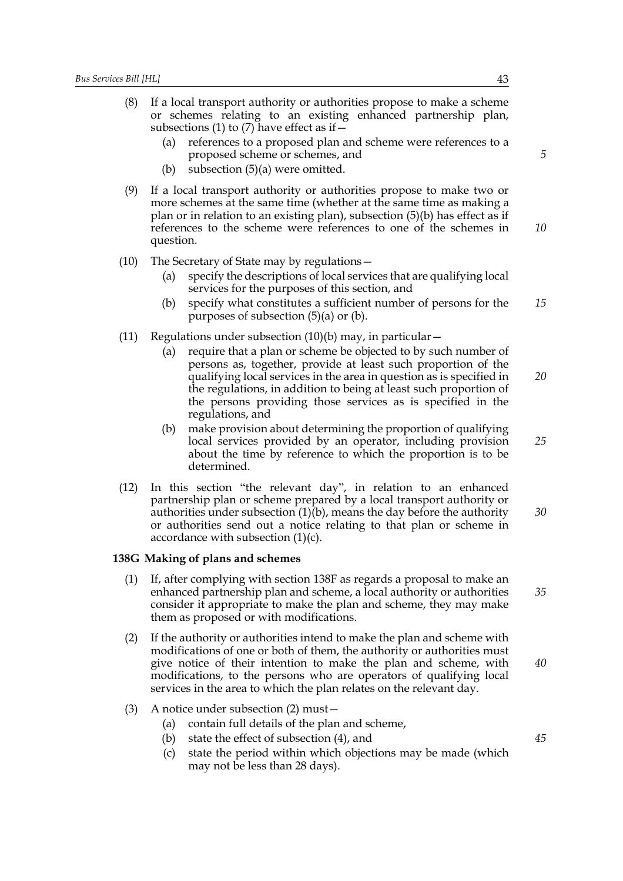- (8) If a local transport authority or authorities propose to make a scheme or schemes relating to an existing enhanced partnership plan, subsections (1) to (7) have effect as if  $-$ 
	- (a) references to a proposed plan and scheme were references to a proposed scheme or schemes, and
	- (b) subsection (5)(a) were omitted.
- (9) If a local transport authority or authorities propose to make two or more schemes at the same time (whether at the same time as making a plan or in relation to an existing plan), subsection (5)(b) has effect as if references to the scheme were references to one of the schemes in question. *10*
- (10) The Secretary of State may by regulations—
	- (a) specify the descriptions of local services that are qualifying local services for the purposes of this section, and
	- (b) specify what constitutes a sufficient number of persons for the purposes of subsection (5)(a) or (b). *15*
- (11) Regulations under subsection  $(10)(b)$  may, in particular  $-$ 
	- (a) require that a plan or scheme be objected to by such number of persons as, together, provide at least such proportion of the qualifying local services in the area in question as is specified in the regulations, in addition to being at least such proportion of the persons providing those services as is specified in the regulations, and *20*
	- (b) make provision about determining the proportion of qualifying local services provided by an operator, including provision about the time by reference to which the proportion is to be determined.
- (12) In this section "the relevant day", in relation to an enhanced partnership plan or scheme prepared by a local transport authority or authorities under subsection  $(1)(b)$ , means the day before the authority or authorities send out a notice relating to that plan or scheme in accordance with subsection  $(1)(c)$ .

## **138G Making of plans and schemes**

- (1) If, after complying with section 138F as regards a proposal to make an enhanced partnership plan and scheme, a local authority or authorities consider it appropriate to make the plan and scheme, they may make them as proposed or with modifications. *35*
- (2) If the authority or authorities intend to make the plan and scheme with modifications of one or both of them, the authority or authorities must give notice of their intention to make the plan and scheme, with modifications, to the persons who are operators of qualifying local services in the area to which the plan relates on the relevant day. *40*
- (3) A notice under subsection (2) must—
	- (a) contain full details of the plan and scheme,
	- (b) state the effect of subsection (4), and
	- (c) state the period within which objections may be made (which may not be less than 28 days).

*5*

*45*

*25*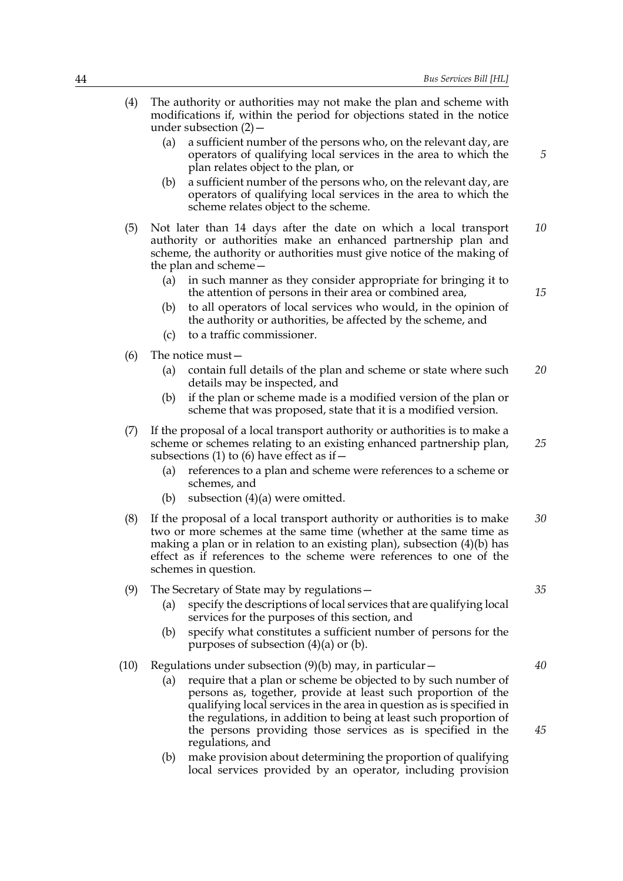- (4) The authority or authorities may not make the plan and scheme with modifications if, within the period for objections stated in the notice under subsection (2)— (a) a sufficient number of the persons who, on the relevant day, are operators of qualifying local services in the area to which the plan relates object to the plan, or (b) a sufficient number of the persons who, on the relevant day, are operators of qualifying local services in the area to which the scheme relates object to the scheme. (5) Not later than 14 days after the date on which a local transport authority or authorities make an enhanced partnership plan and scheme, the authority or authorities must give notice of the making of the plan and scheme— (a) in such manner as they consider appropriate for bringing it to the attention of persons in their area or combined area, (b) to all operators of local services who would, in the opinion of the authority or authorities, be affected by the scheme, and (c) to a traffic commissioner. (6) The notice must— (a) contain full details of the plan and scheme or state where such details may be inspected, and (b) if the plan or scheme made is a modified version of the plan or scheme that was proposed, state that it is a modified version. (7) If the proposal of a local transport authority or authorities is to make a scheme or schemes relating to an existing enhanced partnership plan, subsections (1) to (6) have effect as if  $-$ (a) references to a plan and scheme were references to a scheme or schemes, and (b) subsection  $(4)(a)$  were omitted. (8) If the proposal of a local transport authority or authorities is to make two or more schemes at the same time (whether at the same time as making a plan or in relation to an existing plan), subsection (4)(b) has effect as if references to the scheme were references to one of the schemes in question. (9) The Secretary of State may by regulations— (a) specify the descriptions of local services that are qualifying local services for the purposes of this section, and (b) specify what constitutes a sufficient number of persons for the purposes of subsection  $(4)(a)$  or  $(b)$ . *5 10 15 20 25 30 35*
	- (10) Regulations under subsection  $(9)(b)$  may, in particular  $-$ 
		- (a) require that a plan or scheme be objected to by such number of persons as, together, provide at least such proportion of the qualifying local services in the area in question as is specified in the regulations, in addition to being at least such proportion of the persons providing those services as is specified in the regulations, and
		- (b) make provision about determining the proportion of qualifying local services provided by an operator, including provision

*45*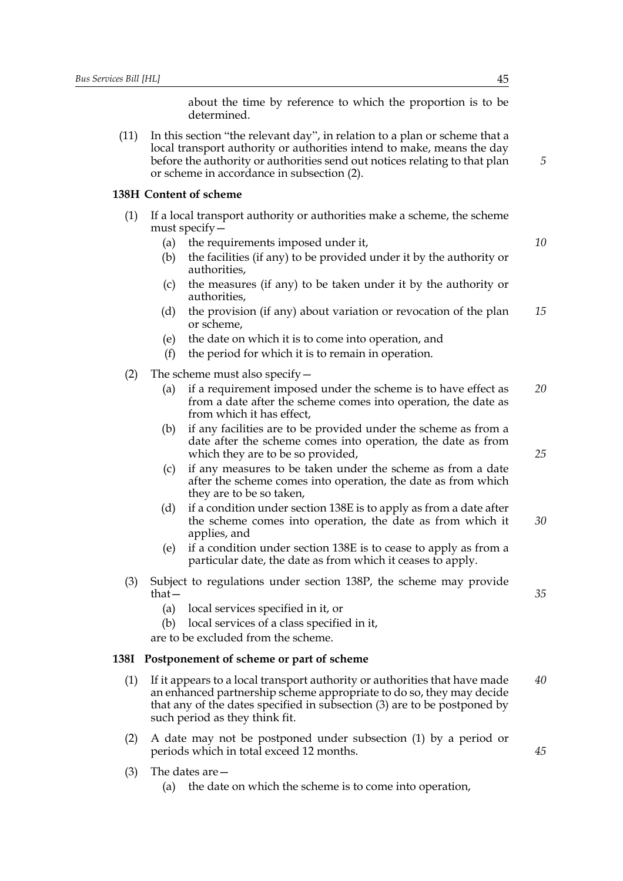about the time by reference to which the proportion is to be determined.

(11) In this section "the relevant day", in relation to a plan or scheme that a local transport authority or authorities intend to make, means the day before the authority or authorities send out notices relating to that plan or scheme in accordance in subsection (2).

#### **138H Content of scheme**

- (1) If a local transport authority or authorities make a scheme, the scheme must specify—
	- (a) the requirements imposed under it,
	- (b) the facilities (if any) to be provided under it by the authority or authorities,
	- (c) the measures (if any) to be taken under it by the authority or authorities,
	- (d) the provision (if any) about variation or revocation of the plan or scheme, *15*
	- (e) the date on which it is to come into operation, and
	- (f) the period for which it is to remain in operation.
- (2) The scheme must also specify  $-$ 
	- (a) if a requirement imposed under the scheme is to have effect as from a date after the scheme comes into operation, the date as from which it has effect, *20*
	- (b) if any facilities are to be provided under the scheme as from a date after the scheme comes into operation, the date as from which they are to be so provided,
	- (c) if any measures to be taken under the scheme as from a date after the scheme comes into operation, the date as from which they are to be so taken,
	- (d) if a condition under section 138E is to apply as from a date after the scheme comes into operation, the date as from which it applies, and *30*
	- (e) if a condition under section 138E is to cease to apply as from a particular date, the date as from which it ceases to apply.
- (3) Subject to regulations under section 138P, the scheme may provide that—
	- (a) local services specified in it, or
	- (b) local services of a class specified in it,
	- are to be excluded from the scheme.

#### **138I Postponement of scheme or part of scheme**

- (1) If it appears to a local transport authority or authorities that have made an enhanced partnership scheme appropriate to do so, they may decide that any of the dates specified in subsection (3) are to be postponed by such period as they think fit. *40*
- (2) A date may not be postponed under subsection (1) by a period or periods which in total exceed 12 months.
- (3) The dates are—
	- (a) the date on which the scheme is to come into operation,

*5*

*10*

*25*

*35*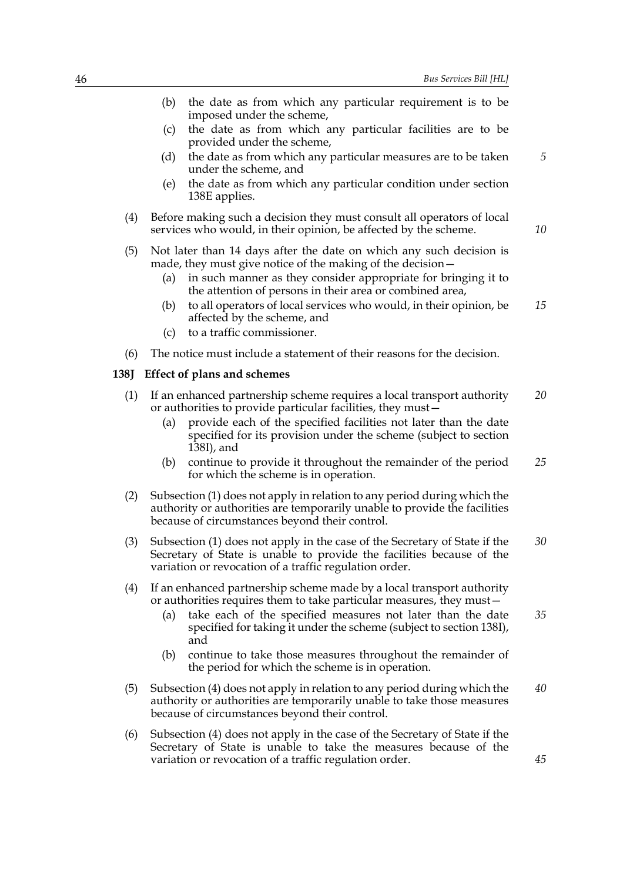|         | the date as from which any particular requirement is to be<br>(b)<br>imposed under the scheme,                                                                                                                                                                                                     |    |
|---------|----------------------------------------------------------------------------------------------------------------------------------------------------------------------------------------------------------------------------------------------------------------------------------------------------|----|
|         | the date as from which any particular facilities are to be<br>(c)<br>provided under the scheme,                                                                                                                                                                                                    |    |
|         | the date as from which any particular measures are to be taken<br>(d)<br>under the scheme, and                                                                                                                                                                                                     | 5  |
|         | the date as from which any particular condition under section<br>(e)<br>138E applies.                                                                                                                                                                                                              |    |
| (4)     | Before making such a decision they must consult all operators of local<br>services who would, in their opinion, be affected by the scheme.                                                                                                                                                         | 10 |
| (5)     | Not later than 14 days after the date on which any such decision is<br>made, they must give notice of the making of the decision -                                                                                                                                                                 |    |
|         | in such manner as they consider appropriate for bringing it to<br>(a)<br>the attention of persons in their area or combined area,                                                                                                                                                                  |    |
|         | to all operators of local services who would, in their opinion, be<br>(b)<br>affected by the scheme, and                                                                                                                                                                                           | 15 |
|         | to a traffic commissioner.<br>(c)                                                                                                                                                                                                                                                                  |    |
| (6)     | The notice must include a statement of their reasons for the decision.                                                                                                                                                                                                                             |    |
| $138$ J | <b>Effect of plans and schemes</b>                                                                                                                                                                                                                                                                 |    |
| (1)     | If an enhanced partnership scheme requires a local transport authority<br>or authorities to provide particular facilities, they must-                                                                                                                                                              | 20 |
|         | provide each of the specified facilities not later than the date<br>(a)<br>specified for its provision under the scheme (subject to section<br>138I), and                                                                                                                                          |    |
|         | continue to provide it throughout the remainder of the period<br>(b)<br>for which the scheme is in operation.                                                                                                                                                                                      | 25 |
| (2)     | Subsection (1) does not apply in relation to any period during which the<br>authority or authorities are temporarily unable to provide the facilities<br>because of circumstances beyond their control.                                                                                            |    |
| (3)     | Subsection (1) does not apply in the case of the Secretary of State if the<br>Secretary of State is unable to provide the facilities because of the<br>variation or revocation of a traffic regulation order.                                                                                      | 30 |
| (4)     | If an enhanced partnership scheme made by a local transport authority<br>or authorities requires them to take particular measures, they must –<br>take each of the specified measures not later than the date<br>(a)<br>specified for taking it under the scheme (subject to section 138I),<br>and | 35 |
|         | continue to take those measures throughout the remainder of<br>(b)<br>the period for which the scheme is in operation.                                                                                                                                                                             |    |
| (5)     | Subsection (4) does not apply in relation to any period during which the<br>authority or authorities are temporarily unable to take those measures<br>because of circumstances beyond their control.                                                                                               | 40 |
| (6)     | Subsection (4) does not apply in the case of the Secretary of State if the<br>Secretary of State is unable to take the measures because of the<br>variation or revocation of a traffic regulation order.                                                                                           | 45 |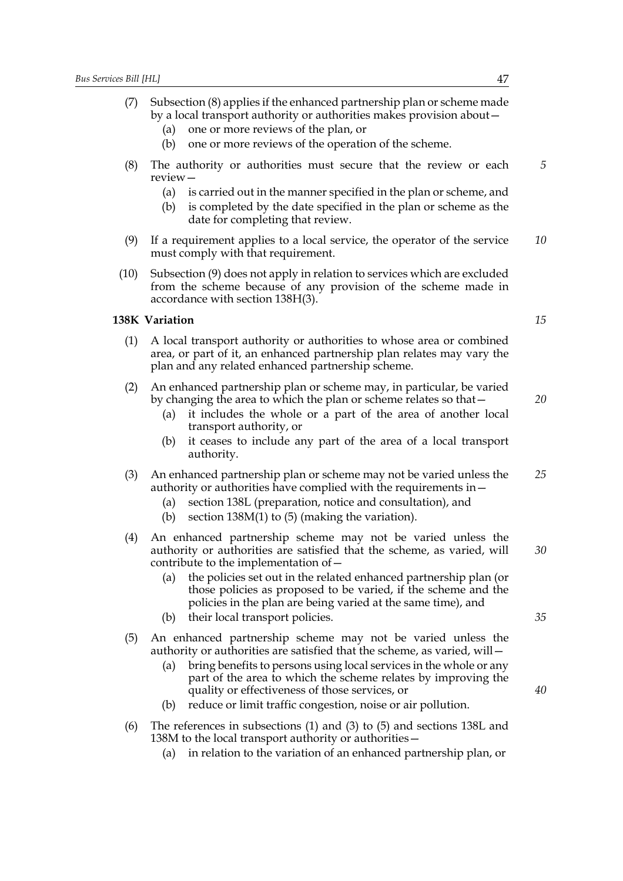- (7) Subsection (8) applies if the enhanced partnership plan or scheme made by a local transport authority or authorities makes provision about—
	- (a) one or more reviews of the plan, or
	- (b) one or more reviews of the operation of the scheme.
- (8) The authority or authorities must secure that the review or each review— *5*
	- (a) is carried out in the manner specified in the plan or scheme, and
	- (b) is completed by the date specified in the plan or scheme as the date for completing that review.
- (9) If a requirement applies to a local service, the operator of the service must comply with that requirement. *10*
- (10) Subsection (9) does not apply in relation to services which are excluded from the scheme because of any provision of the scheme made in accordance with section 138H(3).

# **138K Variation**

- (1) A local transport authority or authorities to whose area or combined area, or part of it, an enhanced partnership plan relates may vary the plan and any related enhanced partnership scheme.
- (2) An enhanced partnership plan or scheme may, in particular, be varied by changing the area to which the plan or scheme relates so that—
	- (a) it includes the whole or a part of the area of another local transport authority, or
	- (b) it ceases to include any part of the area of a local transport authority.
- (3) An enhanced partnership plan or scheme may not be varied unless the authority or authorities have complied with the requirements in— *25*
	- (a) section 138L (preparation, notice and consultation), and
	- (b) section 138M(1) to (5) (making the variation).
- (4) An enhanced partnership scheme may not be varied unless the authority or authorities are satisfied that the scheme, as varied, will contribute to the implementation of—
	- (a) the policies set out in the related enhanced partnership plan (or those policies as proposed to be varied, if the scheme and the policies in the plan are being varied at the same time), and
	- (b) their local transport policies.
- (5) An enhanced partnership scheme may not be varied unless the authority or authorities are satisfied that the scheme, as varied, will—
	- (a) bring benefits to persons using local services in the whole or any part of the area to which the scheme relates by improving the quality or effectiveness of those services, or
	- (b) reduce or limit traffic congestion, noise or air pollution.
- (6) The references in subsections (1) and (3) to (5) and sections 138L and 138M to the local transport authority or authorities—
	- (a) in relation to the variation of an enhanced partnership plan, or

*15*

*20*

*30*

*35*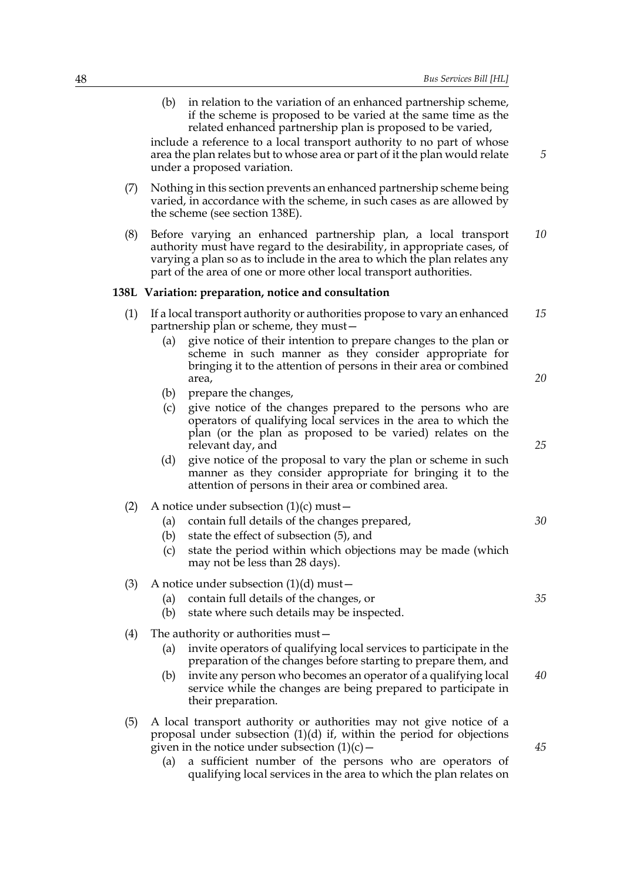(b) in relation to the variation of an enhanced partnership scheme, if the scheme is proposed to be varied at the same time as the related enhanced partnership plan is proposed to be varied,

include a reference to a local transport authority to no part of whose area the plan relates but to whose area or part of it the plan would relate under a proposed variation.

- (7) Nothing in this section prevents an enhanced partnership scheme being varied, in accordance with the scheme, in such cases as are allowed by the scheme (see section 138E).
- (8) Before varying an enhanced partnership plan, a local transport authority must have regard to the desirability, in appropriate cases, of varying a plan so as to include in the area to which the plan relates any part of the area of one or more other local transport authorities. *10*

#### **138L Variation: preparation, notice and consultation**

- (1) If a local transport authority or authorities propose to vary an enhanced partnership plan or scheme, they must— *15*
	- (a) give notice of their intention to prepare changes to the plan or scheme in such manner as they consider appropriate for bringing it to the attention of persons in their area or combined area,
	- (b) prepare the changes,
	- (c) give notice of the changes prepared to the persons who are operators of qualifying local services in the area to which the plan (or the plan as proposed to be varied) relates on the relevant day, and
	- (d) give notice of the proposal to vary the plan or scheme in such manner as they consider appropriate for bringing it to the attention of persons in their area or combined area.
- (2) A notice under subsection  $(1)(c)$  must
	- (a) contain full details of the changes prepared,
	- (b) state the effect of subsection (5), and
	- (c) state the period within which objections may be made (which may not be less than 28 days).
- (3) A notice under subsection  $(1)(d)$  must
	- (a) contain full details of the changes, or
	- (b) state where such details may be inspected.
- (4) The authority or authorities must—
	- (a) invite operators of qualifying local services to participate in the preparation of the changes before starting to prepare them, and
	- (b) invite any person who becomes an operator of a qualifying local service while the changes are being prepared to participate in their preparation.
- (5) A local transport authority or authorities may not give notice of a proposal under subsection (1)(d) if, within the period for objections given in the notice under subsection  $(1)(c)$  –
	- (a) a sufficient number of the persons who are operators of qualifying local services in the area to which the plan relates on

*25*

*20*

*5*

*30*

*35*

*40*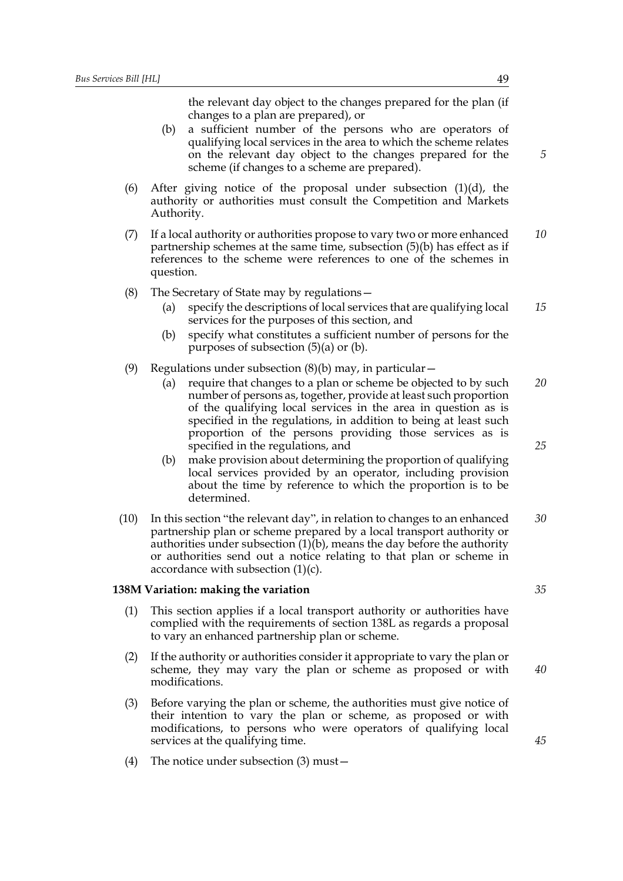the relevant day object to the changes prepared for the plan (if changes to a plan are prepared), or

- (b) a sufficient number of the persons who are operators of qualifying local services in the area to which the scheme relates on the relevant day object to the changes prepared for the scheme (if changes to a scheme are prepared).
- (6) After giving notice of the proposal under subsection  $(1)(d)$ , the authority or authorities must consult the Competition and Markets Authority.
- (7) If a local authority or authorities propose to vary two or more enhanced partnership schemes at the same time, subsection (5)(b) has effect as if references to the scheme were references to one of the schemes in question. *10*
- (8) The Secretary of State may by regulations—
	- (a) specify the descriptions of local services that are qualifying local services for the purposes of this section, and *15*
	- (b) specify what constitutes a sufficient number of persons for the purposes of subsection (5)(a) or (b).
- (9) Regulations under subsection  $(8)(b)$  may, in particular  $-$ 
	- (a) require that changes to a plan or scheme be objected to by such number of persons as, together, provide at least such proportion of the qualifying local services in the area in question as is specified in the regulations, in addition to being at least such proportion of the persons providing those services as is specified in the regulations, and *20 25*
	- (b) make provision about determining the proportion of qualifying local services provided by an operator, including provision about the time by reference to which the proportion is to be determined.
- (10) In this section "the relevant day", in relation to changes to an enhanced partnership plan or scheme prepared by a local transport authority or authorities under subsection  $(1)(b)$ , means the day before the authority or authorities send out a notice relating to that plan or scheme in accordance with subsection  $(1)(c)$ . *30*

## **138M Variation: making the variation**

- (1) This section applies if a local transport authority or authorities have complied with the requirements of section 138L as regards a proposal to vary an enhanced partnership plan or scheme.
- (2) If the authority or authorities consider it appropriate to vary the plan or scheme, they may vary the plan or scheme as proposed or with modifications.
- (3) Before varying the plan or scheme, the authorities must give notice of their intention to vary the plan or scheme, as proposed or with modifications, to persons who were operators of qualifying local services at the qualifying time.
- (4) The notice under subsection (3) must—

*5*

*35*

*45*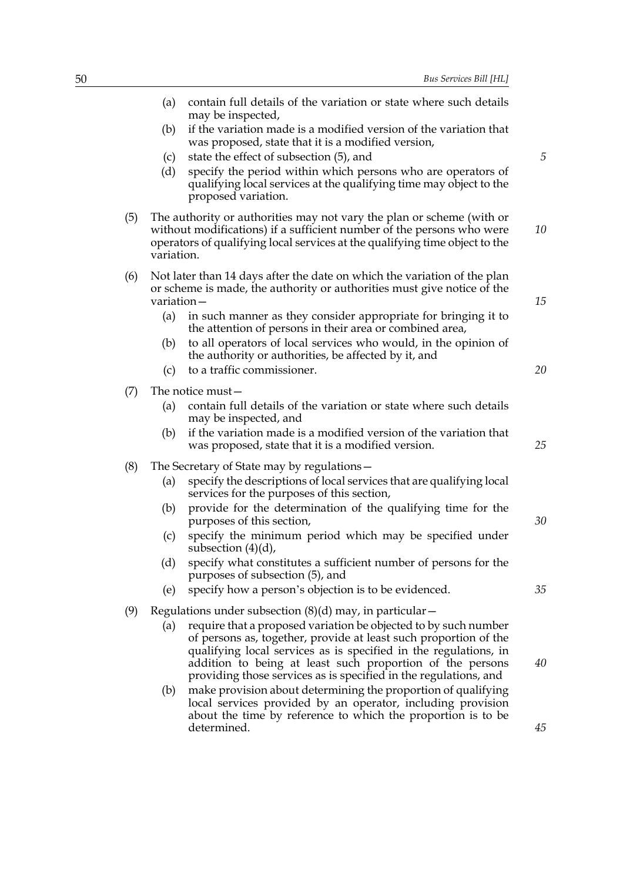|     | (a)        | contain full details of the variation or state where such details<br>may be inspected,                                                                                                                                                                                                                                                   |    |
|-----|------------|------------------------------------------------------------------------------------------------------------------------------------------------------------------------------------------------------------------------------------------------------------------------------------------------------------------------------------------|----|
|     | (b)        | if the variation made is a modified version of the variation that<br>was proposed, state that it is a modified version,                                                                                                                                                                                                                  |    |
|     | (c)        | state the effect of subsection (5), and                                                                                                                                                                                                                                                                                                  | 5  |
|     | (d)        | specify the period within which persons who are operators of<br>qualifying local services at the qualifying time may object to the<br>proposed variation.                                                                                                                                                                                |    |
| (5) | variation. | The authority or authorities may not vary the plan or scheme (with or<br>without modifications) if a sufficient number of the persons who were<br>operators of qualifying local services at the qualifying time object to the                                                                                                            | 10 |
| (6) | variation- | Not later than 14 days after the date on which the variation of the plan<br>or scheme is made, the authority or authorities must give notice of the                                                                                                                                                                                      | 15 |
|     | (a)        | in such manner as they consider appropriate for bringing it to<br>the attention of persons in their area or combined area,                                                                                                                                                                                                               |    |
|     | (b)        | to all operators of local services who would, in the opinion of<br>the authority or authorities, be affected by it, and                                                                                                                                                                                                                  |    |
|     | (c)        | to a traffic commissioner.                                                                                                                                                                                                                                                                                                               | 20 |
| (7) |            | The notice must-                                                                                                                                                                                                                                                                                                                         |    |
|     | (a)        | contain full details of the variation or state where such details<br>may be inspected, and                                                                                                                                                                                                                                               |    |
|     | (b)        | if the variation made is a modified version of the variation that<br>was proposed, state that it is a modified version.                                                                                                                                                                                                                  | 25 |
| (8) |            | The Secretary of State may by regulations -                                                                                                                                                                                                                                                                                              |    |
|     | (a)        | specify the descriptions of local services that are qualifying local<br>services for the purposes of this section,                                                                                                                                                                                                                       |    |
|     | (b)        | provide for the determination of the qualifying time for the<br>purposes of this section,                                                                                                                                                                                                                                                | 30 |
|     | (c)        | specify the minimum period which may be specified under<br>subsection $(4)(d)$ ,                                                                                                                                                                                                                                                         |    |
|     | (d)        | specify what constitutes a sufficient number of persons for the<br>purposes of subsection (5), and                                                                                                                                                                                                                                       |    |
|     | (e)        | specify how a person's objection is to be evidenced.                                                                                                                                                                                                                                                                                     | 35 |
| (9) |            | Regulations under subsection $(8)(d)$ may, in particular –                                                                                                                                                                                                                                                                               |    |
|     | (a)        | require that a proposed variation be objected to by such number<br>of persons as, together, provide at least such proportion of the<br>qualifying local services as is specified in the regulations, in<br>addition to being at least such proportion of the persons<br>providing those services as is specified in the regulations, and | 40 |
|     | (b)        | make provision about determining the proportion of qualifying<br>local services provided by an operator, including provision<br>about the time by reference to which the proportion is to be<br>determined.                                                                                                                              | 45 |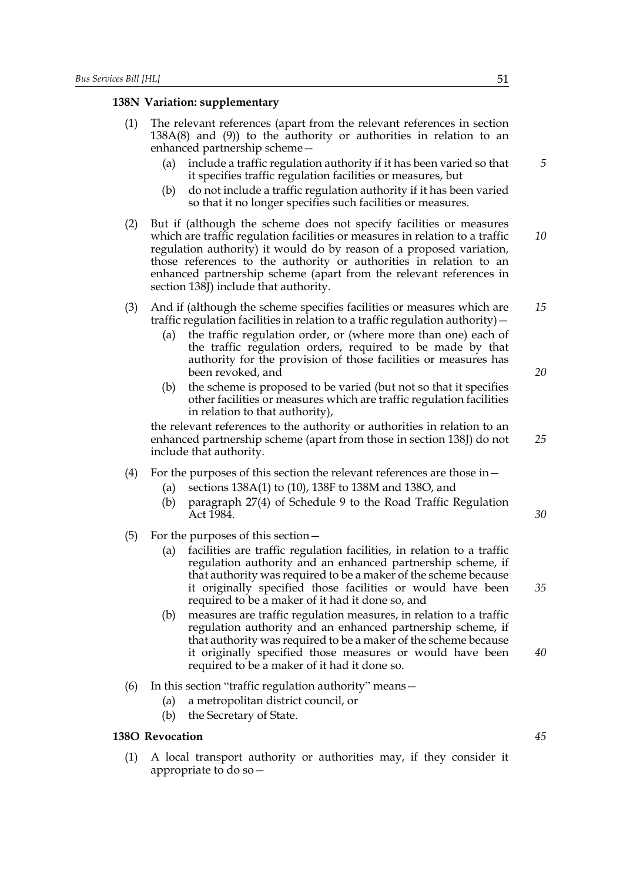# **138N Variation: supplementary**

| (1) | The relevant references (apart from the relevant references in section<br>$138A(8)$ and $(9)$ ) to the authority or authorities in relation to an<br>enhanced partnership scheme-                                                                                                                                                                                                                                |    |
|-----|------------------------------------------------------------------------------------------------------------------------------------------------------------------------------------------------------------------------------------------------------------------------------------------------------------------------------------------------------------------------------------------------------------------|----|
|     | include a traffic regulation authority if it has been varied so that<br>(a)<br>it specifies traffic regulation facilities or measures, but<br>do not include a traffic regulation authority if it has been varied<br>(b)<br>so that it no longer specifies such facilities or measures.                                                                                                                          | 5  |
| (2) | But if (although the scheme does not specify facilities or measures<br>which are traffic regulation facilities or measures in relation to a traffic<br>regulation authority) it would do by reason of a proposed variation,<br>those references to the authority or authorities in relation to an<br>enhanced partnership scheme (apart from the relevant references in<br>section 138J) include that authority. | 10 |
| (3) | And if (although the scheme specifies facilities or measures which are<br>traffic regulation facilities in relation to a traffic regulation authority) -<br>the traffic regulation order, or (where more than one) each of<br>(a)<br>the traffic regulation orders, required to be made by that<br>authority for the provision of those facilities or measures has                                               | 15 |
|     | been revoked, and<br>the scheme is proposed to be varied (but not so that it specifies<br>(b)<br>other facilities or measures which are traffic regulation facilities<br>in relation to that authority),                                                                                                                                                                                                         | 20 |
|     | the relevant references to the authority or authorities in relation to an<br>enhanced partnership scheme (apart from those in section 138J) do not<br>include that authority.                                                                                                                                                                                                                                    | 25 |
| (4) | For the purposes of this section the relevant references are those in -<br>sections 138A(1) to (10), 138F to 138M and 138O, and<br>(a)<br>paragraph 27(4) of Schedule 9 to the Road Traffic Regulation<br>(b)<br>Act 1984.                                                                                                                                                                                       | 30 |
| (5) | For the purposes of this section $-$<br>facilities are traffic regulation facilities, in relation to a traffic<br>(a)<br>regulation authority and an enhanced partnership scheme, if<br>that authority was required to be a maker of the scheme because<br>it originally specified those facilities or would have been                                                                                           | 35 |
|     | required to be a maker of it had it done so, and<br>measures are traffic regulation measures, in relation to a traffic<br>(b)<br>regulation authority and an enhanced partnership scheme, if<br>that authority was required to be a maker of the scheme because<br>it originally specified those measures or would have been<br>required to be a maker of it had it done so.                                     | 40 |
| (6) | In this section "traffic regulation authority" means -<br>a metropolitan district council, or<br>(a)<br>(b)<br>the Secretary of State.                                                                                                                                                                                                                                                                           |    |
|     | <b>38O Revocation</b>                                                                                                                                                                                                                                                                                                                                                                                            | 45 |

*25*

# **138O Revocation**

(1) A local transport authority or authorities may, if they consider it appropriate to do so—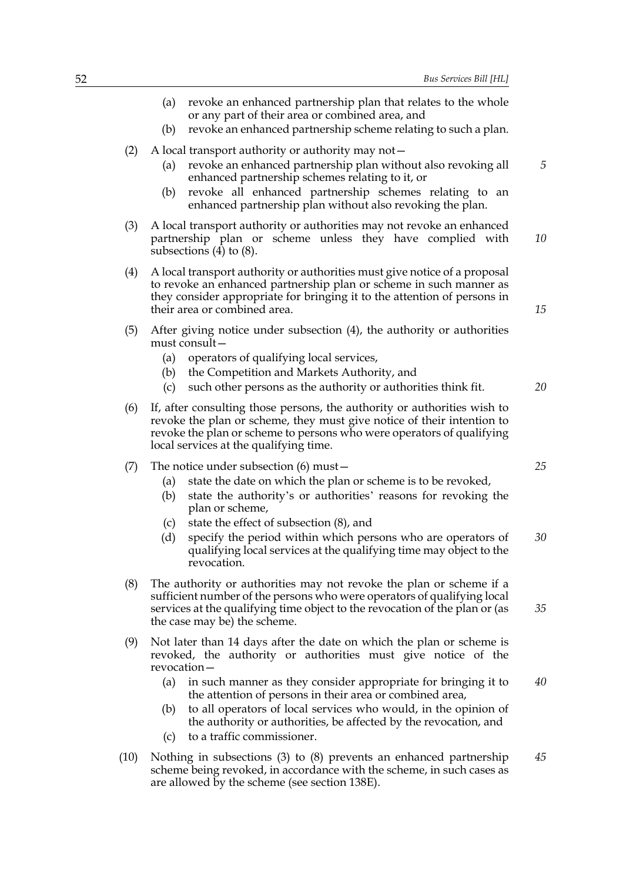- (a) revoke an enhanced partnership plan that relates to the whole or any part of their area or combined area, and (b) revoke an enhanced partnership scheme relating to such a plan. (2) A local transport authority or authority may not— (a) revoke an enhanced partnership plan without also revoking all enhanced partnership schemes relating to it, or (b) revoke all enhanced partnership schemes relating to an enhanced partnership plan without also revoking the plan. (3) A local transport authority or authorities may not revoke an enhanced partnership plan or scheme unless they have complied with subsections (4) to (8). (4) A local transport authority or authorities must give notice of a proposal to revoke an enhanced partnership plan or scheme in such manner as they consider appropriate for bringing it to the attention of persons in their area or combined area. (5) After giving notice under subsection (4), the authority or authorities must consult— (a) operators of qualifying local services, (b) the Competition and Markets Authority, and (c) such other persons as the authority or authorities think fit. (6) If, after consulting those persons, the authority or authorities wish to revoke the plan or scheme, they must give notice of their intention to revoke the plan or scheme to persons who were operators of qualifying local services at the qualifying time. (7) The notice under subsection (6) must— (a) state the date on which the plan or scheme is to be revoked, (b) state the authority's or authorities' reasons for revoking the plan or scheme, (c) state the effect of subsection (8), and (d) specify the period within which persons who are operators of qualifying local services at the qualifying time may object to the revocation. (8) The authority or authorities may not revoke the plan or scheme if a sufficient number of the persons who were operators of qualifying local services at the qualifying time object to the revocation of the plan or (as the case may be) the scheme. *5 10 15 20 25 30 35*
- (9) Not later than 14 days after the date on which the plan or scheme is revoked, the authority or authorities must give notice of the revocation—
	- (a) in such manner as they consider appropriate for bringing it to the attention of persons in their area or combined area, *40*
	- (b) to all operators of local services who would, in the opinion of the authority or authorities, be affected by the revocation, and
	- (c) to a traffic commissioner.
- (10) Nothing in subsections (3) to (8) prevents an enhanced partnership scheme being revoked, in accordance with the scheme, in such cases as are allowed by the scheme (see section 138E). *45*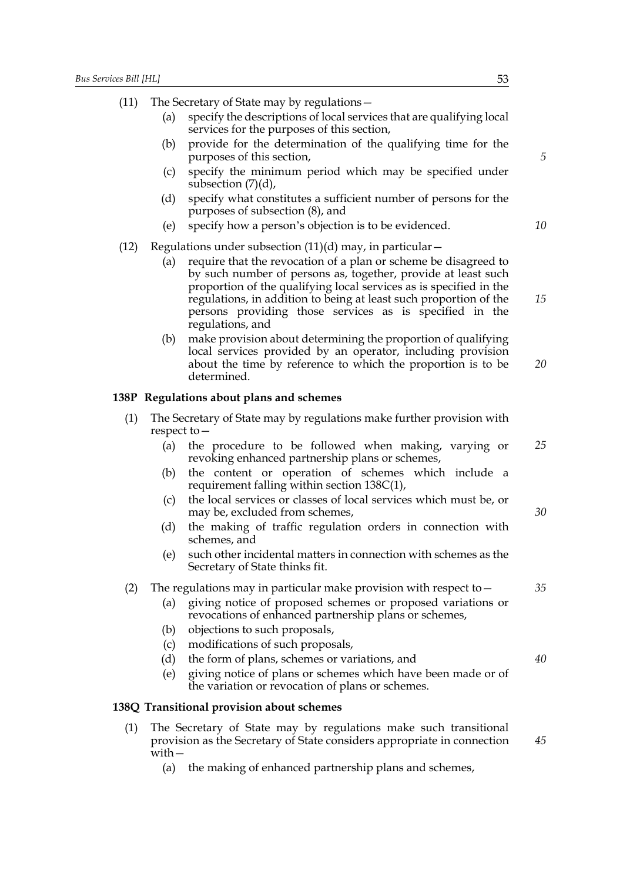**138P** 

(11) The Secretary of State may by regulations—

|      | (a)         | specify the descriptions of local services that are qualifying local<br>services for the purposes of this section,                                                                                                                                                                                                                                                                                                                                                                                                                                         |          |
|------|-------------|------------------------------------------------------------------------------------------------------------------------------------------------------------------------------------------------------------------------------------------------------------------------------------------------------------------------------------------------------------------------------------------------------------------------------------------------------------------------------------------------------------------------------------------------------------|----------|
|      | (b)         | provide for the determination of the qualifying time for the<br>purposes of this section,                                                                                                                                                                                                                                                                                                                                                                                                                                                                  | 5        |
|      | (c)         | specify the minimum period which may be specified under<br>subsection $(7)(d)$ ,                                                                                                                                                                                                                                                                                                                                                                                                                                                                           |          |
|      | (d)         | specify what constitutes a sufficient number of persons for the<br>purposes of subsection (8), and                                                                                                                                                                                                                                                                                                                                                                                                                                                         |          |
|      | (e)         | specify how a person's objection is to be evidenced.                                                                                                                                                                                                                                                                                                                                                                                                                                                                                                       | 10       |
| (12) |             | Regulations under subsection $(11)(d)$ may, in particular –                                                                                                                                                                                                                                                                                                                                                                                                                                                                                                |          |
|      | (a)<br>(b)  | require that the revocation of a plan or scheme be disagreed to<br>by such number of persons as, together, provide at least such<br>proportion of the qualifying local services as is specified in the<br>regulations, in addition to being at least such proportion of the<br>persons providing those services as is specified in the<br>regulations, and<br>make provision about determining the proportion of qualifying<br>local services provided by an operator, including provision<br>about the time by reference to which the proportion is to be | 15<br>20 |
|      |             | determined.                                                                                                                                                                                                                                                                                                                                                                                                                                                                                                                                                |          |
|      |             | 38P Regulations about plans and schemes                                                                                                                                                                                                                                                                                                                                                                                                                                                                                                                    |          |
| (1)  | respect to- | The Secretary of State may by regulations make further provision with                                                                                                                                                                                                                                                                                                                                                                                                                                                                                      |          |
|      | (a)         | the procedure to be followed when making, varying or<br>revoking enhanced partnership plans or schemes,                                                                                                                                                                                                                                                                                                                                                                                                                                                    | 25       |
|      | (b)         | the content or operation of schemes which include a<br>requirement falling within section $138C(1)$ ,                                                                                                                                                                                                                                                                                                                                                                                                                                                      |          |
|      | (c)         | the local services or classes of local services which must be, or<br>may be, excluded from schemes,                                                                                                                                                                                                                                                                                                                                                                                                                                                        | 30       |
|      | (d)         | the making of traffic regulation orders in connection with<br>schemes, and                                                                                                                                                                                                                                                                                                                                                                                                                                                                                 |          |
|      | (e)         | such other incidental matters in connection with schemes as the<br>Secretary of State thinks fit.                                                                                                                                                                                                                                                                                                                                                                                                                                                          |          |
| (2)  |             | The regulations may in particular make provision with respect to $-$                                                                                                                                                                                                                                                                                                                                                                                                                                                                                       | 35       |
|      | (a)         | giving notice of proposed schemes or proposed variations or<br>revocations of enhanced partnership plans or schemes,                                                                                                                                                                                                                                                                                                                                                                                                                                       |          |
|      | (b)         | objections to such proposals,                                                                                                                                                                                                                                                                                                                                                                                                                                                                                                                              |          |
|      | (c)<br>(d)  | modifications of such proposals,<br>the form of plans, schemes or variations, and                                                                                                                                                                                                                                                                                                                                                                                                                                                                          | 40       |
|      | (e)         | giving notice of plans or schemes which have been made or of<br>the variation or revocation of plans or schemes.                                                                                                                                                                                                                                                                                                                                                                                                                                           |          |
|      |             | <b>38Q Transitional provision about schemes</b>                                                                                                                                                                                                                                                                                                                                                                                                                                                                                                            |          |
|      |             |                                                                                                                                                                                                                                                                                                                                                                                                                                                                                                                                                            |          |
| (1)  |             | The Secretary of State may by regulations make such transitional                                                                                                                                                                                                                                                                                                                                                                                                                                                                                           |          |

with—

**138Q** 

(a) the making of enhanced partnership plans and schemes,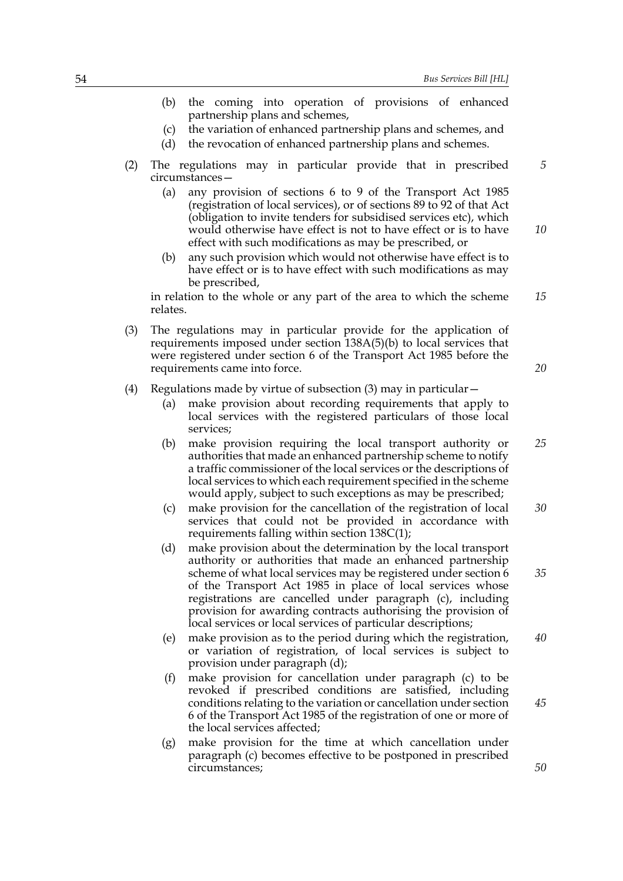- (b) the coming into operation of provisions of enhanced partnership plans and schemes,
- (c) the variation of enhanced partnership plans and schemes, and
- (d) the revocation of enhanced partnership plans and schemes.
- (2) The regulations may in particular provide that in prescribed circumstances— *5*
	- (a) any provision of sections 6 to 9 of the Transport Act 1985 (registration of local services), or of sections 89 to 92 of that Act (obligation to invite tenders for subsidised services etc), which would otherwise have effect is not to have effect or is to have effect with such modifications as may be prescribed, or
	- (b) any such provision which would not otherwise have effect is to have effect or is to have effect with such modifications as may be prescribed,

in relation to the whole or any part of the area to which the scheme relates. *15*

(3) The regulations may in particular provide for the application of requirements imposed under section 138A(5)(b) to local services that were registered under section 6 of the Transport Act 1985 before the requirements came into force.

#### (4) Regulations made by virtue of subsection  $(3)$  may in particular  $-$

- (a) make provision about recording requirements that apply to local services with the registered particulars of those local services;
- (b) make provision requiring the local transport authority or authorities that made an enhanced partnership scheme to notify a traffic commissioner of the local services or the descriptions of local services to which each requirement specified in the scheme would apply, subject to such exceptions as may be prescribed; *25*
- (c) make provision for the cancellation of the registration of local services that could not be provided in accordance with requirements falling within section 138C(1); *30*
- (d) make provision about the determination by the local transport authority or authorities that made an enhanced partnership scheme of what local services may be registered under section 6 of the Transport Act 1985 in place of local services whose registrations are cancelled under paragraph (c), including provision for awarding contracts authorising the provision of local services or local services of particular descriptions; *35*
- (e) make provision as to the period during which the registration, or variation of registration, of local services is subject to provision under paragraph (d); *40*
- (f) make provision for cancellation under paragraph (c) to be revoked if prescribed conditions are satisfied, including conditions relating to the variation or cancellation under section 6 of the Transport Act 1985 of the registration of one or more of the local services affected;
- (g) make provision for the time at which cancellation under paragraph (c) becomes effective to be postponed in prescribed circumstances;

*10*

*20*

*45*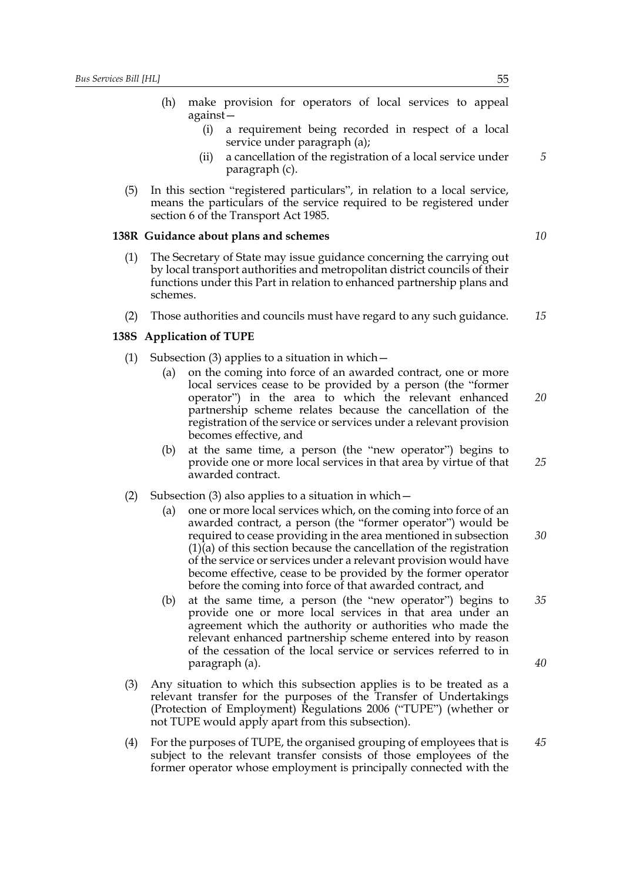- (h) make provision for operators of local services to appeal against—
	- (i) a requirement being recorded in respect of a local service under paragraph (a);
	- (ii) a cancellation of the registration of a local service under paragraph (c).
- (5) In this section "registered particulars", in relation to a local service, means the particulars of the service required to be registered under section 6 of the Transport Act 1985.

#### **138R Guidance about plans and schemes**

- (1) The Secretary of State may issue guidance concerning the carrying out by local transport authorities and metropolitan district councils of their functions under this Part in relation to enhanced partnership plans and schemes.
- (2) Those authorities and councils must have regard to any such guidance. *15*

## **138S Application of TUPE**

- (1) Subsection (3) applies to a situation in which  $-$ 
	- (a) on the coming into force of an awarded contract, one or more local services cease to be provided by a person (the "former operator") in the area to which the relevant enhanced partnership scheme relates because the cancellation of the registration of the service or services under a relevant provision becomes effective, and
	- (b) at the same time, a person (the "new operator") begins to provide one or more local services in that area by virtue of that awarded contract. *25*
- (2) Subsection (3) also applies to a situation in which—
	- (a) one or more local services which, on the coming into force of an awarded contract, a person (the "former operator") would be required to cease providing in the area mentioned in subsection (1)(a) of this section because the cancellation of the registration of the service or services under a relevant provision would have become effective, cease to be provided by the former operator before the coming into force of that awarded contract, and *30*
	- (b) at the same time, a person (the "new operator") begins to provide one or more local services in that area under an agreement which the authority or authorities who made the relevant enhanced partnership scheme entered into by reason of the cessation of the local service or services referred to in paragraph (a).
- (3) Any situation to which this subsection applies is to be treated as a relevant transfer for the purposes of the Transfer of Undertakings (Protection of Employment) Regulations 2006 ("TUPE") (whether or not TUPE would apply apart from this subsection).
- (4) For the purposes of TUPE, the organised grouping of employees that is subject to the relevant transfer consists of those employees of the former operator whose employment is principally connected with the *45*

*10*

*5*

*20*

*35*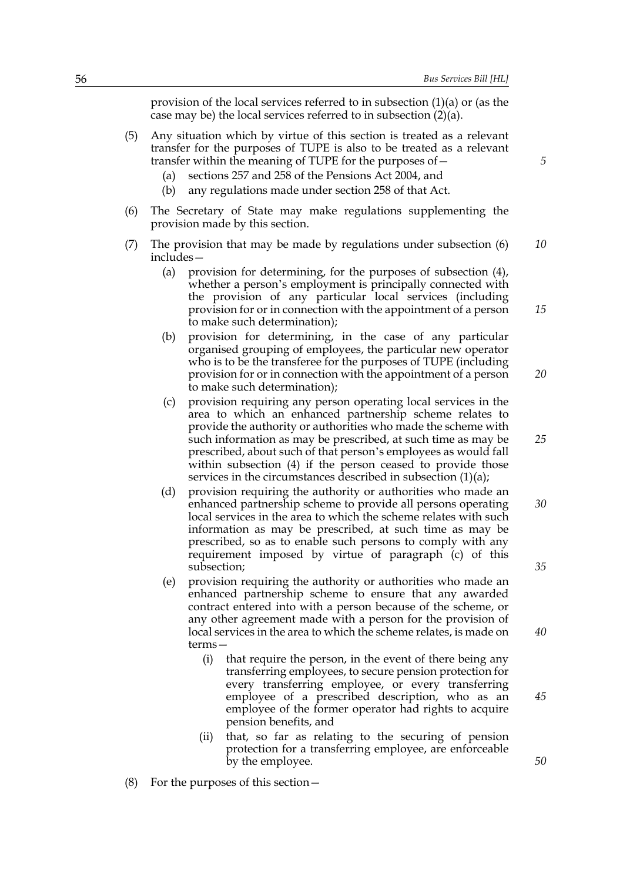provision of the local services referred to in subsection (1)(a) or (as the case may be) the local services referred to in subsection (2)(a).

- (5) Any situation which by virtue of this section is treated as a relevant transfer for the purposes of TUPE is also to be treated as a relevant transfer within the meaning of TUPE for the purposes of—
	- (a) sections 257 and 258 of the Pensions Act 2004, and
	- (b) any regulations made under section 258 of that Act.
- (6) The Secretary of State may make regulations supplementing the provision made by this section.
- (7) The provision that may be made by regulations under subsection (6) includes— *10*
	- (a) provision for determining, for the purposes of subsection (4), whether a person's employment is principally connected with the provision of any particular local services (including provision for or in connection with the appointment of a person to make such determination);
	- (b) provision for determining, in the case of any particular organised grouping of employees, the particular new operator who is to be the transferee for the purposes of TUPE (including provision for or in connection with the appointment of a person to make such determination); *20*
	- (c) provision requiring any person operating local services in the area to which an enhanced partnership scheme relates to provide the authority or authorities who made the scheme with such information as may be prescribed, at such time as may be prescribed, about such of that person's employees as would fall within subsection (4) if the person ceased to provide those services in the circumstances described in subsection  $(1)(a)$ ;
	- (d) provision requiring the authority or authorities who made an enhanced partnership scheme to provide all persons operating local services in the area to which the scheme relates with such information as may be prescribed, at such time as may be prescribed, so as to enable such persons to comply with any requirement imposed by virtue of paragraph (c) of this subsection; *30 35*
	- (e) provision requiring the authority or authorities who made an enhanced partnership scheme to ensure that any awarded contract entered into with a person because of the scheme, or any other agreement made with a person for the provision of local services in the area to which the scheme relates, is made on terms—
		- (i) that require the person, in the event of there being any transferring employees, to secure pension protection for every transferring employee, or every transferring employee of a prescribed description, who as an employee of the former operator had rights to acquire pension benefits, and
		- (ii) that, so far as relating to the securing of pension protection for a transferring employee, are enforceable by the employee.
- (8) For the purposes of this section—

*5*

*25*

*15*

*40*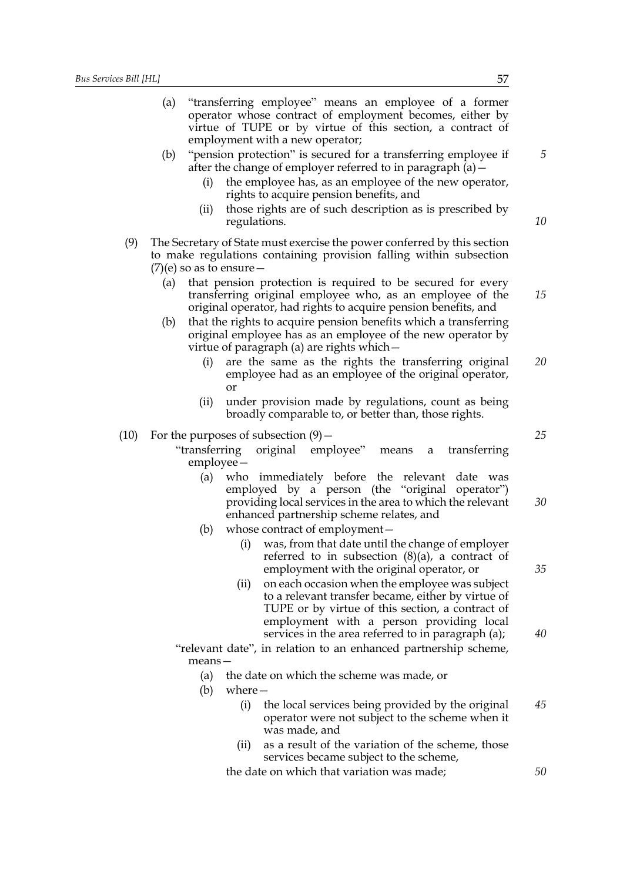|      | (a) |                             |              | "transferring employee" means an employee of a former<br>operator whose contract of employment becomes, either by<br>virtue of TUPE or by virtue of this section, a contract of                                                                                        |    |
|------|-----|-----------------------------|--------------|------------------------------------------------------------------------------------------------------------------------------------------------------------------------------------------------------------------------------------------------------------------------|----|
|      | (b) | (i)                         |              | employment with a new operator;<br>"pension protection" is secured for a transferring employee if<br>after the change of employer referred to in paragraph $(a)$ –<br>the employee has, as an employee of the new operator,<br>rights to acquire pension benefits, and | 5  |
|      |     | (ii)                        | regulations. | those rights are of such description as is prescribed by                                                                                                                                                                                                               | 10 |
| (9)  |     | $(7)$ (e) so as to ensure – |              | The Secretary of State must exercise the power conferred by this section<br>to make regulations containing provision falling within subsection                                                                                                                         |    |
|      | (a) |                             |              | that pension protection is required to be secured for every<br>transferring original employee who, as an employee of the<br>original operator, had rights to acquire pension benefits, and                                                                             | 15 |
|      | (b) |                             |              | that the rights to acquire pension benefits which a transferring<br>original employee has as an employee of the new operator by<br>virtue of paragraph (a) are rights which –                                                                                          |    |
|      |     | (i)                         | or           | are the same as the rights the transferring original<br>employee had as an employee of the original operator,                                                                                                                                                          | 20 |
|      |     | (ii)                        |              | under provision made by regulations, count as being<br>broadly comparable to, or better than, those rights.                                                                                                                                                            |    |
| (10) |     | $emplyee-$                  |              | For the purposes of subsection $(9)$ –<br>"transferring original employee" means<br>transferring<br>a                                                                                                                                                                  | 25 |
|      |     | (a)                         |              | who immediately before the relevant date was<br>employed by a person (the "original operator")<br>providing local services in the area to which the relevant<br>enhanced partnership scheme relates, and                                                               | 30 |
|      |     | (b)                         | (i)          | whose contract of employment -<br>was, from that date until the change of employer<br>referred to in subsection $(8)(a)$ , a contract of<br>employment with the original operator, or                                                                                  | 35 |
|      |     |                             | (ii)         | on each occasion when the employee was subject<br>to a relevant transfer became, either by virtue of<br>TUPE or by virtue of this section, a contract of                                                                                                               |    |
|      |     |                             |              | employment with a person providing local<br>services in the area referred to in paragraph (a);                                                                                                                                                                         | 40 |
|      |     | $means -$                   |              | "relevant date", in relation to an enhanced partnership scheme,                                                                                                                                                                                                        |    |
|      |     | (a)<br>(b)                  | $where-$     | the date on which the scheme was made, or                                                                                                                                                                                                                              |    |
|      |     |                             | (i)          | the local services being provided by the original<br>operator were not subject to the scheme when it<br>was made, and                                                                                                                                                  | 45 |
|      |     |                             | (ii)         | as a result of the variation of the scheme, those<br>services became subject to the scheme,                                                                                                                                                                            |    |
|      |     |                             |              | the date on which that variation was made;                                                                                                                                                                                                                             | 50 |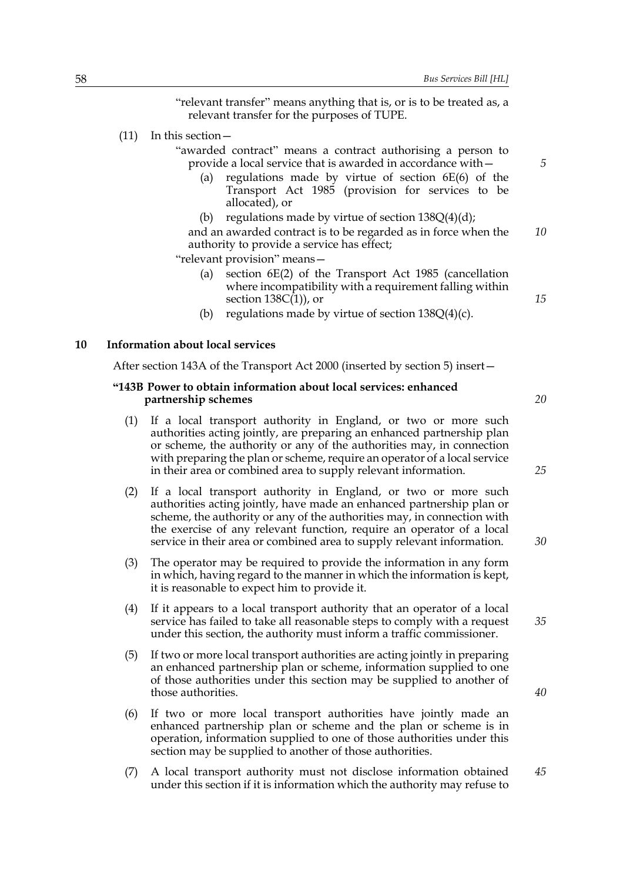"relevant transfer" means anything that is, or is to be treated as, a relevant transfer for the purposes of TUPE.

(11) In this section—

"awarded contract" means a contract authorising a person to provide a local service that is awarded in accordance with—

- (a) regulations made by virtue of section 6E(6) of the Transport Act 1985 (provision for services to be allocated), or
- (b) regulations made by virtue of section  $138Q(4)(d)$ ;

and an awarded contract is to be regarded as in force when the authority to provide a service has effect; *10*

"relevant provision" means—

- (a) section 6E(2) of the Transport Act 1985 (cancellation where incompatibility with a requirement falling within section  $138C(1)$ , or
- (b) regulations made by virtue of section  $138Q(4)(c)$ .

#### **10 Information about local services**

After section 143A of the Transport Act 2000 (inserted by section 5) insert—

#### **"143B Power to obtain information about local services: enhanced partnership schemes**

- (1) If a local transport authority in England, or two or more such authorities acting jointly, are preparing an enhanced partnership plan or scheme, the authority or any of the authorities may, in connection with preparing the plan or scheme, require an operator of a local service in their area or combined area to supply relevant information.
- (2) If a local transport authority in England, or two or more such authorities acting jointly, have made an enhanced partnership plan or scheme, the authority or any of the authorities may, in connection with the exercise of any relevant function, require an operator of a local service in their area or combined area to supply relevant information.
- (3) The operator may be required to provide the information in any form in which, having regard to the manner in which the information is kept, it is reasonable to expect him to provide it.
- (4) If it appears to a local transport authority that an operator of a local service has failed to take all reasonable steps to comply with a request under this section, the authority must inform a traffic commissioner.
- (5) If two or more local transport authorities are acting jointly in preparing an enhanced partnership plan or scheme, information supplied to one of those authorities under this section may be supplied to another of those authorities.
- (6) If two or more local transport authorities have jointly made an enhanced partnership plan or scheme and the plan or scheme is in operation, information supplied to one of those authorities under this section may be supplied to another of those authorities.
- (7) A local transport authority must not disclose information obtained under this section if it is information which the authority may refuse to *45*

*20*

*15*

*5*

*25*

*30*

*40*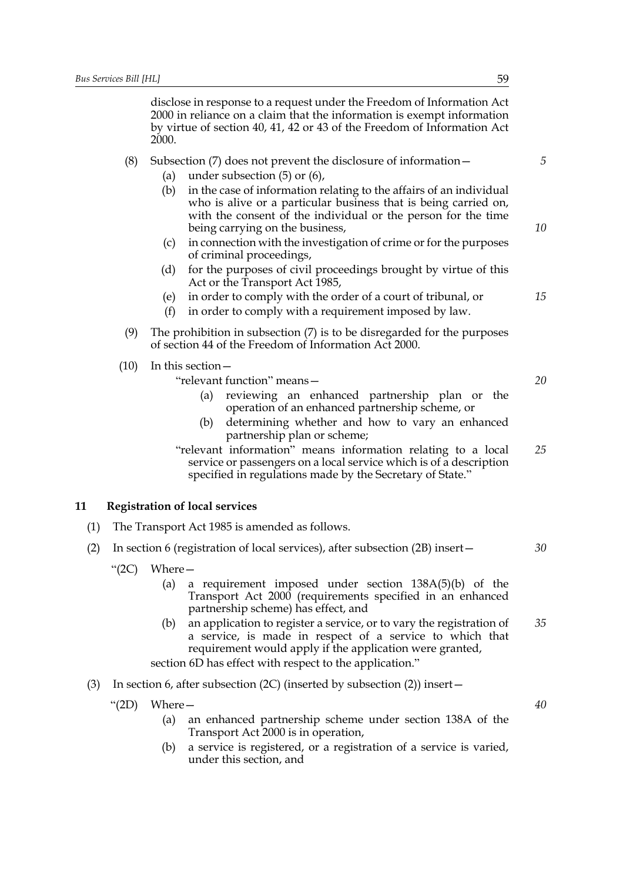disclose in response to a request under the Freedom of Information Act 2000 in reliance on a claim that the information is exempt information by virtue of section 40, 41, 42 or 43 of the Freedom of Information Act 2000.

# (8) Subsection (7) does not prevent the disclosure of information—

- (a) under subsection (5) or (6),
- (b) in the case of information relating to the affairs of an individual who is alive or a particular business that is being carried on, with the consent of the individual or the person for the time being carrying on the business,
- (c) in connection with the investigation of crime or for the purposes of criminal proceedings,
- (d) for the purposes of civil proceedings brought by virtue of this Act or the Transport Act 1985,
- (e) in order to comply with the order of a court of tribunal, or
- (f) in order to comply with a requirement imposed by law.
- (9) The prohibition in subsection (7) is to be disregarded for the purposes of section 44 of the Freedom of Information Act 2000.
- (10) In this section—

| "relevant function" means- |                                                   |  |  | 20 |  |  |
|----------------------------|---------------------------------------------------|--|--|----|--|--|
|                            | (a) reviewing an enhanced partnership plan or the |  |  |    |  |  |
|                            | operation of an enhanced partnership scheme, or   |  |  |    |  |  |

(b) determining whether and how to vary an enhanced partnership plan or scheme;

"relevant information" means information relating to a local service or passengers on a local service which is of a description specified in regulations made by the Secretary of State." *25*

## **11 Registration of local services**

- (1) The Transport Act 1985 is amended as follows.
- (2) In section 6 (registration of local services), after subsection (2B) insert—
	- "(2C) Where—
		- (a) a requirement imposed under section 138A(5)(b) of the Transport Act 2000 (requirements specified in an enhanced partnership scheme) has effect, and
		- (b) an application to register a service, or to vary the registration of a service, is made in respect of a service to which that requirement would apply if the application were granted, *35*

section 6D has effect with respect to the application."

(3) In section 6, after subsection (2C) (inserted by subsection (2)) insert—

"(2D) Where—

- (a) an enhanced partnership scheme under section 138A of the Transport Act 2000 is in operation,
- (b) a service is registered, or a registration of a service is varied, under this section, and

*5*

*10*

*15*

*40*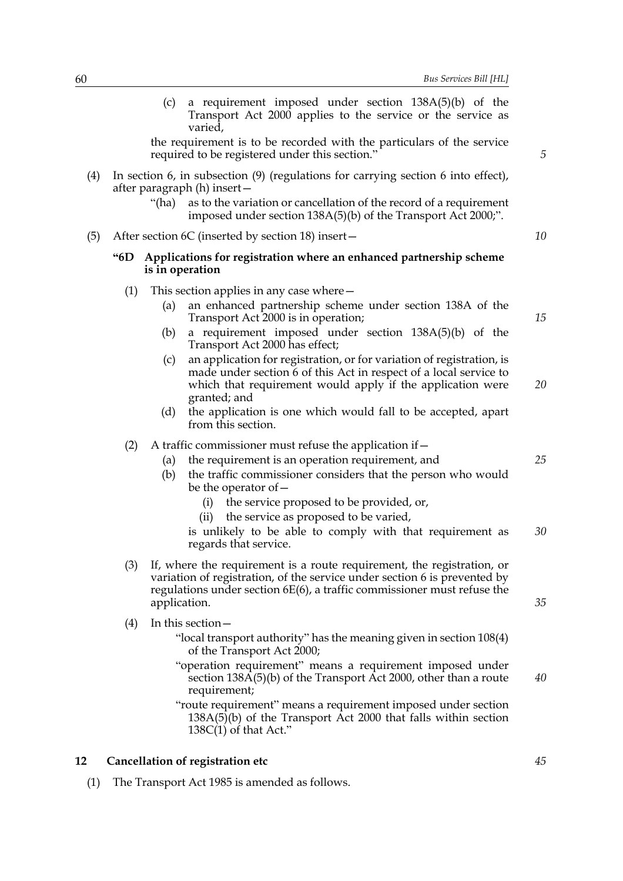(c) a requirement imposed under section 138A(5)(b) of the Transport Act 2000 applies to the service or the service as varied,

the requirement is to be recorded with the particulars of the service required to be registered under this section."

- (4) In section 6, in subsection (9) (regulations for carrying section 6 into effect), after paragraph (h) insert—
	- "(ha) as to the variation or cancellation of the record of a requirement imposed under section 138A(5)(b) of the Transport Act 2000;".
- (5) After section 6C (inserted by section 18) insert—

# **"6D Applications for registration where an enhanced partnership scheme is in operation**

- (1) This section applies in any case where—
	- (a) an enhanced partnership scheme under section 138A of the Transport Act 2000 is in operation;
	- (b) a requirement imposed under section 138A(5)(b) of the Transport Act 2000 has effect;
	- (c) an application for registration, or for variation of registration, is made under section 6 of this Act in respect of a local service to which that requirement would apply if the application were granted; and *20*
	- (d) the application is one which would fall to be accepted, apart from this section.

#### (2) A traffic commissioner must refuse the application if  $-$

- (a) the requirement is an operation requirement, and
- (b) the traffic commissioner considers that the person who would be the operator of—
	- (i) the service proposed to be provided, or,
	- (ii) the service as proposed to be varied,

is unlikely to be able to comply with that requirement as regards that service. *30*

- (3) If, where the requirement is a route requirement, the registration, or variation of registration, of the service under section 6 is prevented by regulations under section 6E(6), a traffic commissioner must refuse the application.
- (4) In this section—
	- "local transport authority" has the meaning given in section 108(4) of the Transport Act 2000;
	- "operation requirement" means a requirement imposed under section 138A(5)(b) of the Transport Act 2000, other than a route requirement; *40*
	- "route requirement" means a requirement imposed under section  $138A(5)$ (b) of the Transport Act 2000 that falls within section 138C(1) of that Act."

# **12 Cancellation of registration etc**

(1) The Transport Act 1985 is amended as follows.

*15*

*10*

*5*

*25*

*35*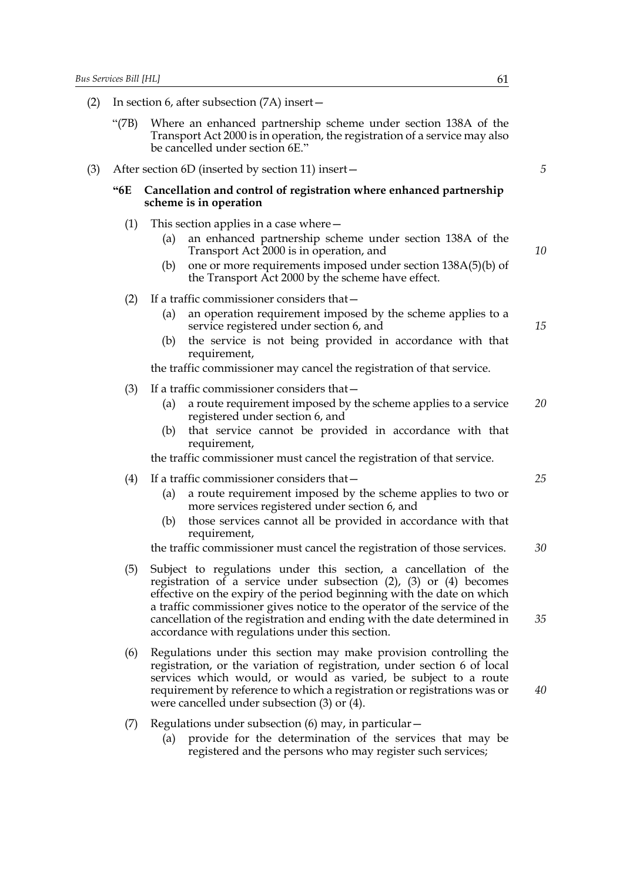- (2) In section 6, after subsection (7A) insert—
	- "(7B) Where an enhanced partnership scheme under section 138A of the Transport Act 2000 is in operation, the registration of a service may also be cancelled under section 6E."
- (3) After section 6D (inserted by section 11) insert—

## **"6E Cancellation and control of registration where enhanced partnership scheme is in operation**

- (1) This section applies in a case where
	- an enhanced partnership scheme under section 138A of the Transport Act 2000 is in operation, and
	- (b) one or more requirements imposed under section 138A(5)(b) of the Transport Act 2000 by the scheme have effect.

#### (2) If a traffic commissioner considers that—

- (a) an operation requirement imposed by the scheme applies to a service registered under section 6, and
- (b) the service is not being provided in accordance with that requirement,

the traffic commissioner may cancel the registration of that service.

- (3) If a traffic commissioner considers that—
	- (a) a route requirement imposed by the scheme applies to a service registered under section 6, and *20*
	- (b) that service cannot be provided in accordance with that requirement,

the traffic commissioner must cancel the registration of that service.

- (4) If a traffic commissioner considers that—
	- (a) a route requirement imposed by the scheme applies to two or more services registered under section 6, and
	- (b) those services cannot all be provided in accordance with that requirement,

the traffic commissioner must cancel the registration of those services. *30*

- (5) Subject to regulations under this section, a cancellation of the registration of a service under subsection (2), (3) or (4) becomes effective on the expiry of the period beginning with the date on which a traffic commissioner gives notice to the operator of the service of the cancellation of the registration and ending with the date determined in accordance with regulations under this section.
- (6) Regulations under this section may make provision controlling the registration, or the variation of registration, under section 6 of local services which would, or would as varied, be subject to a route requirement by reference to which a registration or registrations was or were cancelled under subsection (3) or (4).
- (7) Regulations under subsection (6) may, in particular—
	- (a) provide for the determination of the services that may be registered and the persons who may register such services;

*5*

*10*

*15*

*25*

*40*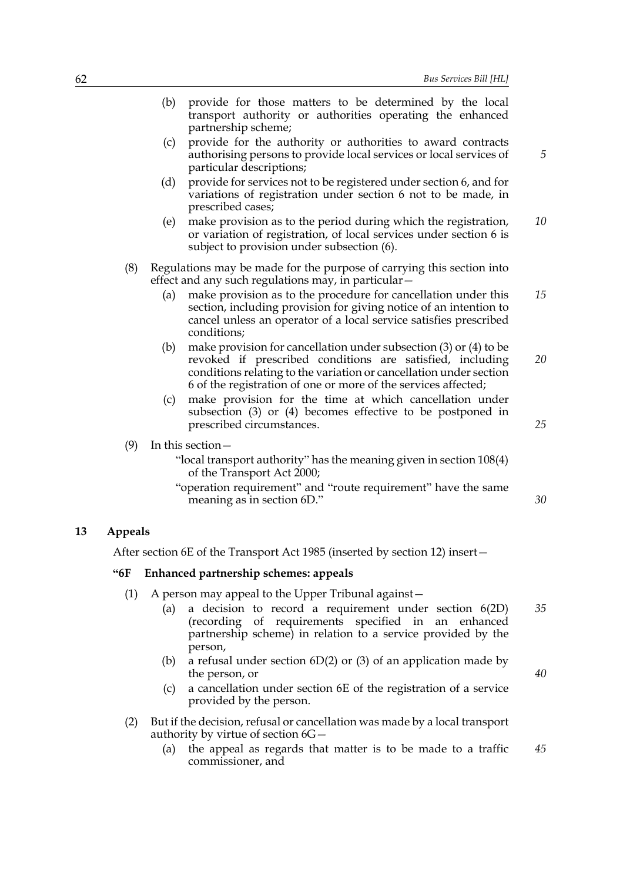| 62 |                |                                                                                                                                                                                                                                                                                   | Bus Services Bill [HL] |
|----|----------------|-----------------------------------------------------------------------------------------------------------------------------------------------------------------------------------------------------------------------------------------------------------------------------------|------------------------|
|    |                | (b)<br>provide for those matters to be determined by the local<br>transport authority or authorities operating the enhanced<br>partnership scheme;                                                                                                                                |                        |
|    |                | provide for the authority or authorities to award contracts<br>(c)<br>authorising persons to provide local services or local services of<br>particular descriptions;                                                                                                              |                        |
|    |                | provide for services not to be registered under section 6, and for<br>(d)<br>variations of registration under section 6 not to be made, in<br>prescribed cases;                                                                                                                   |                        |
|    |                | make provision as to the period during which the registration,<br>(e)<br>or variation of registration, of local services under section 6 is<br>subject to provision under subsection (6).                                                                                         | 10                     |
|    | (8)            | Regulations may be made for the purpose of carrying this section into<br>effect and any such regulations may, in particular -                                                                                                                                                     |                        |
|    |                | make provision as to the procedure for cancellation under this<br>(a)<br>section, including provision for giving notice of an intention to<br>cancel unless an operator of a local service satisfies prescribed<br>conditions;                                                    | 15                     |
|    |                | make provision for cancellation under subsection $(3)$ or $(4)$ to be<br>(b)<br>revoked if prescribed conditions are satisfied, including<br>conditions relating to the variation or cancellation under section<br>6 of the registration of one or more of the services affected; | 20                     |
|    |                | make provision for the time at which cancellation under<br>(c)<br>subsection $(3)$ or $(4)$ becomes effective to be postponed in<br>prescribed circumstances.                                                                                                                     | 25                     |
|    | (9)            | In this section $-$                                                                                                                                                                                                                                                               |                        |
|    |                | "local transport authority" has the meaning given in section 108(4)<br>of the Transport Act 2000;                                                                                                                                                                                 |                        |
|    |                | "operation requirement" and "route requirement" have the same<br>meaning as in section 6D."                                                                                                                                                                                       | 30                     |
| 13 | <b>Appeals</b> |                                                                                                                                                                                                                                                                                   |                        |
|    |                | After section 6E of the Transport Act 1985 (inserted by section 12) insert-                                                                                                                                                                                                       |                        |
|    | $-6F$          | Enhanced partnership schemes: appeals                                                                                                                                                                                                                                             |                        |
|    | (1)            | A person may appeal to the Upper Tribunal against –<br>a decision to record a requirement under section $6(2D)$<br>(a)<br>(recording of requirements specified in<br>partnership scheme) in relation to a service provided by the<br>person,                                      | 35<br>an enhanced      |

- (b) a refusal under section  $6D(2)$  or (3) of an application made by the person, or
- (c) a cancellation under section 6E of the registration of a service provided by the person.
- (2) But if the decision, refusal or cancellation was made by a local transport authority by virtue of section 6G—
	- (a) the appeal as regards that matter is to be made to a traffic commissioner, and *45*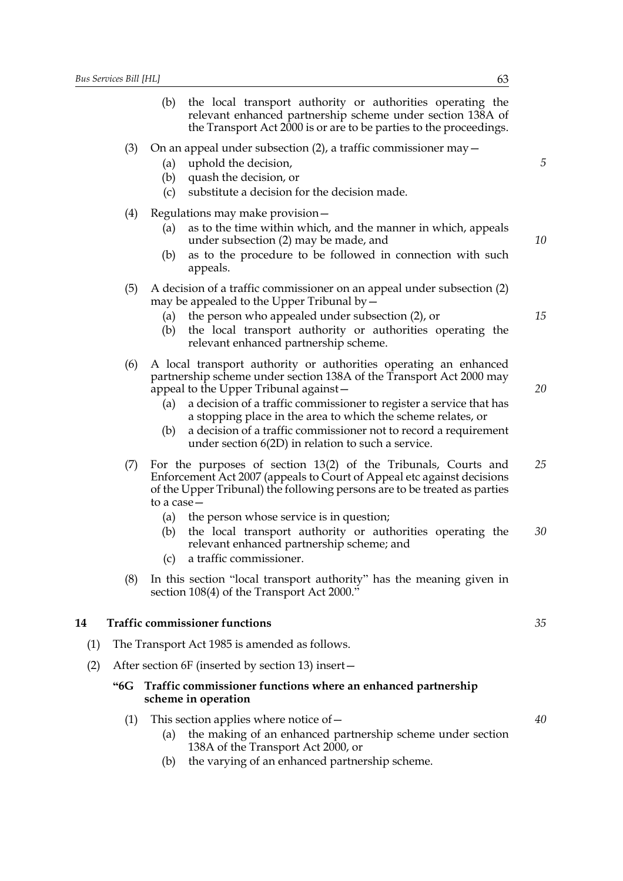|     |       | the local transport authority or authorities operating the<br>(b)<br>relevant enhanced partnership scheme under section 138A of<br>the Transport Act 2000 is or are to be parties to the proceedings.                                                                                                                                                                                                                                                            |          |
|-----|-------|------------------------------------------------------------------------------------------------------------------------------------------------------------------------------------------------------------------------------------------------------------------------------------------------------------------------------------------------------------------------------------------------------------------------------------------------------------------|----------|
|     | (3)   | On an appeal under subsection $(2)$ , a traffic commissioner may $-$<br>uphold the decision,<br>(a)<br>(b)<br>quash the decision, or<br>substitute a decision for the decision made.<br>(c)                                                                                                                                                                                                                                                                      | 5        |
|     | (4)   | Regulations may make provision -<br>as to the time within which, and the manner in which, appeals<br>(a)<br>under subsection (2) may be made, and<br>as to the procedure to be followed in connection with such<br>(b)<br>appeals.                                                                                                                                                                                                                               | 10       |
|     | (5)   | A decision of a traffic commissioner on an appeal under subsection (2)<br>may be appealed to the Upper Tribunal by $-$<br>the person who appealed under subsection (2), or<br>(a)<br>the local transport authority or authorities operating the<br>(b)<br>relevant enhanced partnership scheme.                                                                                                                                                                  | 15       |
|     | (6)   | A local transport authority or authorities operating an enhanced<br>partnership scheme under section 138A of the Transport Act 2000 may<br>appeal to the Upper Tribunal against –<br>a decision of a traffic commissioner to register a service that has<br>(a)<br>a stopping place in the area to which the scheme relates, or<br>a decision of a traffic commissioner not to record a requirement<br>(b)<br>under section 6(2D) in relation to such a service. | 20       |
|     | (7)   | For the purposes of section 13(2) of the Tribunals, Courts and<br>Enforcement Act 2007 (appeals to Court of Appeal etc against decisions<br>of the Upper Tribunal) the following persons are to be treated as parties<br>to a case –<br>the person whose service is in question;<br>(a)<br>the local transport authority or authorities operating the<br>(b)<br>relevant enhanced partnership scheme; and<br>a traffic commissioner.<br>(c)                      | 25<br>30 |
|     | (8)   | In this section "local transport authority" has the meaning given in<br>section 108(4) of the Transport Act 2000."                                                                                                                                                                                                                                                                                                                                               |          |
| 14  |       | <b>Traffic commissioner functions</b>                                                                                                                                                                                                                                                                                                                                                                                                                            | 35       |
| (1) |       | The Transport Act 1985 is amended as follows.                                                                                                                                                                                                                                                                                                                                                                                                                    |          |
| (2) |       | After section 6F (inserted by section 13) insert –                                                                                                                                                                                                                                                                                                                                                                                                               |          |
|     | $-6G$ | Traffic commissioner functions where an enhanced partnership<br>scheme in operation                                                                                                                                                                                                                                                                                                                                                                              |          |
|     | (1)   | This section applies where notice of $-$<br>the making of an enhanced partnership scheme under section<br>(a)<br>138A of the Transport Act 2000, or                                                                                                                                                                                                                                                                                                              | 40       |

(b) the varying of an enhanced partnership scheme.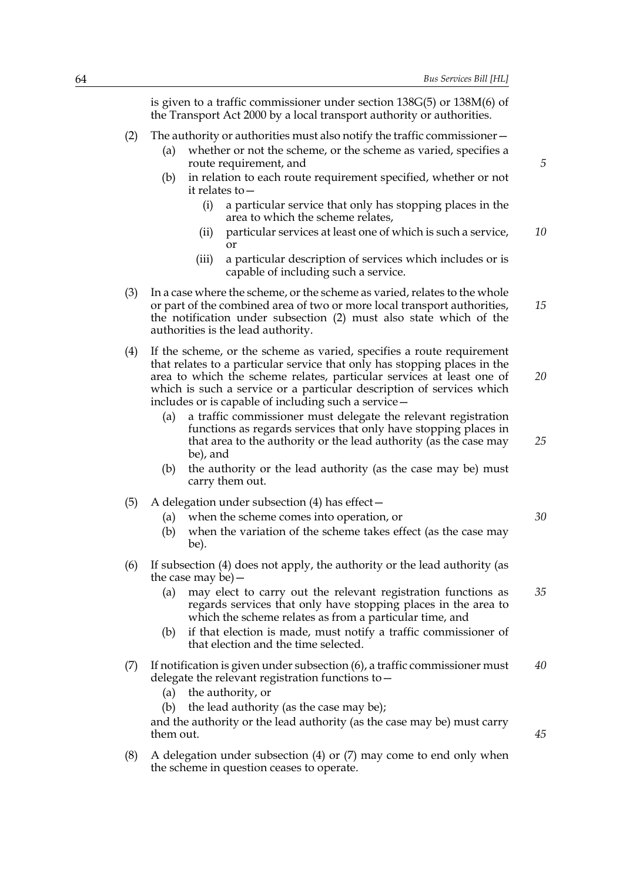is given to a traffic commissioner under section 138G(5) or 138M(6) of the Transport Act 2000 by a local transport authority or authorities.

- (2) The authority or authorities must also notify the traffic commissioner—
	- (a) whether or not the scheme, or the scheme as varied, specifies a route requirement, and
	- (b) in relation to each route requirement specified, whether or not it relates to—
		- (i) a particular service that only has stopping places in the area to which the scheme relates,
		- (ii) particular services at least one of which is such a service, or *10*
		- (iii) a particular description of services which includes or is capable of including such a service.
- (3) In a case where the scheme, or the scheme as varied, relates to the whole or part of the combined area of two or more local transport authorities, the notification under subsection (2) must also state which of the authorities is the lead authority. *15*
- (4) If the scheme, or the scheme as varied, specifies a route requirement that relates to a particular service that only has stopping places in the area to which the scheme relates, particular services at least one of which is such a service or a particular description of services which includes or is capable of including such a service— *20*
	- (a) a traffic commissioner must delegate the relevant registration functions as regards services that only have stopping places in that area to the authority or the lead authority (as the case may be), and
	- (b) the authority or the lead authority (as the case may be) must carry them out.
- (5) A delegation under subsection (4) has effect—
	- (a) when the scheme comes into operation, or
	- (b) when the variation of the scheme takes effect (as the case may be).
- (6) If subsection (4) does not apply, the authority or the lead authority (as the case may be)—
	- (a) may elect to carry out the relevant registration functions as regards services that only have stopping places in the area to which the scheme relates as from a particular time, and *35*
	- (b) if that election is made, must notify a traffic commissioner of that election and the time selected.
- (7) If notification is given under subsection (6), a traffic commissioner must delegate the relevant registration functions to— *40*
	- (a) the authority, or
	- (b) the lead authority (as the case may be);

and the authority or the lead authority (as the case may be) must carry them out.

(8) A delegation under subsection (4) or (7) may come to end only when the scheme in question ceases to operate.

*5*

*30*

*45*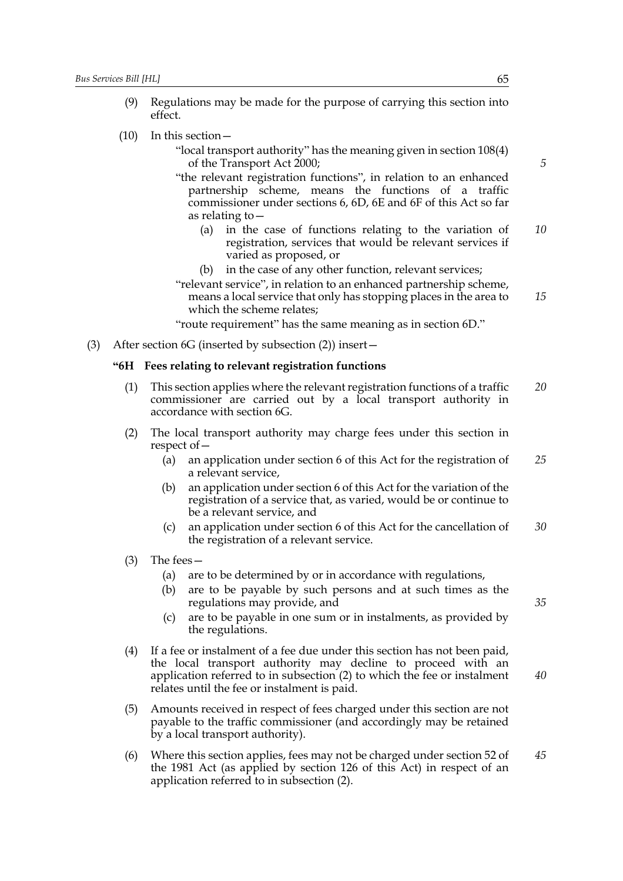- (9) Regulations may be made for the purpose of carrying this section into effect.
- (10) In this section—
	- "local transport authority" has the meaning given in section 108(4) of the Transport Act 2000;
	- "the relevant registration functions", in relation to an enhanced partnership scheme, means the functions of a traffic commissioner under sections 6, 6D, 6E and 6F of this Act so far as relating to—
		- (a) in the case of functions relating to the variation of registration, services that would be relevant services if varied as proposed, or *10*
		- (b) in the case of any other function, relevant services;
	- "relevant service", in relation to an enhanced partnership scheme, means a local service that only has stopping places in the area to which the scheme relates; *15*
	- "route requirement" has the same meaning as in section 6D."
- (3) After section 6G (inserted by subsection (2)) insert—

#### **"6H Fees relating to relevant registration functions**

- (1) This section applies where the relevant registration functions of a traffic commissioner are carried out by a local transport authority in accordance with section 6G. *20*
- (2) The local transport authority may charge fees under this section in respect of—
	- (a) an application under section 6 of this Act for the registration of a relevant service, *25*
	- (b) an application under section 6 of this Act for the variation of the registration of a service that, as varied, would be or continue to be a relevant service, and
	- (c) an application under section 6 of this Act for the cancellation of the registration of a relevant service. *30*
- (3) The fees—
	- (a) are to be determined by or in accordance with regulations,
	- (b) are to be payable by such persons and at such times as the regulations may provide, and
	- (c) are to be payable in one sum or in instalments, as provided by the regulations.
- (4) If a fee or instalment of a fee due under this section has not been paid, the local transport authority may decline to proceed with an application referred to in subsection (2) to which the fee or instalment relates until the fee or instalment is paid. *40*
- (5) Amounts received in respect of fees charged under this section are not payable to the traffic commissioner (and accordingly may be retained by a local transport authority).
- (6) Where this section applies, fees may not be charged under section 52 of the 1981 Act (as applied by section 126 of this Act) in respect of an application referred to in subsection (2). *45*

*5*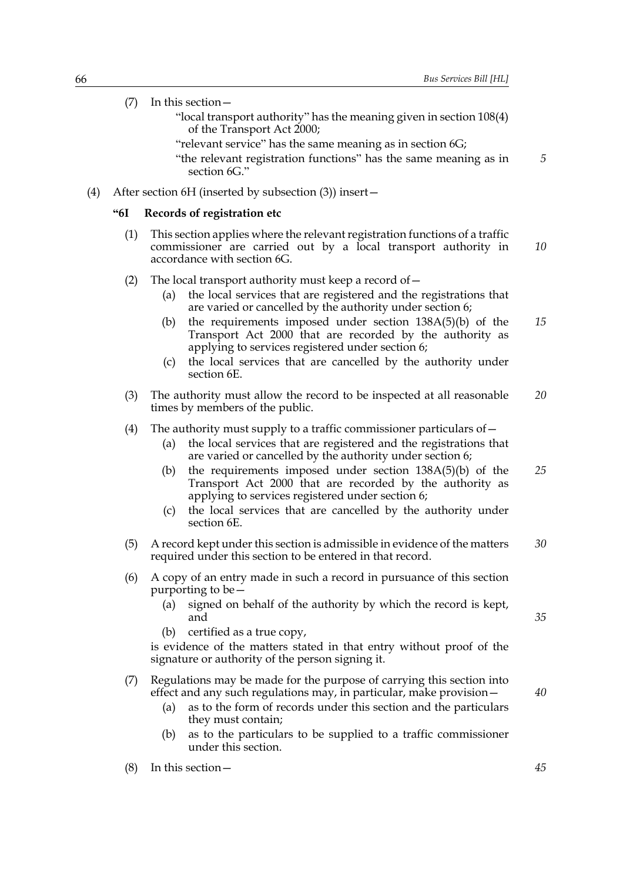*5*

- (7) In this section—
	- "local transport authority" has the meaning given in section 108(4) of the Transport Act 2000;
	- "relevant service" has the same meaning as in section 6G;

"the relevant registration functions" has the same meaning as in section 6G."

(4) After section 6H (inserted by subsection (3)) insert—

## **"6I Records of registration etc**

(1) This section applies where the relevant registration functions of a traffic commissioner are carried out by a local transport authority in accordance with section 6G. *10*

## (2) The local transport authority must keep a record of  $-$

- (a) the local services that are registered and the registrations that are varied or cancelled by the authority under section 6;
- (b) the requirements imposed under section 138A(5)(b) of the Transport Act 2000 that are recorded by the authority as applying to services registered under section 6; *15*
- (c) the local services that are cancelled by the authority under section 6E.
- (3) The authority must allow the record to be inspected at all reasonable times by members of the public. *20*

### (4) The authority must supply to a traffic commissioner particulars of  $-$

- (a) the local services that are registered and the registrations that are varied or cancelled by the authority under section 6;
- (b) the requirements imposed under section 138A(5)(b) of the Transport Act 2000 that are recorded by the authority as applying to services registered under section 6; *25*
- (c) the local services that are cancelled by the authority under section 6E.
- (5) A record kept under this section is admissible in evidence of the matters required under this section to be entered in that record. *30*
- (6) A copy of an entry made in such a record in pursuance of this section purporting to be—
	- (a) signed on behalf of the authority by which the record is kept, and
	- (b) certified as a true copy,

is evidence of the matters stated in that entry without proof of the signature or authority of the person signing it.

# (7) Regulations may be made for the purpose of carrying this section into effect and any such regulations may, in particular, make provision—

- (a) as to the form of records under this section and the particulars they must contain;
- (b) as to the particulars to be supplied to a traffic commissioner under this section.

*35*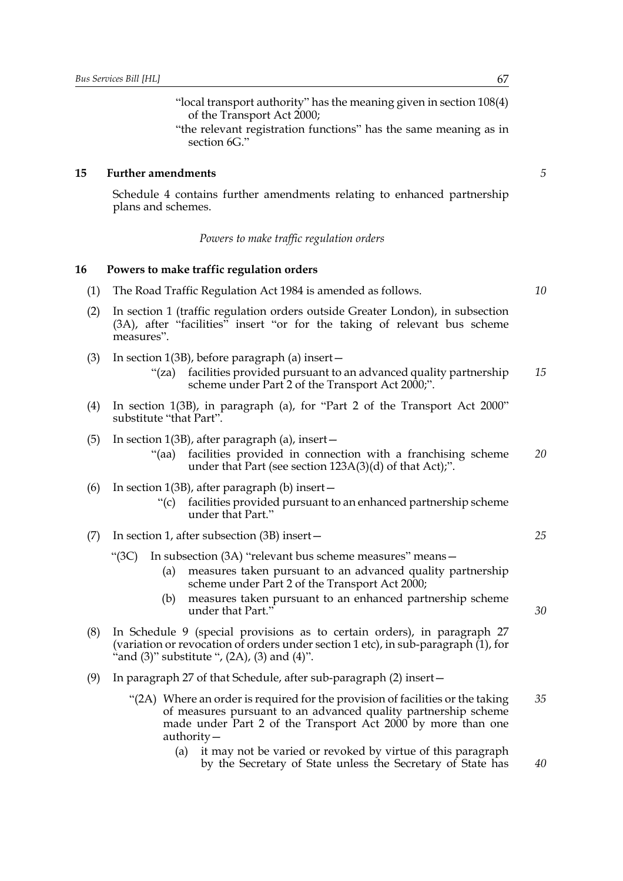"local transport authority" has the meaning given in section 108(4) of the Transport Act 2000;

"the relevant registration functions" has the same meaning as in section 6G."

## **15 Further amendments**

Schedule 4 contains further amendments relating to enhanced partnership plans and schemes.

#### *Powers to make traffic regulation orders*

## **16 Powers to make traffic regulation orders**

- (1) The Road Traffic Regulation Act 1984 is amended as follows.
- (2) In section 1 (traffic regulation orders outside Greater London), in subsection (3A), after "facilities" insert "or for the taking of relevant bus scheme measures".
- (3) In section 1(3B), before paragraph (a) insert—
	- "(za) facilities provided pursuant to an advanced quality partnership scheme under Part 2 of the Transport Act 2000;". *15*
- (4) In section 1(3B), in paragraph (a), for "Part 2 of the Transport Act 2000" substitute "that Part".
- (5) In section 1(3B), after paragraph (a), insert—
	- "(aa) facilities provided in connection with a franchising scheme under that Part (see section 123A(3)(d) of that Act);". *20*

#### (6) In section 1(3B), after paragraph (b) insert—

"(c) facilities provided pursuant to an enhanced partnership scheme under that Part."

# (7) In section 1, after subsection (3B) insert—

- "(3C) In subsection (3A) "relevant bus scheme measures" means—
	- (a) measures taken pursuant to an advanced quality partnership scheme under Part 2 of the Transport Act 2000;
	- (b) measures taken pursuant to an enhanced partnership scheme under that Part."
- (8) In Schedule 9 (special provisions as to certain orders), in paragraph 27 (variation or revocation of orders under section 1 etc), in sub-paragraph (1), for " and  $(3)$ " substitute ",  $(2A)$ ,  $(3)$  and  $(4)$ ".
- (9) In paragraph 27 of that Schedule, after sub-paragraph (2) insert—
	- "(2A) Where an order is required for the provision of facilities or the taking of measures pursuant to an advanced quality partnership scheme made under Part 2 of the Transport Act 2000 by more than one authority— *35*
		- (a) it may not be varied or revoked by virtue of this paragraph by the Secretary of State unless the Secretary of State has

*5*

*10*

*30*

*25*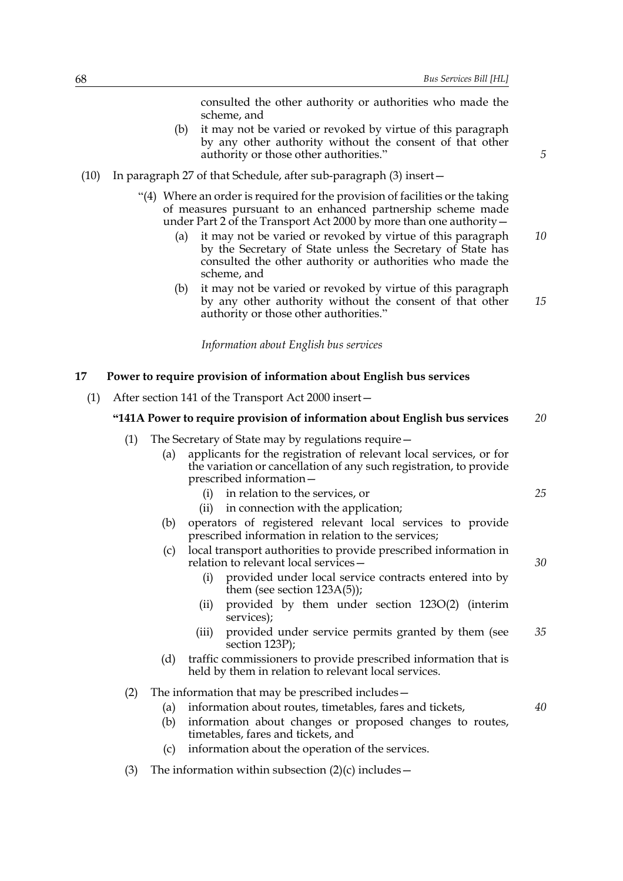|                                                                            |     |                   | consulted the other authority or authorities who made the<br>scheme, and                                                                                                                                                                                                                                                                                                                                                      |    |
|----------------------------------------------------------------------------|-----|-------------------|-------------------------------------------------------------------------------------------------------------------------------------------------------------------------------------------------------------------------------------------------------------------------------------------------------------------------------------------------------------------------------------------------------------------------------|----|
|                                                                            |     | (b)               | it may not be varied or revoked by virtue of this paragraph<br>by any other authority without the consent of that other<br>authority or those other authorities."                                                                                                                                                                                                                                                             | 5  |
| (10)                                                                       |     |                   | In paragraph 27 of that Schedule, after sub-paragraph (3) insert –                                                                                                                                                                                                                                                                                                                                                            |    |
|                                                                            |     | (a)               | "(4) Where an order is required for the provision of facilities or the taking<br>of measures pursuant to an enhanced partnership scheme made<br>under Part 2 of the Transport Act 2000 by more than one authority -<br>it may not be varied or revoked by virtue of this paragraph<br>by the Secretary of State unless the Secretary of State has<br>consulted the other authority or authorities who made the<br>scheme, and | 10 |
|                                                                            |     | (b)               | it may not be varied or revoked by virtue of this paragraph<br>by any other authority without the consent of that other<br>authority or those other authorities."                                                                                                                                                                                                                                                             | 15 |
|                                                                            |     |                   | Information about English bus services                                                                                                                                                                                                                                                                                                                                                                                        |    |
| 17                                                                         |     |                   | Power to require provision of information about English bus services                                                                                                                                                                                                                                                                                                                                                          |    |
| (1)                                                                        |     |                   | After section 141 of the Transport Act 2000 insert-                                                                                                                                                                                                                                                                                                                                                                           |    |
| "141A Power to require provision of information about English bus services |     |                   |                                                                                                                                                                                                                                                                                                                                                                                                                               | 20 |
|                                                                            | (1) | (a)               | The Secretary of State may by regulations require -<br>applicants for the registration of relevant local services, or for<br>the variation or cancellation of any such registration, to provide                                                                                                                                                                                                                               |    |
|                                                                            |     |                   | prescribed information-<br>in relation to the services, or<br>(i)<br>in connection with the application;<br>(ii)                                                                                                                                                                                                                                                                                                              | 25 |
|                                                                            |     | (b)               | operators of registered relevant local services to provide<br>prescribed information in relation to the services;                                                                                                                                                                                                                                                                                                             |    |
|                                                                            |     | (c)               | local transport authorities to provide prescribed information in<br>relation to relevant local services –                                                                                                                                                                                                                                                                                                                     | 30 |
|                                                                            |     |                   | (i)<br>provided under local service contracts entered into by<br>them (see section $123A(5)$ );                                                                                                                                                                                                                                                                                                                               |    |
|                                                                            |     |                   | provided by them under section 123O(2) (interim<br>(ii)<br>services);                                                                                                                                                                                                                                                                                                                                                         |    |
|                                                                            |     |                   | provided under service permits granted by them (see<br>(iii)<br>section $123P$ );                                                                                                                                                                                                                                                                                                                                             | 35 |
|                                                                            |     | (d)               | traffic commissioners to provide prescribed information that is<br>held by them in relation to relevant local services.                                                                                                                                                                                                                                                                                                       |    |
|                                                                            | (2) | (a)<br>(b)<br>(c) | The information that may be prescribed includes -<br>information about routes, timetables, fares and tickets,<br>information about changes or proposed changes to routes,<br>timetables, fares and tickets, and<br>information about the operation of the services.                                                                                                                                                           | 40 |
|                                                                            | (3) |                   | The information within subsection $(2)(c)$ includes –                                                                                                                                                                                                                                                                                                                                                                         |    |
|                                                                            |     |                   |                                                                                                                                                                                                                                                                                                                                                                                                                               |    |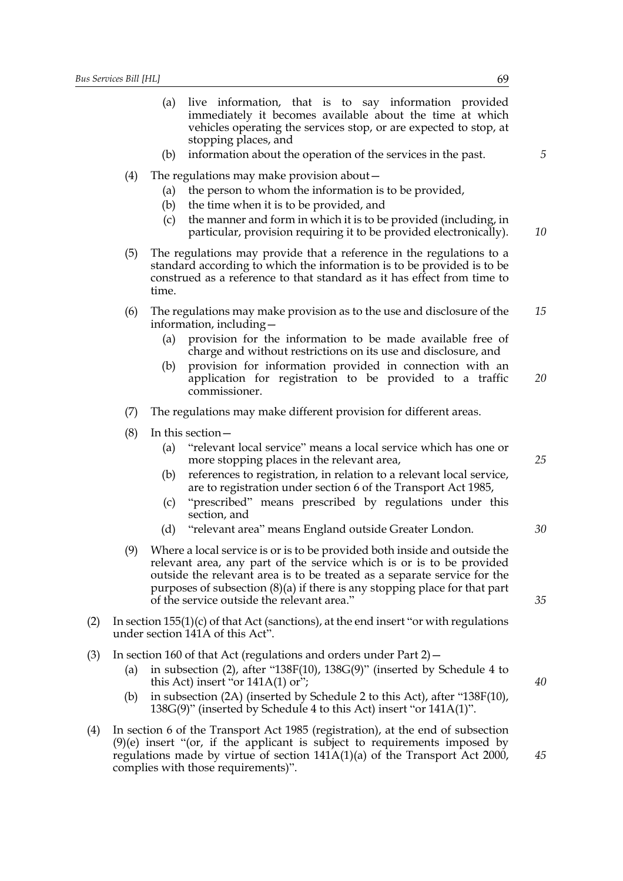(a) live information, that is to say information provided immediately it becomes available about the time at which vehicles operating the services stop, or are expected to stop, at stopping places, and

- (4) The regulations may make provision about—
	- (a) the person to whom the information is to be provided,
	- (b) the time when it is to be provided, and
	- (c) the manner and form in which it is to be provided (including, in particular, provision requiring it to be provided electronically). *10*
- (5) The regulations may provide that a reference in the regulations to a standard according to which the information is to be provided is to be construed as a reference to that standard as it has effect from time to time.
- (6) The regulations may make provision as to the use and disclosure of the information, including— *15*
	- (a) provision for the information to be made available free of charge and without restrictions on its use and disclosure, and
	- (b) provision for information provided in connection with an application for registration to be provided to a traffic commissioner. *20*
- (7) The regulations may make different provision for different areas.
- (8) In this section—
	- (a) "relevant local service" means a local service which has one or more stopping places in the relevant area,
	- (b) references to registration, in relation to a relevant local service, are to registration under section 6 of the Transport Act 1985,
	- (c) "prescribed" means prescribed by regulations under this section, and
	- (d) "relevant area" means England outside Greater London.
- (9) Where a local service is or is to be provided both inside and outside the relevant area, any part of the service which is or is to be provided outside the relevant area is to be treated as a separate service for the purposes of subsection (8)(a) if there is any stopping place for that part of the service outside the relevant area."
- (2) In section  $155(1)(c)$  of that Act (sanctions), at the end insert "or with regulations under section 141A of this Act".
- (3) In section 160 of that Act (regulations and orders under Part 2)—
	- (a) in subsection (2), after "138F(10), 138G(9)" (inserted by Schedule 4 to this Act) insert "or  $141A(1)$  or";
	- (b) in subsection (2A) (inserted by Schedule 2 to this Act), after "138F(10), 138G(9)" (inserted by Schedule 4 to this Act) insert "or 141A(1)".
- (4) In section 6 of the Transport Act 1985 (registration), at the end of subsection (9)(e) insert "(or, if the applicant is subject to requirements imposed by regulations made by virtue of section  $141A(1)(a)$  of the Transport Act 2000, complies with those requirements)".

*25*

*30*

*35*

*40*

*45*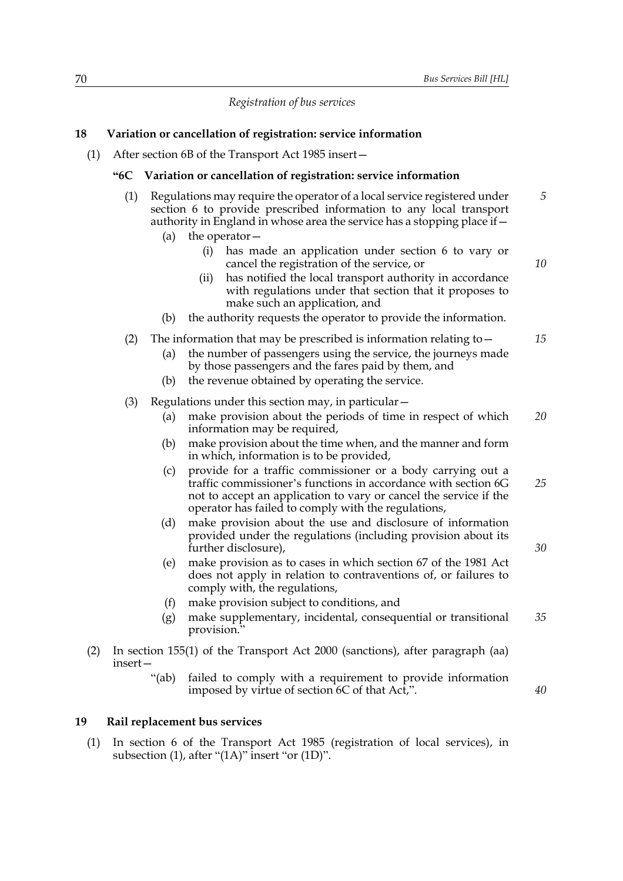*Registration of bus services*

# **18 Variation or cancellation of registration: service information**

(1) After section 6B of the Transport Act 1985 insert—

#### **"6C Variation or cancellation of registration: service information**

- (1) Regulations may require the operator of a local service registered under section 6 to provide prescribed information to any local transport authority in England in whose area the service has a stopping place if— *5*
	- (a) the operator—
		- (i) has made an application under section 6 to vary or cancel the registration of the service, or
		- (ii) has notified the local transport authority in accordance with regulations under that section that it proposes to make such an application, and
	- (b) the authority requests the operator to provide the information.

#### (2) The information that may be prescribed is information relating to  $-$

- (a) the number of passengers using the service, the journeys made by those passengers and the fares paid by them, and
- (b) the revenue obtained by operating the service.
- (3) Regulations under this section may, in particular  $-$ 
	- (a) make provision about the periods of time in respect of which information may be required, *20*
	- (b) make provision about the time when, and the manner and form in which, information is to be provided,
	- (c) provide for a traffic commissioner or a body carrying out a traffic commissioner's functions in accordance with section 6G not to accept an application to vary or cancel the service if the operator has failed to comply with the regulations, *25*
	- (d) make provision about the use and disclosure of information provided under the regulations (including provision about its further disclosure),
	- (e) make provision as to cases in which section 67 of the 1981 Act does not apply in relation to contraventions of, or failures to comply with, the regulations,
	- (f) make provision subject to conditions, and
	- (g) make supplementary, incidental, consequential or transitional provision." *35*
- (2) In section 155(1) of the Transport Act 2000 (sanctions), after paragraph (aa) insert—
	- "(ab) failed to comply with a requirement to provide information imposed by virtue of section 6C of that Act,".

#### **19 Rail replacement bus services**

(1) In section 6 of the Transport Act 1985 (registration of local services), in subsection (1), after "(1A)" insert "or (1D)".

*40*

*30*

*10*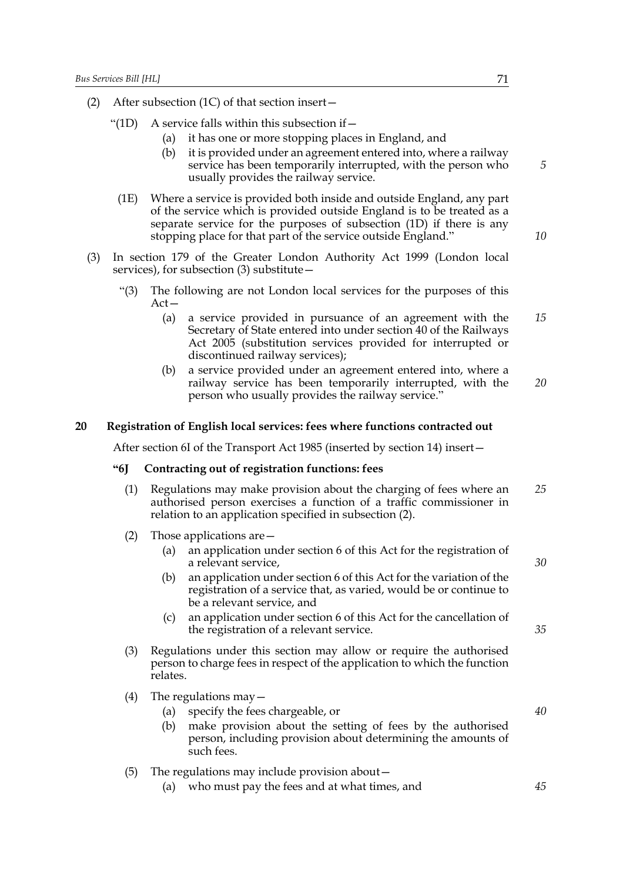- (2) After subsection (1C) of that section insert—
	- "(1D) A service falls within this subsection if  $-$ 
		- (a) it has one or more stopping places in England, and
		- (b) it is provided under an agreement entered into, where a railway service has been temporarily interrupted, with the person who usually provides the railway service.
		- (1E) Where a service is provided both inside and outside England, any part of the service which is provided outside England is to be treated as a separate service for the purposes of subsection (1D) if there is any stopping place for that part of the service outside England."
- (3) In section 179 of the Greater London Authority Act 1999 (London local services), for subsection  $(3)$  substitute  $-$ 
	- "(3) The following are not London local services for the purposes of this  $Act-$ 
		- (a) a service provided in pursuance of an agreement with the Secretary of State entered into under section 40 of the Railways Act 2005 (substitution services provided for interrupted or discontinued railway services); *15*
		- (b) a service provided under an agreement entered into, where a railway service has been temporarily interrupted, with the person who usually provides the railway service." *20*

#### **20 Registration of English local services: fees where functions contracted out**

After section 6I of the Transport Act 1985 (inserted by section 14) insert—

# **"6J Contracting out of registration functions: fees**

- (1) Regulations may make provision about the charging of fees where an authorised person exercises a function of a traffic commissioner in relation to an application specified in subsection (2). *25*
- (2) Those applications are—
	- (a) an application under section 6 of this Act for the registration of a relevant service,
	- (b) an application under section 6 of this Act for the variation of the registration of a service that, as varied, would be or continue to be a relevant service, and
	- (c) an application under section 6 of this Act for the cancellation of the registration of a relevant service.
- (3) Regulations under this section may allow or require the authorised person to charge fees in respect of the application to which the function relates.
- (4) The regulations may  $-$ 
	- (a) specify the fees chargeable, or
	- (b) make provision about the setting of fees by the authorised person, including provision about determining the amounts of such fees.
- (5) The regulations may include provision about—
	- (a) who must pay the fees and at what times, and

*40*

*5*

*10*

*30*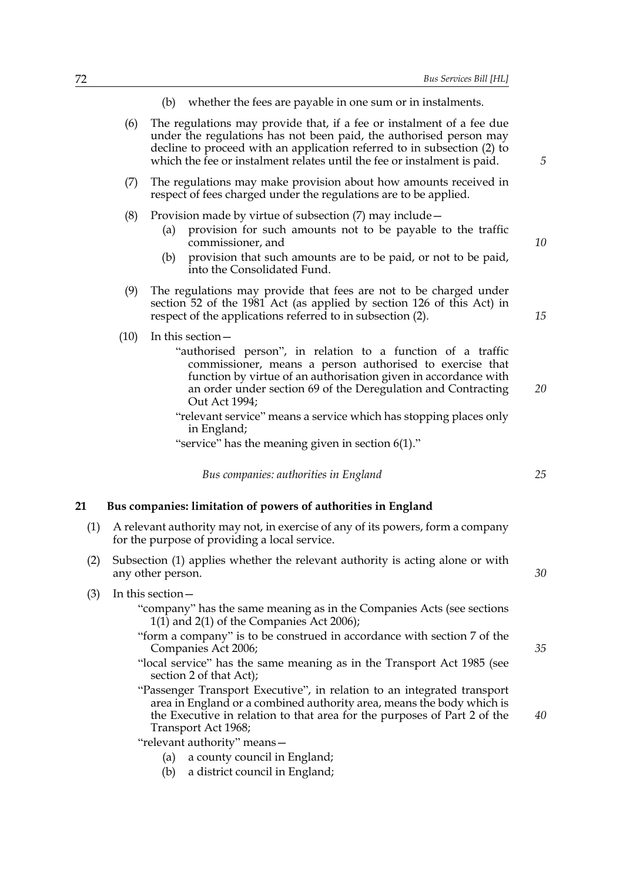- (b) whether the fees are payable in one sum or in instalments.
- (6) The regulations may provide that, if a fee or instalment of a fee due under the regulations has not been paid, the authorised person may decline to proceed with an application referred to in subsection (2) to which the fee or instalment relates until the fee or instalment is paid.
- (7) The regulations may make provision about how amounts received in respect of fees charged under the regulations are to be applied.
- (8) Provision made by virtue of subsection (7) may include—
	- (a) provision for such amounts not to be payable to the traffic commissioner, and
	- (b) provision that such amounts are to be paid, or not to be paid, into the Consolidated Fund.
- (9) The regulations may provide that fees are not to be charged under section 52 of the 1981 Act (as applied by section 126 of this Act) in respect of the applications referred to in subsection (2).
- (10) In this section—
	- "authorised person", in relation to a function of a traffic commissioner, means a person authorised to exercise that function by virtue of an authorisation given in accordance with an order under section 69 of the Deregulation and Contracting Out Act 1994; *20*
	- "relevant service" means a service which has stopping places only in England;

"service" has the meaning given in section 6(1)."

*Bus companies: authorities in England*

## **21 Bus companies: limitation of powers of authorities in England**

- (1) A relevant authority may not, in exercise of any of its powers, form a company for the purpose of providing a local service.
- (2) Subsection (1) applies whether the relevant authority is acting alone or with any other person.
- (3) In this section—

"company" has the same meaning as in the Companies Acts (see sections 1(1) and 2(1) of the Companies Act 2006);

- "form a company" is to be construed in accordance with section 7 of the Companies Act 2006;
- "local service" has the same meaning as in the Transport Act 1985 (see section 2 of that Act);
- "Passenger Transport Executive", in relation to an integrated transport area in England or a combined authority area, means the body which is the Executive in relation to that area for the purposes of Part 2 of the Transport Act 1968;

"relevant authority" means—

- (a) a county council in England;
- (b) a district council in England;

*10*

*15*

*5*

*25*

*35*

*40*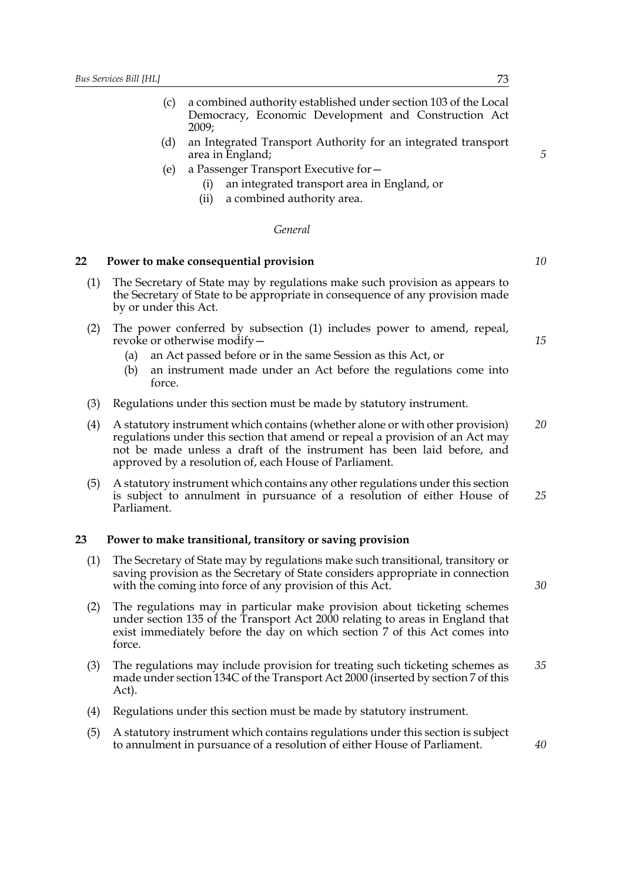- (c) a combined authority established under section 103 of the Local Democracy, Economic Development and Construction Act 2009;
- (d) an Integrated Transport Authority for an integrated transport area in England;
- (e) a Passenger Transport Executive for—
	- (i) an integrated transport area in England, or
	- (ii) a combined authority area.

#### *General*

# **22 Power to make consequential provision**

- (1) The Secretary of State may by regulations make such provision as appears to the Secretary of State to be appropriate in consequence of any provision made by or under this Act.
- (2) The power conferred by subsection (1) includes power to amend, repeal, revoke or otherwise modify—
	- (a) an Act passed before or in the same Session as this Act, or
	- (b) an instrument made under an Act before the regulations come into force.
- (3) Regulations under this section must be made by statutory instrument.
- (4) A statutory instrument which contains (whether alone or with other provision) regulations under this section that amend or repeal a provision of an Act may not be made unless a draft of the instrument has been laid before, and approved by a resolution of, each House of Parliament. *20*
- (5) A statutory instrument which contains any other regulations under this section is subject to annulment in pursuance of a resolution of either House of Parliament. *25*

#### **23 Power to make transitional, transitory or saving provision**

- (1) The Secretary of State may by regulations make such transitional, transitory or saving provision as the Secretary of State considers appropriate in connection with the coming into force of any provision of this Act.
- (2) The regulations may in particular make provision about ticketing schemes under section 135 of the Transport Act 2000 relating to areas in England that exist immediately before the day on which section 7 of this Act comes into force.
- (3) The regulations may include provision for treating such ticketing schemes as made under section 134C of the Transport Act 2000 (inserted by section 7 of this Act). *35*
- (4) Regulations under this section must be made by statutory instrument.
- (5) A statutory instrument which contains regulations under this section is subject to annulment in pursuance of a resolution of either House of Parliament.

*10*

*5*

*15*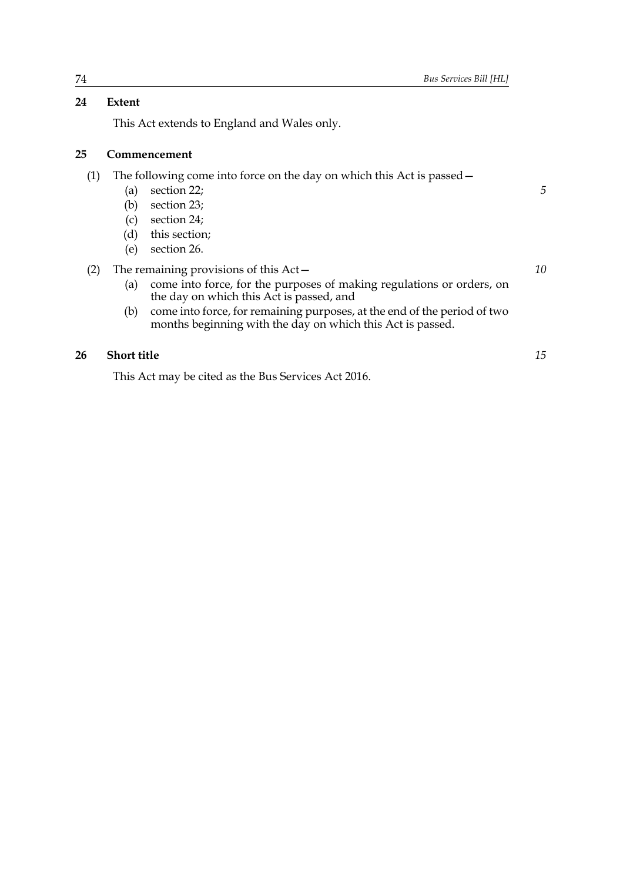# **24 Extent**

This Act extends to England and Wales only.

# **25 Commencement**

(1) The following come into force on the day on which this Act is passed—

- (a) section 22;
- (b) section 23;
- (c) section 24;
- (d) this section;
- (e) section 26.

# (2) The remaining provisions of this Act—

- (a) come into force, for the purposes of making regulations or orders, on the day on which this Act is passed, and
- (b) come into force, for remaining purposes, at the end of the period of two months beginning with the day on which this Act is passed.

# **26 Short title**

This Act may be cited as the Bus Services Act 2016.

*15*

*10*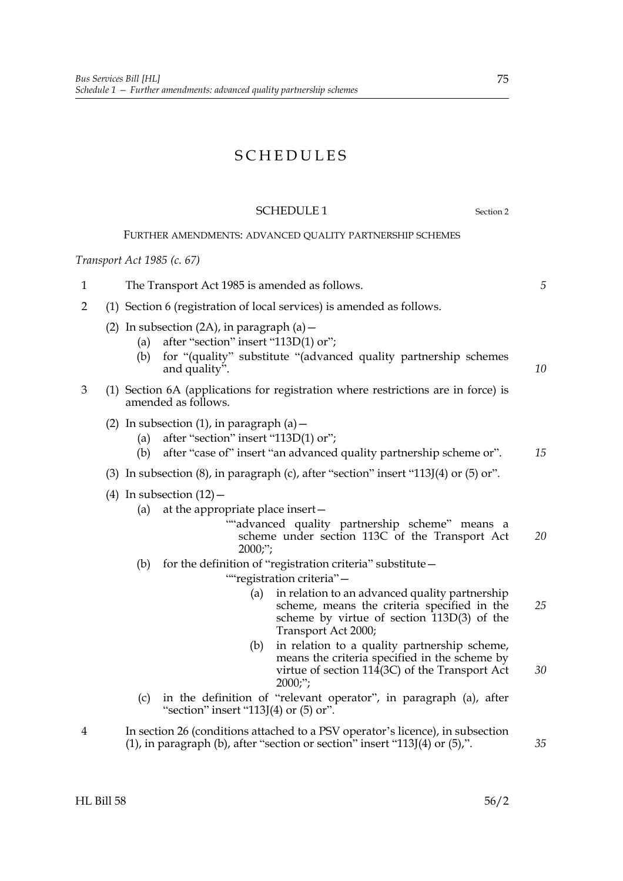# SCHEDULES

# SCHEDULE 1 Section 2

# FURTHER AMENDMENTS: ADVANCED QUALITY PARTNERSHIP SCHEMES

# *Transport Act 1985 (c. 67)*

| $\mathbf{1}$   | The Transport Act 1985 is amended as follows.                                                   |                                                                                                       |                                                                                                                                                                           |    |  |
|----------------|-------------------------------------------------------------------------------------------------|-------------------------------------------------------------------------------------------------------|---------------------------------------------------------------------------------------------------------------------------------------------------------------------------|----|--|
| $\overline{2}$ | (1) Section 6 (registration of local services) is amended as follows.                           |                                                                                                       |                                                                                                                                                                           |    |  |
|                | (a)<br>(b)                                                                                      | (2) In subsection (2A), in paragraph (a) $-$<br>after "section" insert "113D(1) or";<br>and quality". | for "(quality" substitute "(advanced quality partnership schemes                                                                                                          | 10 |  |
| 3              |                                                                                                 | amended as follows.                                                                                   | (1) Section 6A (applications for registration where restrictions are in force) is                                                                                         |    |  |
|                | (a)<br>(b)                                                                                      | (2) In subsection $(1)$ , in paragraph $(a)$ –<br>after "section" insert "113D(1) or";                | after "case of" insert "an advanced quality partnership scheme or".                                                                                                       | 15 |  |
|                | (3) In subsection $(8)$ , in paragraph $(c)$ , after "section" insert "113J $(4)$ or $(5)$ or". |                                                                                                       |                                                                                                                                                                           |    |  |
|                | (a)                                                                                             | (4) In subsection $(12)$ –<br>at the appropriate place insert-<br>$2000$ ;";                          | "advanced quality partnership scheme" means a<br>scheme under section 113C of the Transport Act                                                                           | 20 |  |
|                | (b)                                                                                             |                                                                                                       | for the definition of "registration criteria" substitute-<br>""registration criteria"-                                                                                    |    |  |
|                |                                                                                                 | (a)                                                                                                   | in relation to an advanced quality partnership<br>scheme, means the criteria specified in the<br>scheme by virtue of section 113D(3) of the<br>Transport Act 2000;        | 25 |  |
|                |                                                                                                 | (b)                                                                                                   | in relation to a quality partnership scheme,<br>means the criteria specified in the scheme by<br>virtue of section 114(3C) of the Transport Act<br>$2000$ ;";             | 30 |  |
|                | (c)                                                                                             | "section" insert "113J $(4)$ or $(5)$ or".                                                            | in the definition of "relevant operator", in paragraph (a), after                                                                                                         |    |  |
| 4              |                                                                                                 |                                                                                                       | In section 26 (conditions attached to a PSV operator's licence), in subsection<br>$(1)$ , in paragraph $(b)$ , after "section or section" insert "113J $(4)$ or $(5)$ ,". | 35 |  |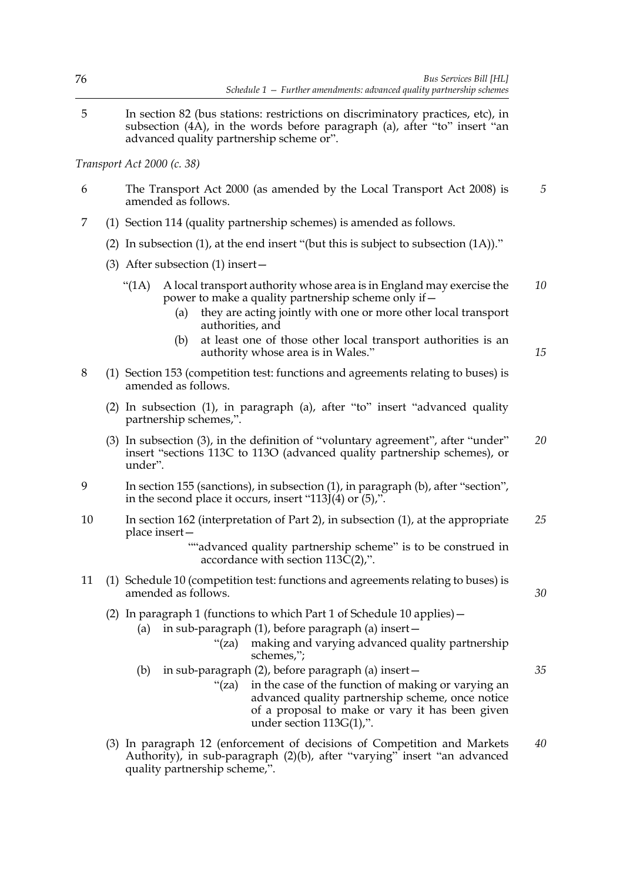5 In section 82 (bus stations: restrictions on discriminatory practices, etc), in subsection (4A), in the words before paragraph (a), after "to" insert "an advanced quality partnership scheme or".

*Transport Act 2000 (c. 38)*

- 6 The Transport Act 2000 (as amended by the Local Transport Act 2008) is amended as follows. *5*
- 7 (1) Section 114 (quality partnership schemes) is amended as follows.
	- (2) In subsection (1), at the end insert "(but this is subject to subsection (1A))."
	- (3) After subsection (1) insert—
		- "(1A) A local transport authority whose area is in England may exercise the power to make a quality partnership scheme only if— *10*
			- (a) they are acting jointly with one or more other local transport authorities, and
			- (b) at least one of those other local transport authorities is an authority whose area is in Wales."

*15*

*30*

*35*

- 8 (1) Section 153 (competition test: functions and agreements relating to buses) is amended as follows.
	- (2) In subsection (1), in paragraph (a), after "to" insert "advanced quality partnership schemes,".
	- (3) In subsection (3), in the definition of "voluntary agreement", after "under" insert "sections 113C to 113O (advanced quality partnership schemes), or under". *20*
- 9 In section 155 (sanctions), in subsection (1), in paragraph (b), after "section", in the second place it occurs, insert "113J(4) or (5),".
- 10 In section 162 (interpretation of Part 2), in subsection (1), at the appropriate place insert— *25*

""advanced quality partnership scheme" is to be construed in accordance with section  $113\tilde{C}(2)$ ,".

11 (1) Schedule 10 (competition test: functions and agreements relating to buses) is amended as follows.

# (2) In paragraph 1 (functions to which Part 1 of Schedule 10 applies)—

- (a) in sub-paragraph  $(1)$ , before paragraph  $(a)$  insert  $-$ 
	- "(za) making and varying advanced quality partnership schemes,";
- (b) in sub-paragraph (2), before paragraph (a) insert— "(za) in the case of the function of making or varying an advanced quality partnership scheme, once notice of a proposal to make or vary it has been given under section 113G(1),".
- (3) In paragraph 12 (enforcement of decisions of Competition and Markets Authority), in sub-paragraph (2)(b), after "varying" insert "an advanced quality partnership scheme,". *40*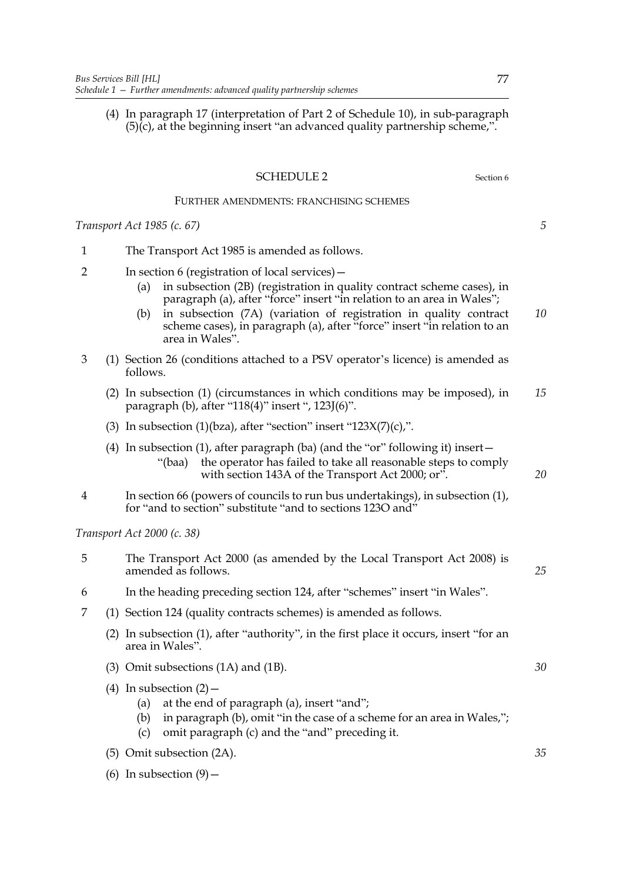(4) In paragraph 17 (interpretation of Part 2 of Schedule 10), in sub-paragraph  $(5)(c)$ , at the beginning insert "an advanced quality partnership scheme,".

# SCHEDULE 2 Section 6

# FURTHER AMENDMENTS: FRANCHISING SCHEMES

*Transport Act 1985 (c. 67)*

- 1 The Transport Act 1985 is amended as follows.
- 2 In section 6 (registration of local services)—
	- (a) in subsection (2B) (registration in quality contract scheme cases), in paragraph (a), after "force" insert "in relation to an area in Wales";
	- (b) in subsection (7A) (variation of registration in quality contract scheme cases), in paragraph (a), after "force" insert "in relation to an area in Wales". *10*
- 3 (1) Section 26 (conditions attached to a PSV operator's licence) is amended as follows.
	- (2) In subsection (1) (circumstances in which conditions may be imposed), in paragraph (b), after "118(4)" insert ", 123J(6)". *15*
	- (3) In subsection  $(1)(bza)$ , after "section" insert " $123X(7)(c)$ ,".
	- (4) In subsection (1), after paragraph (ba) (and the "or" following it) insert— "(baa) the operator has failed to take all reasonable steps to comply with section 143A of the Transport Act 2000; or".
- 4 In section 66 (powers of councils to run bus undertakings), in subsection (1), for "and to section" substitute "and to sections 123O and"

*Transport Act 2000 (c. 38)*

- 5 The Transport Act 2000 (as amended by the Local Transport Act 2008) is amended as follows.
- 6 In the heading preceding section 124, after "schemes" insert "in Wales".
- 7 (1) Section 124 (quality contracts schemes) is amended as follows.
	- (2) In subsection (1), after "authority", in the first place it occurs, insert "for an area in Wales".
	- (3) Omit subsections (1A) and (1B).
	- (4) In subsection  $(2)$ 
		- (a) at the end of paragraph (a), insert "and";
		- (b) in paragraph (b), omit "in the case of a scheme for an area in Wales,";
		- (c) omit paragraph (c) and the "and" preceding it.
	- (5) Omit subsection (2A).
	- (6) In subsection  $(9)$  –

*30*

*5*

*20*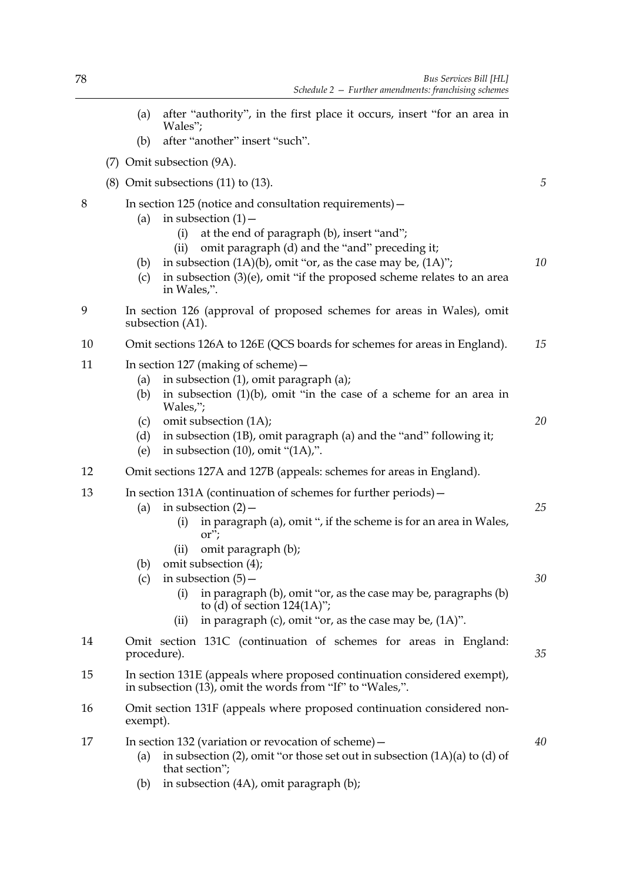|    | (a)                                                                                                                                   | after "authority", in the first place it occurs, insert "for an area in<br>Wales";                                                                                                                                                                                                                                                                              |    |  |  |  |  |
|----|---------------------------------------------------------------------------------------------------------------------------------------|-----------------------------------------------------------------------------------------------------------------------------------------------------------------------------------------------------------------------------------------------------------------------------------------------------------------------------------------------------------------|----|--|--|--|--|
|    | (b)                                                                                                                                   | after "another" insert "such".                                                                                                                                                                                                                                                                                                                                  |    |  |  |  |  |
|    |                                                                                                                                       | (7) Omit subsection (9A).                                                                                                                                                                                                                                                                                                                                       |    |  |  |  |  |
|    |                                                                                                                                       | $(8)$ Omit subsections $(11)$ to $(13)$ .                                                                                                                                                                                                                                                                                                                       | 5  |  |  |  |  |
| 8  | (a)<br>(b)<br>(c)                                                                                                                     | In section 125 (notice and consultation requirements) –<br>in subsection $(1)$ –<br>at the end of paragraph (b), insert "and";<br>(i)<br>omit paragraph (d) and the "and" preceding it;<br>(ii)<br>in subsection $(1A)(b)$ , omit "or, as the case may be, $(1A)$ ";<br>in subsection $(3)(e)$ , omit "if the proposed scheme relates to an area<br>in Wales,". | 10 |  |  |  |  |
| 9  | In section 126 (approval of proposed schemes for areas in Wales), omit<br>subsection (A1).                                            |                                                                                                                                                                                                                                                                                                                                                                 |    |  |  |  |  |
| 10 | Omit sections 126A to 126E (QCS boards for schemes for areas in England).                                                             |                                                                                                                                                                                                                                                                                                                                                                 | 15 |  |  |  |  |
| 11 | (a)<br>(b)<br>(c)<br>(d)                                                                                                              | In section 127 (making of scheme) -<br>in subsection $(1)$ , omit paragraph $(a)$ ;<br>in subsection $(1)(b)$ , omit "in the case of a scheme for an area in<br>Wales,";<br>omit subsection (1A);<br>in subsection (1B), omit paragraph (a) and the "and" following it;                                                                                         | 20 |  |  |  |  |
| 12 | (e)                                                                                                                                   | in subsection $(10)$ , omit " $(1A)$ ,".                                                                                                                                                                                                                                                                                                                        |    |  |  |  |  |
| 13 | (a)                                                                                                                                   | Omit sections 127A and 127B (appeals: schemes for areas in England).<br>In section 131A (continuation of schemes for further periods) –<br>in subsection $(2)$ –<br>in paragraph (a), omit ", if the scheme is for an area in Wales,<br>(i)<br>$\alpha$ ";<br>omit paragraph (b);<br>(ii)                                                                       | 25 |  |  |  |  |
|    | (b)<br>(c)                                                                                                                            | omit subsection (4);<br>in subsection $(5)$ –<br>in paragraph (b), omit "or, as the case may be, paragraphs (b)<br>(i)<br>to (d) of section $124(1A)$ ";<br>in paragraph (c), omit "or, as the case may be, $(1A)$ ".<br>(ii)                                                                                                                                   | 30 |  |  |  |  |
| 14 | procedure).                                                                                                                           | Omit section 131C (continuation of schemes for areas in England:                                                                                                                                                                                                                                                                                                | 35 |  |  |  |  |
| 15 | In section 131E (appeals where proposed continuation considered exempt),<br>in subsection (13), omit the words from "If" to "Wales,". |                                                                                                                                                                                                                                                                                                                                                                 |    |  |  |  |  |
| 16 | Omit section 131F (appeals where proposed continuation considered non-<br>exempt).                                                    |                                                                                                                                                                                                                                                                                                                                                                 |    |  |  |  |  |
| 17 | (a)                                                                                                                                   | In section 132 (variation or revocation of scheme) $-$<br>in subsection (2), omit "or those set out in subsection $(1A)(a)$ to $(d)$ of<br>that section";                                                                                                                                                                                                       | 40 |  |  |  |  |

(b) in subsection (4A), omit paragraph (b);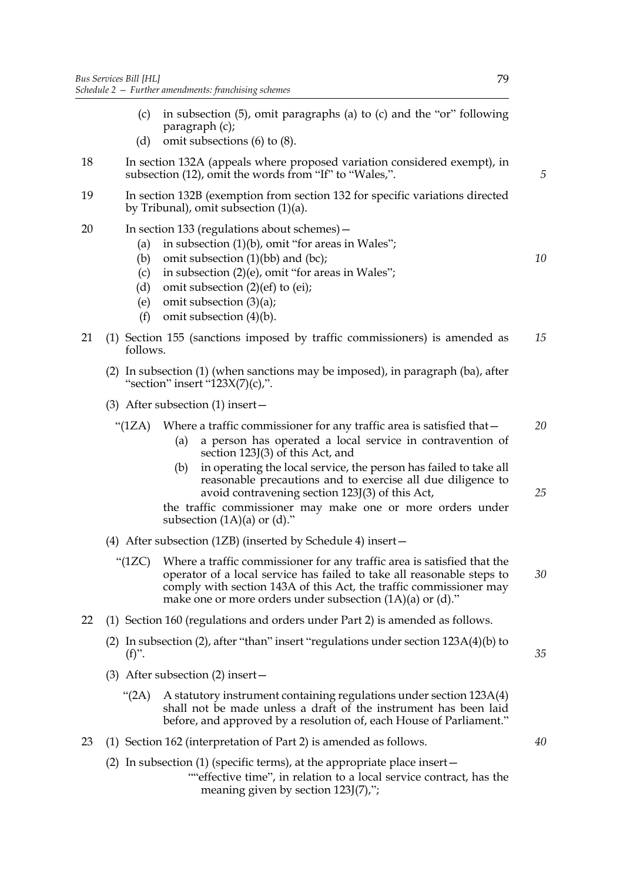- (c) in subsection (5), omit paragraphs (a) to (c) and the "or" following paragraph (c);
- (d) omit subsections (6) to (8).
- 18 In section 132A (appeals where proposed variation considered exempt), in subsection (12), omit the words from "If" to "Wales,".
- 19 In section 132B (exemption from section 132 for specific variations directed by Tribunal), omit subsection (1)(a).
- 20 In section 133 (regulations about schemes)—
	- (a) in subsection  $(1)(b)$ , omit "for areas in Wales";
	- (b) omit subsection  $(1)(bb)$  and  $(bc)$ ;
	- (c) in subsection (2)(e), omit "for areas in Wales";
	- (d) omit subsection (2)(ef) to (ei);
	- (e) omit subsection (3)(a);
	- (f) omit subsection (4)(b).
- 21 (1) Section 155 (sanctions imposed by traffic commissioners) is amended as follows. *15*
	- (2) In subsection (1) (when sanctions may be imposed), in paragraph (ba), after "section" insert "123X(7)(c),".
	- (3) After subsection (1) insert—
		- "(1ZA) Where a traffic commissioner for any traffic area is satisfied that—
			- (a) a person has operated a local service in contravention of section 123J(3) of this Act, and
			- (b) in operating the local service, the person has failed to take all reasonable precautions and to exercise all due diligence to avoid contravening section 123J(3) of this Act,

the traffic commissioner may make one or more orders under subsection  $(1A)(a)$  or  $(d)$ ."

- (4) After subsection (1ZB) (inserted by Schedule 4) insert—
	- "(1ZC) Where a traffic commissioner for any traffic area is satisfied that the operator of a local service has failed to take all reasonable steps to comply with section 143A of this Act, the traffic commissioner may make one or more orders under subsection (1A)(a) or (d)." *30*
- 22 (1) Section 160 (regulations and orders under Part 2) is amended as follows.
	- (2) In subsection (2), after "than" insert "regulations under section  $123A(4)(b)$  to  $(f)$ ".
	- (3) After subsection (2) insert—
		- "(2A) A statutory instrument containing regulations under section 123A(4) shall not be made unless a draft of the instrument has been laid before, and approved by a resolution of, each House of Parliament."
- 23 (1) Section 162 (interpretation of Part 2) is amended as follows.
	- (2) In subsection (1) (specific terms), at the appropriate place insert—
		- ""effective time", in relation to a local service contract, has the meaning given by section 123J(7),";

*5*

*10*

*20*

*25*

*35*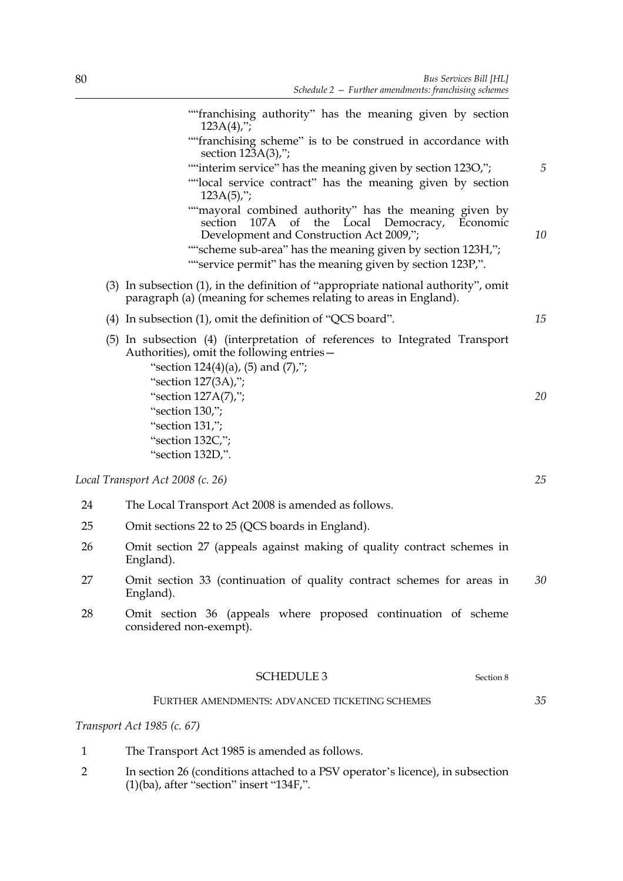|    | ""franchising authority" has the meaning given by section<br>$123A(4)$ ;";                                                                                                                                                                                                          |    |
|----|-------------------------------------------------------------------------------------------------------------------------------------------------------------------------------------------------------------------------------------------------------------------------------------|----|
|    | ""franchising scheme" is to be construed in accordance with<br>section 123A(3),";                                                                                                                                                                                                   |    |
|    | ""interim service" has the meaning given by section 123O,";<br>""local service contract" has the meaning given by section<br>$123A(5)$ ;";                                                                                                                                          | 5  |
|    | ""mayoral combined authority" has the meaning given by<br>107A of the Local Democracy, Economic<br>section<br>Development and Construction Act 2009,";<br>""scheme sub-area" has the meaning given by section 123H,";<br>""service permit" has the meaning given by section 123P,". | 10 |
|    | (3) In subsection (1), in the definition of "appropriate national authority", omit<br>paragraph (a) (meaning for schemes relating to areas in England).                                                                                                                             |    |
|    | (4) In subsection (1), omit the definition of "QCS board".                                                                                                                                                                                                                          | 15 |
|    | (5) In subsection (4) (interpretation of references to Integrated Transport<br>Authorities), omit the following entries-<br>"section $124(4)(a)$ , (5) and (7),";<br>"section 127(3A),";                                                                                            |    |
|    | "section 127A(7),";                                                                                                                                                                                                                                                                 | 20 |
|    | "section 130,";                                                                                                                                                                                                                                                                     |    |
|    | "section 131,";<br>"section 132C,";                                                                                                                                                                                                                                                 |    |
|    | "section 132D,".                                                                                                                                                                                                                                                                    |    |
|    | Local Transport Act 2008 (c. 26)                                                                                                                                                                                                                                                    | 25 |
| 24 | The Local Transport Act 2008 is amended as follows.                                                                                                                                                                                                                                 |    |
| 25 | Omit sections 22 to 25 (QCS boards in England).                                                                                                                                                                                                                                     |    |
| 26 | Omit section 27 (appeals against making of quality contract schemes in<br>England).                                                                                                                                                                                                 |    |
| 27 | Omit section 33 (continuation of quality contract schemes for areas in<br>England).                                                                                                                                                                                                 | 30 |
|    |                                                                                                                                                                                                                                                                                     |    |

28 Omit section 36 (appeals where proposed continuation of scheme considered non-exempt).

# SCHEDULE 3 Section 8

# FURTHER AMENDMENTS: ADVANCED TICKETING SCHEMES

# *Transport Act 1985 (c. 67)*

- 1 The Transport Act 1985 is amended as follows.
- 2 In section 26 (conditions attached to a PSV operator's licence), in subsection  $(1)(ba)$ , after "section" insert "134F,".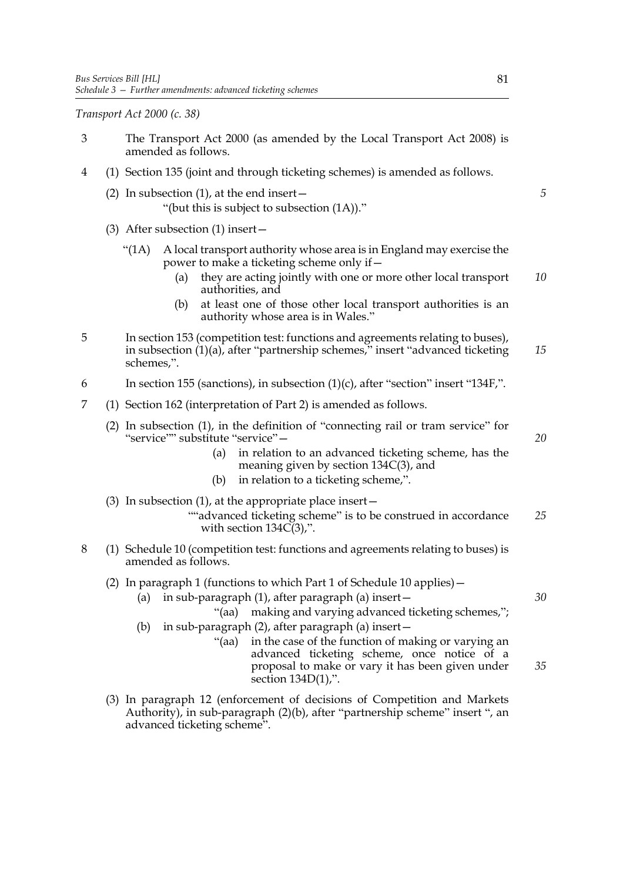*Transport Act 2000 (c. 38)*

- 3 The Transport Act 2000 (as amended by the Local Transport Act 2008) is amended as follows. 4 (1) Section 135 (joint and through ticketing schemes) is amended as follows. (2) In subsection  $(1)$ , at the end insert  $-$  "(but this is subject to subsection (1A))." (3) After subsection (1) insert— " $(1A)$  A local transport authority whose area is in England may exercise the power to make a ticketing scheme only if— (a) they are acting jointly with one or more other local transport authorities, and (b) at least one of those other local transport authorities is an authority whose area is in Wales." 5 In section 153 (competition test: functions and agreements relating to buses), in subsection (1)(a), after "partnership schemes," insert "advanced ticketing schemes,". 6 In section 155 (sanctions), in subsection (1)(c), after "section" insert "134F,". 7 (1) Section 162 (interpretation of Part 2) is amended as follows. (2) In subsection (1), in the definition of "connecting rail or tram service" for "service"" substitute "service"-(a) in relation to an advanced ticketing scheme, has the meaning given by section 134C(3), and (b) in relation to a ticketing scheme,". (3) In subsection  $(1)$ , at the appropriate place insert  $-$ ""advanced ticketing scheme" is to be construed in accordance with section  $134C(3)$ ,". 8 (1) Schedule 10 (competition test: functions and agreements relating to buses) is amended as follows. (2) In paragraph 1 (functions to which Part 1 of Schedule 10 applies)— (a) in sub-paragraph (1), after paragraph (a) insert— "(aa) making and varying advanced ticketing schemes,"; (b) in sub-paragraph (2), after paragraph (a) insert— "(aa) in the case of the function of making or varying an advanced ticketing scheme, once notice of a proposal to make or vary it has been given under section 134D(1),". *5 10 15 20 25 30 35*
	- (3) In paragraph 12 (enforcement of decisions of Competition and Markets Authority), in sub-paragraph (2)(b), after "partnership scheme" insert ", an advanced ticketing scheme".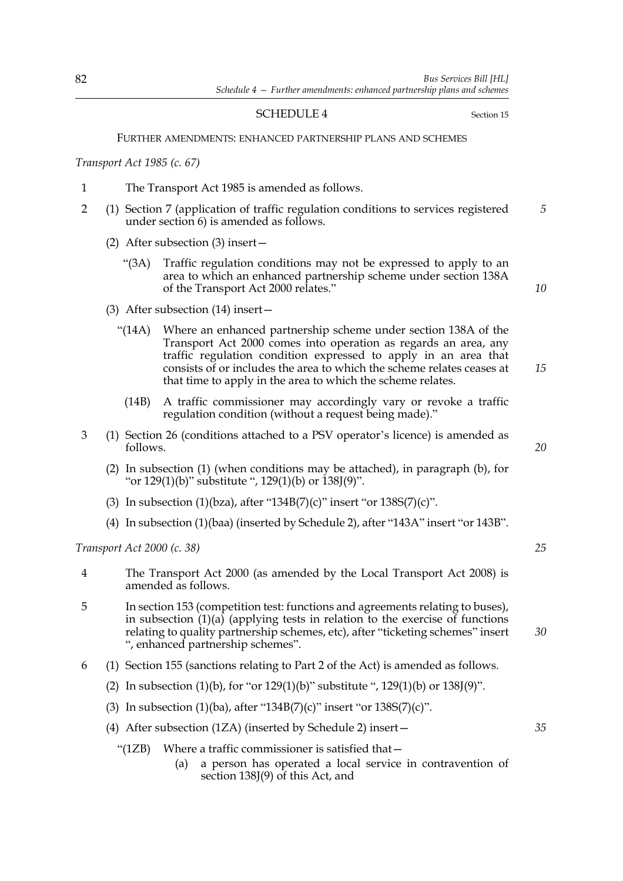# SCHEDULE 4 Section 15

## FURTHER AMENDMENTS: ENHANCED PARTNERSHIP PLANS AND SCHEMES

*Transport Act 1985 (c. 67)*

- 1 The Transport Act 1985 is amended as follows.
- 2 (1) Section 7 (application of traffic regulation conditions to services registered under section 6) is amended as follows. *5*
	- (2) After subsection (3) insert—
		- "(3A) Traffic regulation conditions may not be expressed to apply to an area to which an enhanced partnership scheme under section 138A of the Transport Act 2000 relates."

*10*

*15*

- (3) After subsection (14) insert—
	- "(14A) Where an enhanced partnership scheme under section 138A of the Transport Act 2000 comes into operation as regards an area, any traffic regulation condition expressed to apply in an area that consists of or includes the area to which the scheme relates ceases at that time to apply in the area to which the scheme relates.
		- (14B) A traffic commissioner may accordingly vary or revoke a traffic regulation condition (without a request being made)."
- 3 (1) Section 26 (conditions attached to a PSV operator's licence) is amended as follows.
	- (2) In subsection (1) (when conditions may be attached), in paragraph (b), for "or 129(1)(b)" substitute ", 129(1)(b) or 138J(9)".
	- (3) In subsection (1)(bza), after "134B(7)(c)" insert "or  $138S(7)(c)$ ".
	- (4) In subsection (1)(baa) (inserted by Schedule 2), after "143A" insert "or 143B".

*Transport Act 2000 (c. 38)*

- 4 The Transport Act 2000 (as amended by the Local Transport Act 2008) is amended as follows.
- 5 In section 153 (competition test: functions and agreements relating to buses), in subsection  $(1)(a)$  (applying tests in relation to the exercise of functions relating to quality partnership schemes, etc), after "ticketing schemes" insert ", enhanced partnership schemes". *30*
- 6 (1) Section 155 (sanctions relating to Part 2 of the Act) is amended as follows.
	- (2) In subsection (1)(b), for "or 129(1)(b)" substitute ", 129(1)(b) or 138J(9)".
	- (3) In subsection  $(1)(ba)$ , after "134B(7)(c)" insert "or 138S(7)(c)".
	- (4) After subsection (1ZA) (inserted by Schedule 2) insert—
		- "(1ZB) Where a traffic commissioner is satisfied that—
			- (a) a person has operated a local service in contravention of section 138J(9) of this Act, and

*20*

*25*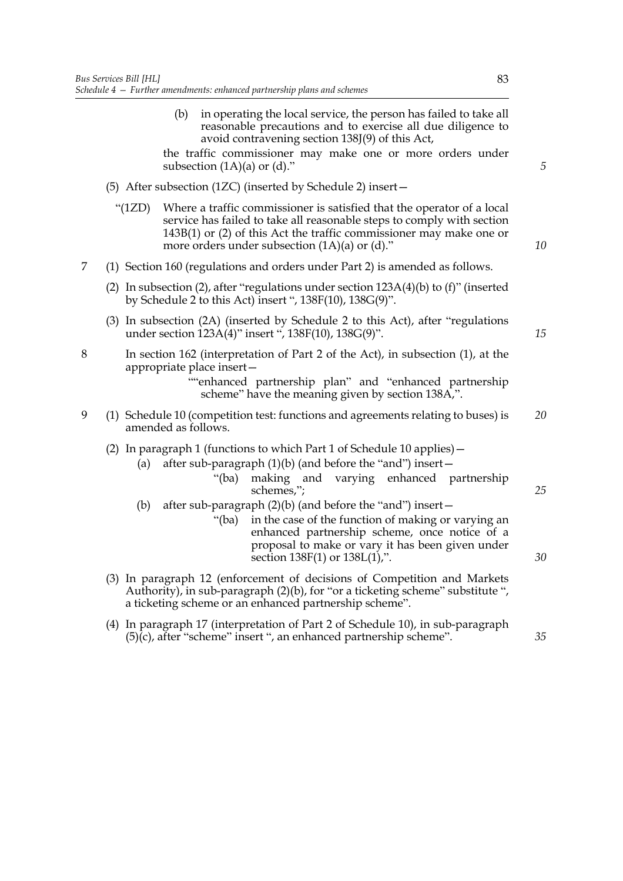(b) in operating the local service, the person has failed to take all reasonable precautions and to exercise all due diligence to avoid contravening section 138J(9) of this Act,

the traffic commissioner may make one or more orders under subsection  $(1A)(a)$  or  $(d)$ ."

- (5) After subsection (1ZC) (inserted by Schedule 2) insert—
	- "(1ZD) Where a traffic commissioner is satisfied that the operator of a local service has failed to take all reasonable steps to comply with section 143B(1) or (2) of this Act the traffic commissioner may make one or more orders under subsection  $(1A)(a)$  or  $(d)$ ."
- 7 (1) Section 160 (regulations and orders under Part 2) is amended as follows.
	- (2) In subsection (2), after "regulations under section  $123A(4)$ (b) to (f)" (inserted by Schedule 2 to this Act) insert ", 138F(10), 138G(9)".
	- (3) In subsection (2A) (inserted by Schedule 2 to this Act), after "regulations under section 123A(4)" insert ", 138F(10), 138G(9)".
- 8 In section 162 (interpretation of Part 2 of the Act), in subsection (1), at the appropriate place insert—

- 9 (1) Schedule 10 (competition test: functions and agreements relating to buses) is amended as follows. *20*
	- (2) In paragraph 1 (functions to which Part 1 of Schedule 10 applies)—
		- (a) after sub-paragraph  $(1)(b)$  (and before the "and") insert  $-$ 
			- "(ba) making and varying enhanced partnership schemes,";
		- (b) after sub-paragraph (2)(b) (and before the "and") insert—
			- "(ba) in the case of the function of making or varying an enhanced partnership scheme, once notice of a proposal to make or vary it has been given under section 138F(1) or 138L(1),".
	- (3) In paragraph 12 (enforcement of decisions of Competition and Markets Authority), in sub-paragraph (2)(b), for "or a ticketing scheme" substitute ", a ticketing scheme or an enhanced partnership scheme".
	- (4) In paragraph 17 (interpretation of Part 2 of Schedule 10), in sub-paragraph  $(5)(c)$ , after "scheme" insert ", an enhanced partnership scheme".

*30*

*25*

*35*

*5*

*10*

<sup>&</sup>quot;"enhanced partnership plan" and "enhanced partnership scheme" have the meaning given by section 138A,".